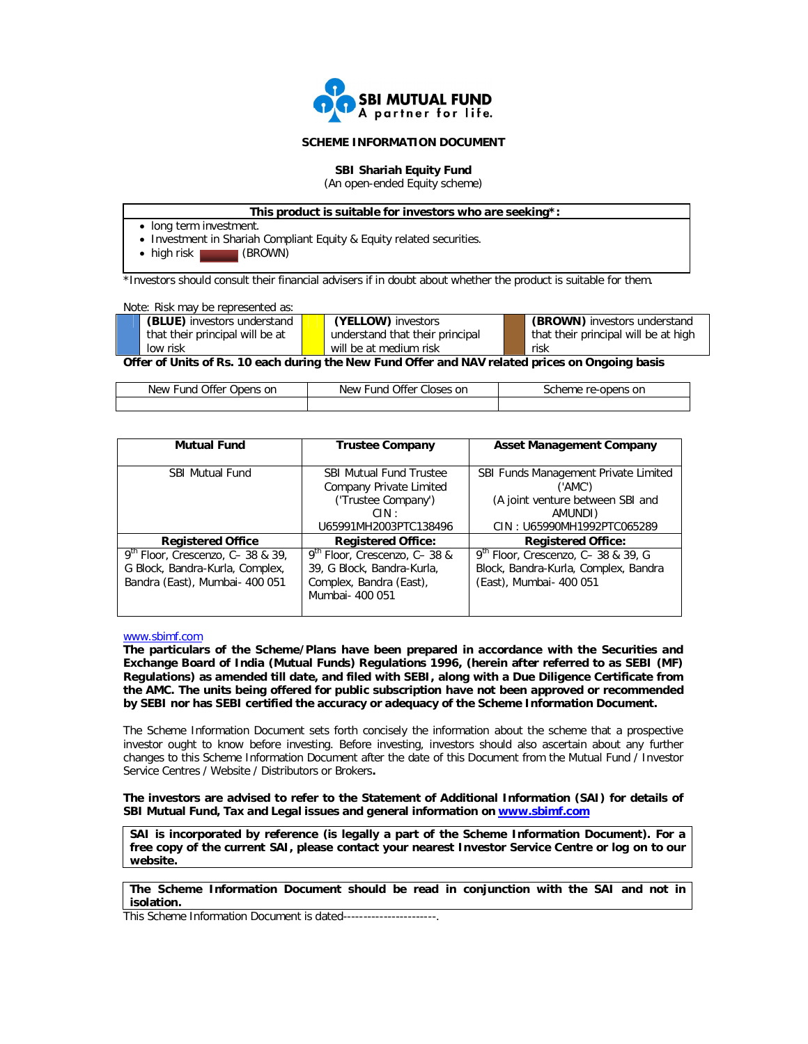

# **SCHEME INFORMATION DOCUMENT**

**SBI Shariah Equity Fund** (An open-ended Equity scheme)

# **This product is suitable for investors who are seeking\*:**

- long term investment.
- Investment in Shariah Compliant Equity & Equity related securities.

• high risk (BROWN)

\*Investors should consult their financial advisers if in doubt about whether the product is suitable for them.

| Note: Risk may be represented as: |                                 |                                      |
|-----------------------------------|---------------------------------|--------------------------------------|
| (BLUE) investors understand       | (YELLOW) investors              | (BROWN) investors understand         |
| that their principal will be at   | understand that their principal | that their principal will be at high |
| low risk                          | will be at medium risk          | risk                                 |
|                                   |                                 |                                      |

**Offer of Units of Rs. 10 each during the New Fund Offer and NAV related prices on Ongoing basis**

| Offer<br>New<br>∙und<br>Opens on | Offer Closes on<br>New<br>∙und | re-opens on<br>scheme r |
|----------------------------------|--------------------------------|-------------------------|
|                                  |                                |                         |

| <b>Mutual Fund</b>                 | <b>Trustee Company</b>         | <b>Asset Management Company</b>      |  |  |
|------------------------------------|--------------------------------|--------------------------------------|--|--|
|                                    |                                |                                      |  |  |
| <b>SBI Mutual Fund</b>             | <b>SBI Mutual Fund Trustee</b> | SBI Funds Management Private Limited |  |  |
|                                    | Company Private Limited        | ('AMC')                              |  |  |
|                                    | ('Trustee Company')            | (A joint venture between SBI and     |  |  |
|                                    | CIN:                           | AMUNDI)                              |  |  |
|                                    | U65991MH2003PTC138496          | CIN: U65990MH1992PTC065289           |  |  |
| <b>Registered Office</b>           | <b>Registered Office:</b>      | <b>Registered Office:</b>            |  |  |
| $9th$ Floor, Crescenzo, C-38 & 39, | 9th Floor, Crescenzo, C-38 &   | $9th$ Floor, Crescenzo, C-38 & 39, G |  |  |
| G Block, Bandra-Kurla, Complex,    | 39, G Block, Bandra-Kurla,     | Block, Bandra-Kurla, Complex, Bandra |  |  |
| Bandra (East), Mumbai- 400 051     | Complex, Bandra (East),        | (East), Mumbai- 400 051              |  |  |
|                                    | Mumbai - 400 051               |                                      |  |  |

## www.sbimf.com

**The particulars of the Scheme/Plans have been prepared in accordance with the Securities and Exchange Board of India (Mutual Funds) Regulations 1996, (herein after referred to as SEBI (MF) Regulations) as amended till date, and filed with SEBI, along with a Due Diligence Certificate from the AMC. The units being offered for public subscription have not been approved or recommended by SEBI nor has SEBI certified the accuracy or adequacy of the Scheme Information Document.**

The Scheme Information Document sets forth concisely the information about the scheme that a prospective investor ought to know before investing. Before investing, investors should also ascertain about any further changes to this Scheme Information Document after the date of this Document from the Mutual Fund / Investor Service Centres / Website / Distributors or Brokers**.**

**The investors are advised to refer to the Statement of Additional Information (SAI) for details of SBI Mutual Fund, Tax and Legal issues and general information on www.sbimf.com**

**SAI is incorporated by reference (is legally a part of the Scheme Information Document). For a free copy of the current SAI, please contact your nearest Investor Service Centre or log on to our website.** 

**The Scheme Information Document should be read in conjunction with the SAI and not in isolation.** 

This Scheme Information Document is dated------------------------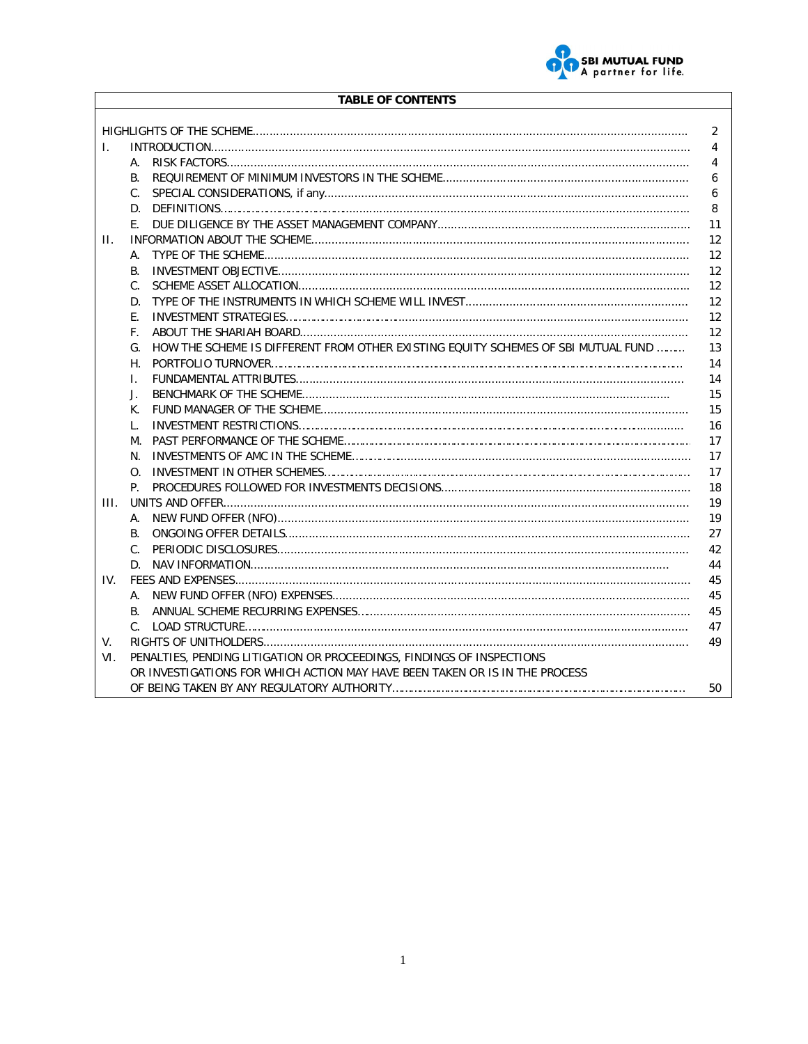

# **TABLE OF CONTENTS**

|     |                                                                                         | 2  |  |  |  |
|-----|-----------------------------------------------------------------------------------------|----|--|--|--|
| I.  |                                                                                         | 4  |  |  |  |
|     | А.                                                                                      | 4  |  |  |  |
|     | $\mathsf{B}$ .                                                                          | 6  |  |  |  |
|     | C.                                                                                      | 6  |  |  |  |
|     |                                                                                         | 8  |  |  |  |
|     | F.                                                                                      | 11 |  |  |  |
| Ш.  |                                                                                         | 12 |  |  |  |
|     | A.                                                                                      | 12 |  |  |  |
|     | В.                                                                                      | 12 |  |  |  |
|     | C.                                                                                      | 12 |  |  |  |
|     | D.                                                                                      | 12 |  |  |  |
|     | F.                                                                                      | 12 |  |  |  |
|     | F.                                                                                      | 12 |  |  |  |
|     | HOW THE SCHEME IS DIFFERENT FROM OTHER EXISTING EQUITY SCHEMES OF SBI MUTUAL FUND<br>G. | 13 |  |  |  |
|     | Н.                                                                                      | 14 |  |  |  |
|     | I.                                                                                      | 14 |  |  |  |
|     | J.                                                                                      | 15 |  |  |  |
|     | K.                                                                                      | 15 |  |  |  |
|     | L.                                                                                      | 16 |  |  |  |
|     | М.                                                                                      | 17 |  |  |  |
|     | N.                                                                                      | 17 |  |  |  |
|     | Ω.                                                                                      | 17 |  |  |  |
|     | P.                                                                                      | 18 |  |  |  |
| HL. |                                                                                         | 19 |  |  |  |
|     | А.                                                                                      | 19 |  |  |  |
|     | В.                                                                                      | 27 |  |  |  |
|     | $C_{\cdot}$                                                                             | 42 |  |  |  |
|     |                                                                                         | 44 |  |  |  |
| IV. |                                                                                         | 45 |  |  |  |
|     | А.                                                                                      | 45 |  |  |  |
|     | В.                                                                                      | 45 |  |  |  |
|     |                                                                                         | 47 |  |  |  |
| V.  |                                                                                         | 49 |  |  |  |
| VI. | PENALTIES, PENDING LITIGATION OR PROCEEDINGS, FINDINGS OF INSPECTIONS                   |    |  |  |  |
|     | OR INVESTIGATIONS FOR WHICH ACTION MAY HAVE BEEN TAKEN OR IS IN THE PROCESS             |    |  |  |  |
|     |                                                                                         | 50 |  |  |  |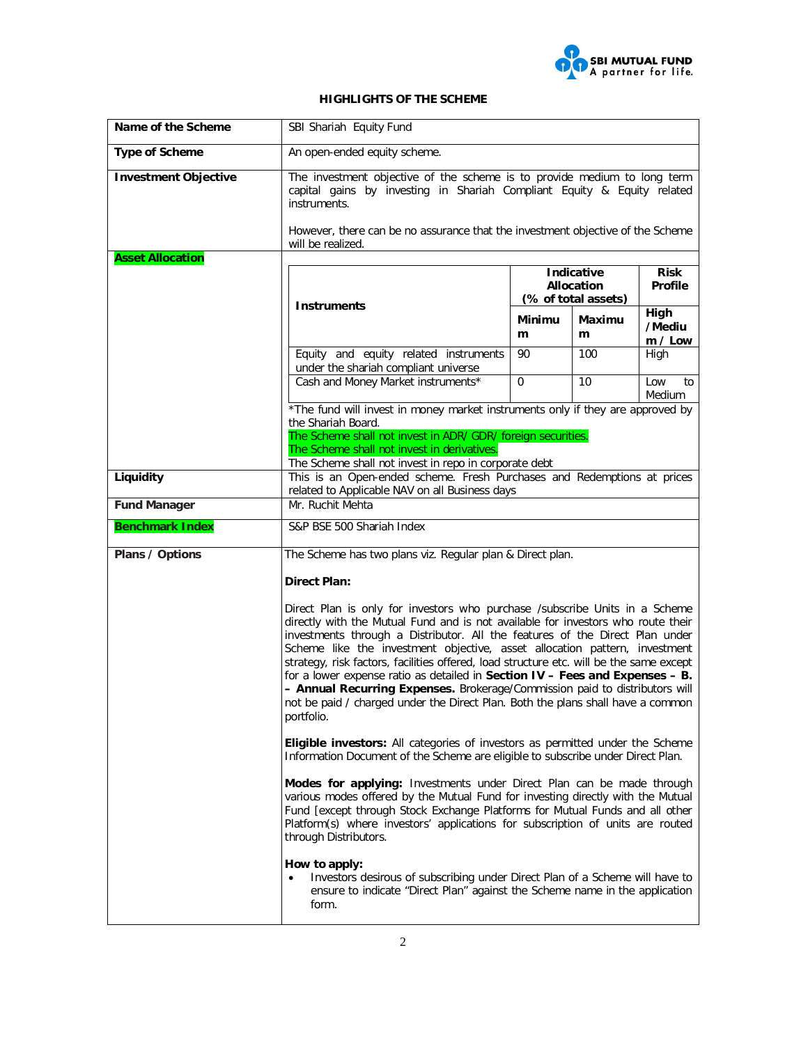

# **HIGHLIGHTS OF THE SCHEME**

| Name of the Scheme          | SBI Shariah Equity Fund                                                                                                                                                                                                                                                                                                                                                                                                                                                                                                                                                                                                                                                                       |                |             |                               |
|-----------------------------|-----------------------------------------------------------------------------------------------------------------------------------------------------------------------------------------------------------------------------------------------------------------------------------------------------------------------------------------------------------------------------------------------------------------------------------------------------------------------------------------------------------------------------------------------------------------------------------------------------------------------------------------------------------------------------------------------|----------------|-------------|-------------------------------|
| <b>Type of Scheme</b>       | An open-ended equity scheme.                                                                                                                                                                                                                                                                                                                                                                                                                                                                                                                                                                                                                                                                  |                |             |                               |
| <b>Investment Objective</b> | The investment objective of the scheme is to provide medium to long term<br>capital gains by investing in Shariah Compliant Equity & Equity related<br>instruments.<br>However, there can be no assurance that the investment objective of the Scheme                                                                                                                                                                                                                                                                                                                                                                                                                                         |                |             |                               |
|                             | will be realized.                                                                                                                                                                                                                                                                                                                                                                                                                                                                                                                                                                                                                                                                             |                |             |                               |
| <b>Asset Allocation</b>     | <b>Indicative</b><br>Allocation<br>(% of total assets)<br><b>Instruments</b>                                                                                                                                                                                                                                                                                                                                                                                                                                                                                                                                                                                                                  |                |             | <b>Risk</b><br><b>Profile</b> |
|                             |                                                                                                                                                                                                                                                                                                                                                                                                                                                                                                                                                                                                                                                                                               | Minimu<br>m    | Maximu<br>m | High<br>/Mediu<br>m / Low     |
|                             | Equity and equity related instruments<br>under the shariah compliant universe                                                                                                                                                                                                                                                                                                                                                                                                                                                                                                                                                                                                                 | 90             | 100         | High                          |
|                             | Cash and Money Market instruments*                                                                                                                                                                                                                                                                                                                                                                                                                                                                                                                                                                                                                                                            | $\overline{0}$ | 10          | Low<br>to<br>Medium           |
|                             | *The fund will invest in money market instruments only if they are approved by<br>the Shariah Board.                                                                                                                                                                                                                                                                                                                                                                                                                                                                                                                                                                                          |                |             |                               |
|                             | The Scheme shall not invest in ADR/ GDR/ foreign securities.                                                                                                                                                                                                                                                                                                                                                                                                                                                                                                                                                                                                                                  |                |             |                               |
|                             | The Scheme shall not invest in derivatives.<br>The Scheme shall not invest in repo in corporate debt                                                                                                                                                                                                                                                                                                                                                                                                                                                                                                                                                                                          |                |             |                               |
| Liquidity                   | This is an Open-ended scheme. Fresh Purchases and Redemptions at prices<br>related to Applicable NAV on all Business days                                                                                                                                                                                                                                                                                                                                                                                                                                                                                                                                                                     |                |             |                               |
| <b>Fund Manager</b>         | Mr. Ruchit Mehta                                                                                                                                                                                                                                                                                                                                                                                                                                                                                                                                                                                                                                                                              |                |             |                               |
| <b>Benchmark Index</b>      | S&P BSE 500 Shariah Index                                                                                                                                                                                                                                                                                                                                                                                                                                                                                                                                                                                                                                                                     |                |             |                               |
| Plans / Options             | The Scheme has two plans viz. Regular plan & Direct plan.                                                                                                                                                                                                                                                                                                                                                                                                                                                                                                                                                                                                                                     |                |             |                               |
|                             | <b>Direct Plan:</b>                                                                                                                                                                                                                                                                                                                                                                                                                                                                                                                                                                                                                                                                           |                |             |                               |
|                             | Direct Plan is only for investors who purchase /subscribe Units in a Scheme<br>directly with the Mutual Fund and is not available for investors who route their<br>investments through a Distributor. All the features of the Direct Plan under<br>Scheme like the investment objective, asset allocation pattern, investment<br>strategy, risk factors, facilities offered, load structure etc. will be the same except<br>for a lower expense ratio as detailed in Section $IV - Fees$ and Expenses $- B$ .<br>- Annual Recurring Expenses. Brokerage/Commission paid to distributors will<br>not be paid / charged under the Direct Plan. Both the plans shall have a common<br>portfolio. |                |             |                               |
|                             | <b>Eligible investors:</b> All categories of investors as permitted under the Scheme<br>Information Document of the Scheme are eligible to subscribe under Direct Plan.                                                                                                                                                                                                                                                                                                                                                                                                                                                                                                                       |                |             |                               |
|                             | Modes for applying: Investments under Direct Plan can be made through<br>various modes offered by the Mutual Fund for investing directly with the Mutual<br>Fund [except through Stock Exchange Platforms for Mutual Funds and all other<br>Platform(s) where investors' applications for subscription of units are routed<br>through Distributors.                                                                                                                                                                                                                                                                                                                                           |                |             |                               |
|                             | How to apply:<br>Investors desirous of subscribing under Direct Plan of a Scheme will have to<br>ensure to indicate "Direct Plan" against the Scheme name in the application<br>form.                                                                                                                                                                                                                                                                                                                                                                                                                                                                                                         |                |             |                               |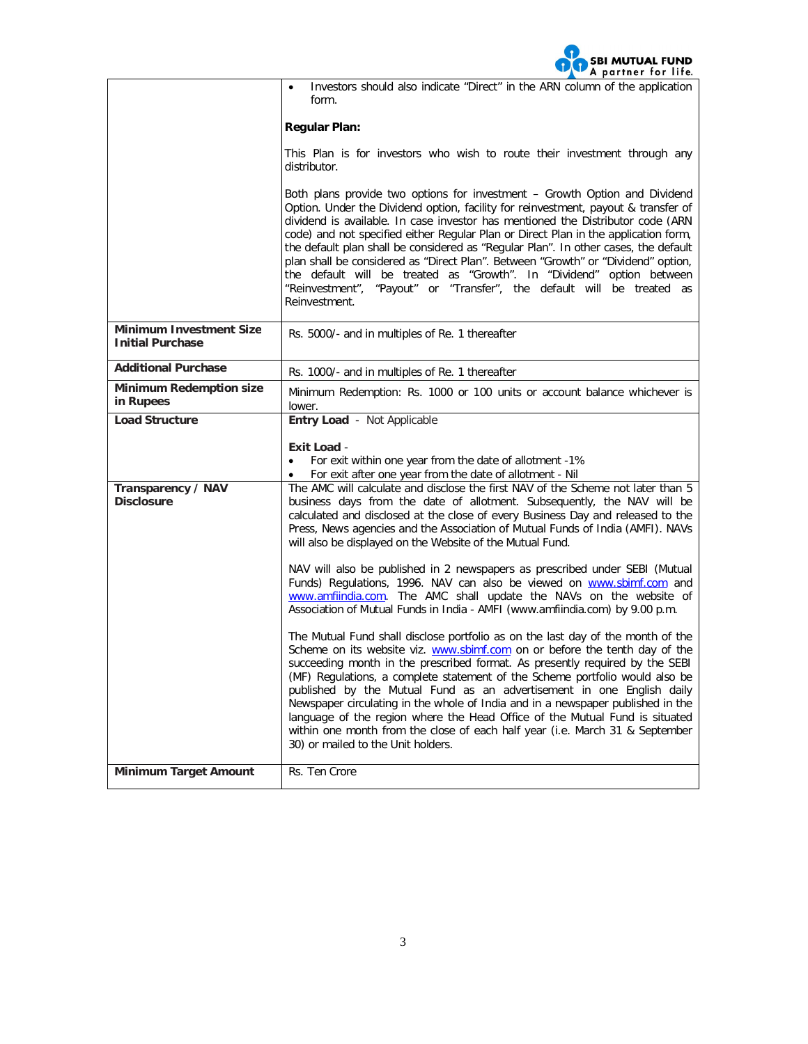

|                                                           | Investors should also indicate "Direct" in the ARN column of the application<br>form.                                                                                                                                                                                                                                                                                                                                                                                                                                                                                                                                                                                                          |  |  |  |
|-----------------------------------------------------------|------------------------------------------------------------------------------------------------------------------------------------------------------------------------------------------------------------------------------------------------------------------------------------------------------------------------------------------------------------------------------------------------------------------------------------------------------------------------------------------------------------------------------------------------------------------------------------------------------------------------------------------------------------------------------------------------|--|--|--|
|                                                           | <b>Regular Plan:</b>                                                                                                                                                                                                                                                                                                                                                                                                                                                                                                                                                                                                                                                                           |  |  |  |
|                                                           | This Plan is for investors who wish to route their investment through any<br>distributor.                                                                                                                                                                                                                                                                                                                                                                                                                                                                                                                                                                                                      |  |  |  |
|                                                           | Both plans provide two options for investment - Growth Option and Dividend<br>Option. Under the Dividend option, facility for reinvestment, payout & transfer of<br>dividend is available. In case investor has mentioned the Distributor code (ARN<br>code) and not specified either Regular Plan or Direct Plan in the application form,<br>the default plan shall be considered as "Regular Plan". In other cases, the default<br>plan shall be considered as "Direct Plan". Between "Growth" or "Dividend" option,<br>the default will be treated as "Growth". In "Dividend" option between<br>"Reinvestment", "Payout" or "Transfer", the default will be treated as<br>Reinvestment.     |  |  |  |
| <b>Minimum Investment Size</b><br><b>Initial Purchase</b> | Rs. 5000/- and in multiples of Re. 1 thereafter                                                                                                                                                                                                                                                                                                                                                                                                                                                                                                                                                                                                                                                |  |  |  |
| <b>Additional Purchase</b>                                | Rs. 1000/- and in multiples of Re. 1 thereafter                                                                                                                                                                                                                                                                                                                                                                                                                                                                                                                                                                                                                                                |  |  |  |
| <b>Minimum Redemption size</b><br>in Rupees               | Minimum Redemption: Rs. 1000 or 100 units or account balance whichever is<br>lower.                                                                                                                                                                                                                                                                                                                                                                                                                                                                                                                                                                                                            |  |  |  |
| Load Structure                                            | Entry Load - Not Applicable                                                                                                                                                                                                                                                                                                                                                                                                                                                                                                                                                                                                                                                                    |  |  |  |
|                                                           | Exit Load -                                                                                                                                                                                                                                                                                                                                                                                                                                                                                                                                                                                                                                                                                    |  |  |  |
|                                                           | For exit within one year from the date of allotment -1%<br>$\bullet$<br>For exit after one year from the date of allotment - Nil                                                                                                                                                                                                                                                                                                                                                                                                                                                                                                                                                               |  |  |  |
| Transparency / NAV<br><b>Disclosure</b>                   | The AMC will calculate and disclose the first NAV of the Scheme not later than 5<br>business days from the date of allotment. Subsequently, the NAV will be<br>calculated and disclosed at the close of every Business Day and released to the<br>Press, News agencies and the Association of Mutual Funds of India (AMFI). NAVs<br>will also be displayed on the Website of the Mutual Fund.                                                                                                                                                                                                                                                                                                  |  |  |  |
|                                                           | NAV will also be published in 2 newspapers as prescribed under SEBI (Mutual<br>Funds) Regulations, 1996. NAV can also be viewed on www.sbimf.com and<br>www.amfiindia.com. The AMC shall update the NAVs on the website of<br>Association of Mutual Funds in India - AMFI (www.amfiindia.com) by 9.00 p.m.                                                                                                                                                                                                                                                                                                                                                                                     |  |  |  |
|                                                           | The Mutual Fund shall disclose portfolio as on the last day of the month of the<br>Scheme on its website viz. www.sbimf.com on or before the tenth day of the<br>succeeding month in the prescribed format. As presently required by the SEBI<br>(MF) Regulations, a complete statement of the Scheme portfolio would also be<br>published by the Mutual Fund as an advertisement in one English daily<br>Newspaper circulating in the whole of India and in a newspaper published in the<br>language of the region where the Head Office of the Mutual Fund is situated<br>within one month from the close of each half year (i.e. March 31 & September<br>30) or mailed to the Unit holders. |  |  |  |
| <b>Minimum Target Amount</b>                              | Rs. Ten Crore                                                                                                                                                                                                                                                                                                                                                                                                                                                                                                                                                                                                                                                                                  |  |  |  |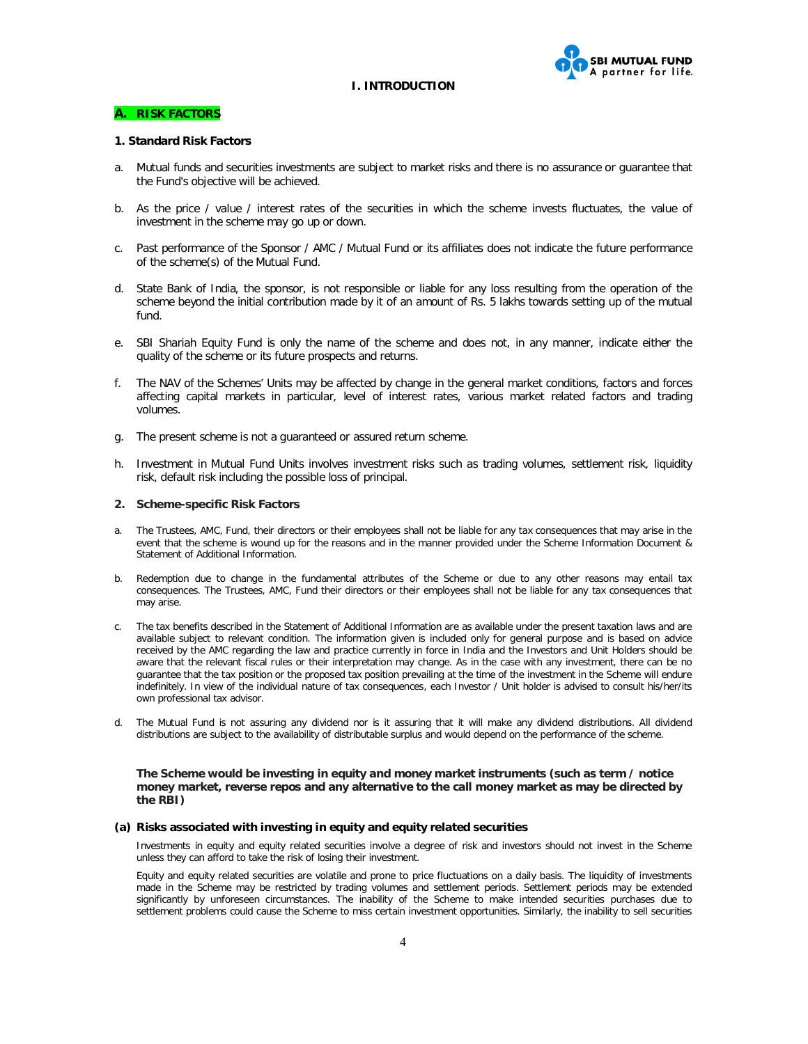**SBI MUTUAL FUND** partner for life.

#### **I. INTRODUCTION**

#### **A. RISK FACTORS**

#### **1. Standard Risk Factors**

- a. Mutual funds and securities investments are subject to market risks and there is no assurance or guarantee that the Fund's objective will be achieved.
- b. As the price / value / interest rates of the securities in which the scheme invests fluctuates, the value of investment in the scheme may go up or down.
- c. Past performance of the Sponsor / AMC / Mutual Fund or its affiliates does not indicate the future performance of the scheme(s) of the Mutual Fund.
- d. State Bank of India, the sponsor, is not responsible or liable for any loss resulting from the operation of the scheme beyond the initial contribution made by it of an amount of Rs. 5 lakhs towards setting up of the mutual fund.
- e. SBI Shariah Equity Fund is only the name of the scheme and does not, in any manner, indicate either the quality of the scheme or its future prospects and returns.
- f. The NAV of the Schemes' Units may be affected by change in the general market conditions, factors and forces affecting capital markets in particular, level of interest rates, various market related factors and trading volumes.
- g. The present scheme is not a guaranteed or assured return scheme.
- h. Investment in Mutual Fund Units involves investment risks such as trading volumes, settlement risk, liquidity risk, default risk including the possible loss of principal.

#### **2. Scheme-specific Risk Factors**

- a. The Trustees, AMC, Fund, their directors or their employees shall not be liable for any tax consequences that may arise in the event that the scheme is wound up for the reasons and in the manner provided under the Scheme Information Document & Statement of Additional Information.
- b. Redemption due to change in the fundamental attributes of the Scheme or due to any other reasons may entail tax consequences. The Trustees, AMC, Fund their directors or their employees shall not be liable for any tax consequences that may arise.
- c. The tax benefits described in the Statement of Additional Information are as available under the present taxation laws and are available subject to relevant condition. The information given is included only for general purpose and is based on advice received by the AMC regarding the law and practice currently in force in India and the Investors and Unit Holders should be aware that the relevant fiscal rules or their interpretation may change. As in the case with any investment, there can be no guarantee that the tax position or the proposed tax position prevailing at the time of the investment in the Scheme will endure indefinitely. In view of the individual nature of tax consequences, each Investor / Unit holder is advised to consult his/her/its own professional tax advisor.
- d. The Mutual Fund is not assuring any dividend nor is it assuring that it will make any dividend distributions. All dividend distributions are subject to the availability of distributable surplus and would depend on the performance of the scheme.

**The Scheme would be investing in equity and money market instruments (such as term / notice money market, reverse repos and any alternative to the call money market as may be directed by the RBI)**

#### **(a) Risks associated with investing in equity and equity related securities**

Investments in equity and equity related securities involve a degree of risk and investors should not invest in the Scheme unless they can afford to take the risk of losing their investment.

Equity and equity related securities are volatile and prone to price fluctuations on a daily basis. The liquidity of investments made in the Scheme may be restricted by trading volumes and settlement periods. Settlement periods may be extended significantly by unforeseen circumstances. The inability of the Scheme to make intended securities purchases due to settlement problems could cause the Scheme to miss certain investment opportunities. Similarly, the inability to sell securities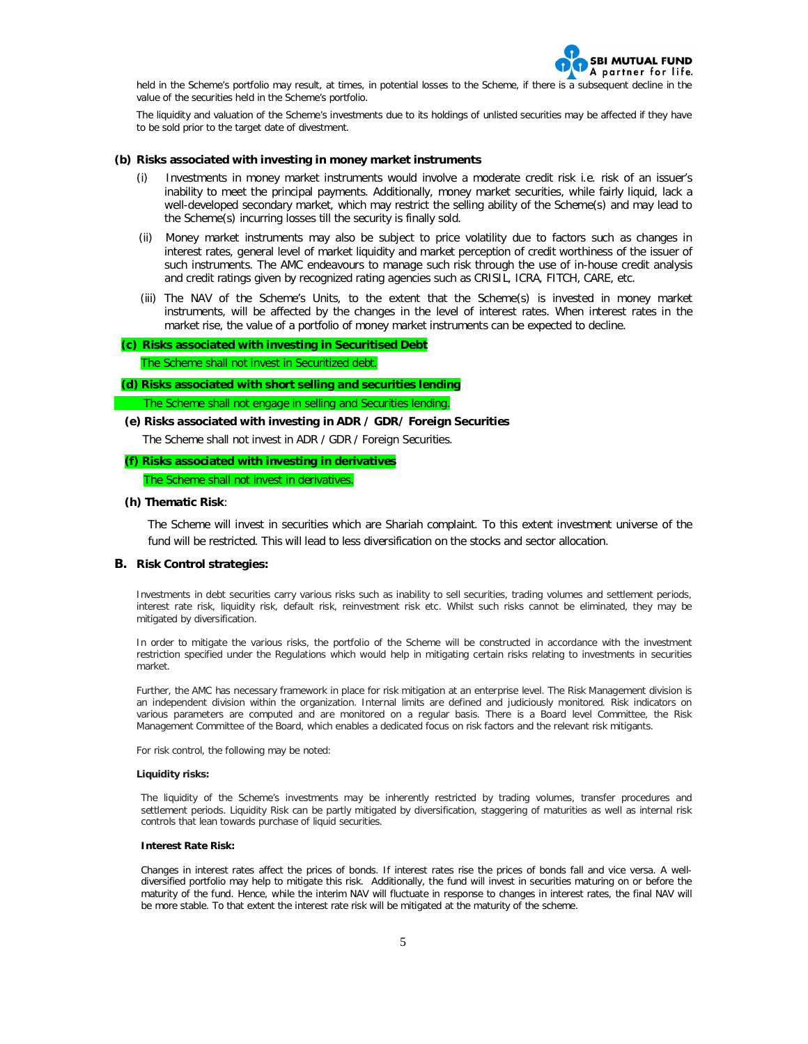

held in the Scheme's portfolio may result, at times, in potential losses to the Scheme, if there is a subsequent decline in the value of the securities held in the Scheme's portfolio.

The liquidity and valuation of the Scheme's investments due to its holdings of unlisted securities may be affected if they have to be sold prior to the target date of divestment.

#### **(b) Risks associated with investing in money market instruments**

- Investments in money market instruments would involve a moderate credit risk i.e. risk of an issuer's inability to meet the principal payments. Additionally, money market securities, while fairly liquid, lack a well-developed secondary market, which may restrict the selling ability of the Scheme(s) and may lead to the Scheme(s) incurring losses till the security is finally sold.
- (ii) Money market instruments may also be subject to price volatility due to factors such as changes in interest rates, general level of market liquidity and market perception of credit worthiness of the issuer of such instruments. The AMC endeavours to manage such risk through the use of in-house credit analysis and credit ratings given by recognized rating agencies such as CRISIL, ICRA, FITCH, CARE, etc.
- (iii) The NAV of the Scheme's Units, to the extent that the Scheme(s) is invested in money market instruments, will be affected by the changes in the level of interest rates. When interest rates in the market rise, the value of a portfolio of money market instruments can be expected to decline.

#### **(c) Risks associated with investing in Securitised Debt**

The Scheme shall not invest in Securitized debt.

# **(d) Risks associated with short selling and securities lending**

The Scheme shall not engage in selling and Securities lending.

## **(e) Risks associated with investing in ADR / GDR/ Foreign Securities**

The Scheme shall not invest in ADR / GDR / Foreign Securities.

# **(f) Risks associated with investing in derivatives**

The Scheme shall not invest in derivatives.

#### **(h) Thematic Risk**:

The Scheme will invest in securities which are Shariah complaint. To this extent investment universe of the fund will be restricted. This will lead to less diversification on the stocks and sector allocation.

#### **B. Risk Control strategies:**

Investments in debt securities carry various risks such as inability to sell securities, trading volumes and settlement periods, interest rate risk, liquidity risk, default risk, reinvestment risk etc. Whilst such risks cannot be eliminated, they may be mitigated by diversification.

In order to mitigate the various risks, the portfolio of the Scheme will be constructed in accordance with the investment restriction specified under the Regulations which would help in mitigating certain risks relating to investments in securities market.

Further, the AMC has necessary framework in place for risk mitigation at an enterprise level. The Risk Management division is an independent division within the organization. Internal limits are defined and judiciously monitored. Risk indicators on various parameters are computed and are monitored on a regular basis. There is a Board level Committee, the Risk Management Committee of the Board, which enables a dedicated focus on risk factors and the relevant risk mitigants.

For risk control, the following may be noted:

#### **Liquidity risks:**

The liquidity of the Scheme's investments may be inherently restricted by trading volumes, transfer procedures and settlement periods. Liquidity Risk can be partly mitigated by diversification, staggering of maturities as well as internal risk controls that lean towards purchase of liquid securities.

#### **Interest Rate Risk:**

Changes in interest rates affect the prices of bonds. If interest rates rise the prices of bonds fall and vice versa. A welldiversified portfolio may help to mitigate this risk. Additionally, the fund will invest in securities maturing on or before the maturity of the fund. Hence, while the interim NAV will fluctuate in response to changes in interest rates, the final NAV will be more stable. To that extent the interest rate risk will be mitigated at the maturity of the scheme.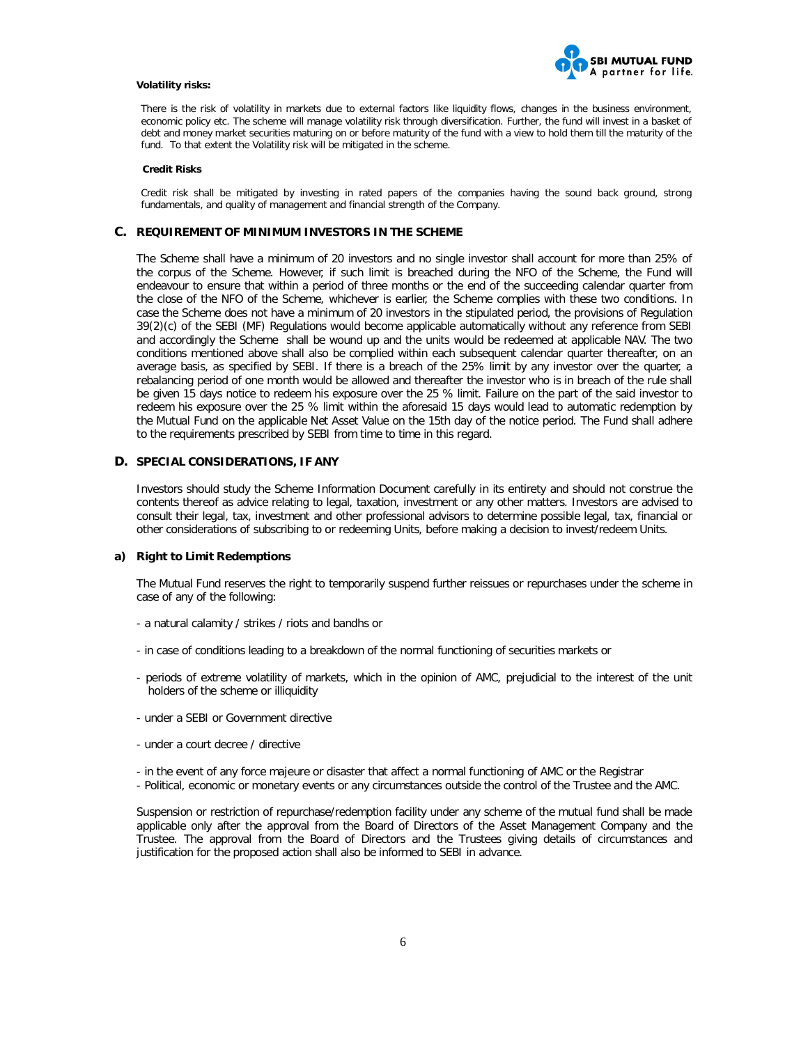

#### **Volatility risks:**

There is the risk of volatility in markets due to external factors like liquidity flows, changes in the business environment, economic policy etc. The scheme will manage volatility risk through diversification. Further, the fund will invest in a basket of debt and money market securities maturing on or before maturity of the fund with a view to hold them till the maturity of the fund. To that extent the Volatility risk will be mitigated in the scheme.

#### **Credit Risks**

Credit risk shall be mitigated by investing in rated papers of the companies having the sound back ground, strong fundamentals, and quality of management and financial strength of the Company.

### **C. REQUIREMENT OF MINIMUM INVESTORS IN THE SCHEME**

The Scheme shall have a minimum of 20 investors and no single investor shall account for more than 25% of the corpus of the Scheme. However, if such limit is breached during the NFO of the Scheme, the Fund will endeavour to ensure that within a period of three months or the end of the succeeding calendar quarter from the close of the NFO of the Scheme, whichever is earlier, the Scheme complies with these two conditions. In case the Scheme does not have a minimum of 20 investors in the stipulated period, the provisions of Regulation 39(2)(c) of the SEBI (MF) Regulations would become applicable automatically without any reference from SEBI and accordingly the Scheme shall be wound up and the units would be redeemed at applicable NAV. The two conditions mentioned above shall also be complied within each subsequent calendar quarter thereafter, on an average basis, as specified by SEBI. If there is a breach of the 25% limit by any investor over the quarter, a rebalancing period of one month would be allowed and thereafter the investor who is in breach of the rule shall be given 15 days notice to redeem his exposure over the 25 % limit. Failure on the part of the said investor to redeem his exposure over the 25 % limit within the aforesaid 15 days would lead to automatic redemption by the Mutual Fund on the applicable Net Asset Value on the 15th day of the notice period. The Fund shall adhere to the requirements prescribed by SEBI from time to time in this regard.

#### **D. SPECIAL CONSIDERATIONS, IF ANY**

Investors should study the Scheme Information Document carefully in its entirety and should not construe the contents thereof as advice relating to legal, taxation, investment or any other matters. Investors are advised to consult their legal, tax, investment and other professional advisors to determine possible legal, tax, financial or other considerations of subscribing to or redeeming Units, before making a decision to invest/redeem Units.

## **a) Right to Limit Redemptions**

The Mutual Fund reserves the right to temporarily suspend further reissues or repurchases under the scheme in case of any of the following:

- a natural calamity / strikes / riots and bandhs or
- in case of conditions leading to a breakdown of the normal functioning of securities markets or
- periods of extreme volatility of markets, which in the opinion of AMC, prejudicial to the interest of the unit holders of the scheme or illiquidity
- under a SEBI or Government directive
- under a court decree / directive
- in the event of any force majeure or disaster that affect a normal functioning of AMC or the Registrar
- Political, economic or monetary events or any circumstances outside the control of the Trustee and the AMC.

Suspension or restriction of repurchase/redemption facility under any scheme of the mutual fund shall be made applicable only after the approval from the Board of Directors of the Asset Management Company and the Trustee. The approval from the Board of Directors and the Trustees giving details of circumstances and justification for the proposed action shall also be informed to SEBI in advance.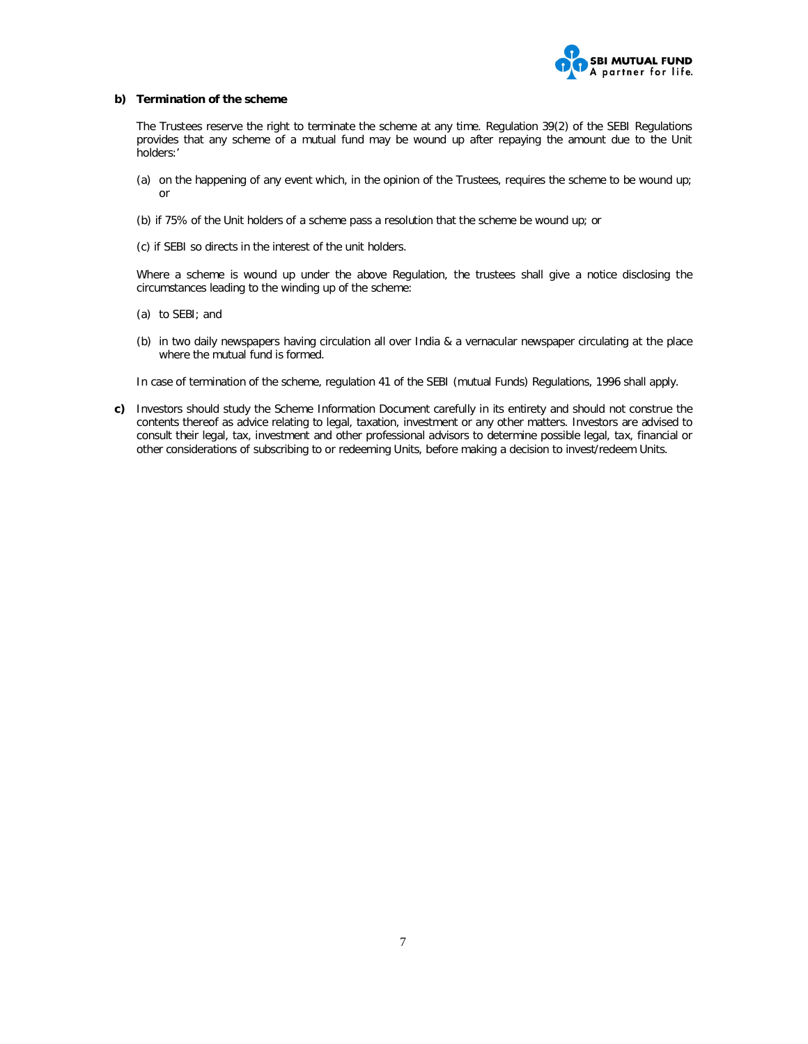

#### **b) Termination of the scheme**

The Trustees reserve the right to terminate the scheme at any time. Regulation 39(2) of the SEBI Regulations provides that any scheme of a mutual fund may be wound up after repaying the amount due to the Unit holders:'

- (a) on the happening of any event which, in the opinion of the Trustees, requires the scheme to be wound up; or
- (b) if 75% of the Unit holders of a scheme pass a resolution that the scheme be wound up; or
- (c) if SEBI so directs in the interest of the unit holders.

Where a scheme is wound up under the above Regulation, the trustees shall give a notice disclosing the circumstances leading to the winding up of the scheme:

- (a) to SEBI; and
- (b) in two daily newspapers having circulation all over India & a vernacular newspaper circulating at the place where the mutual fund is formed.

In case of termination of the scheme, regulation 41 of the SEBI (mutual Funds) Regulations, 1996 shall apply.

**c)** Investors should study the Scheme Information Document carefully in its entirety and should not construe the contents thereof as advice relating to legal, taxation, investment or any other matters. Investors are advised to consult their legal, tax, investment and other professional advisors to determine possible legal, tax, financial or other considerations of subscribing to or redeeming Units, before making a decision to invest/redeem Units.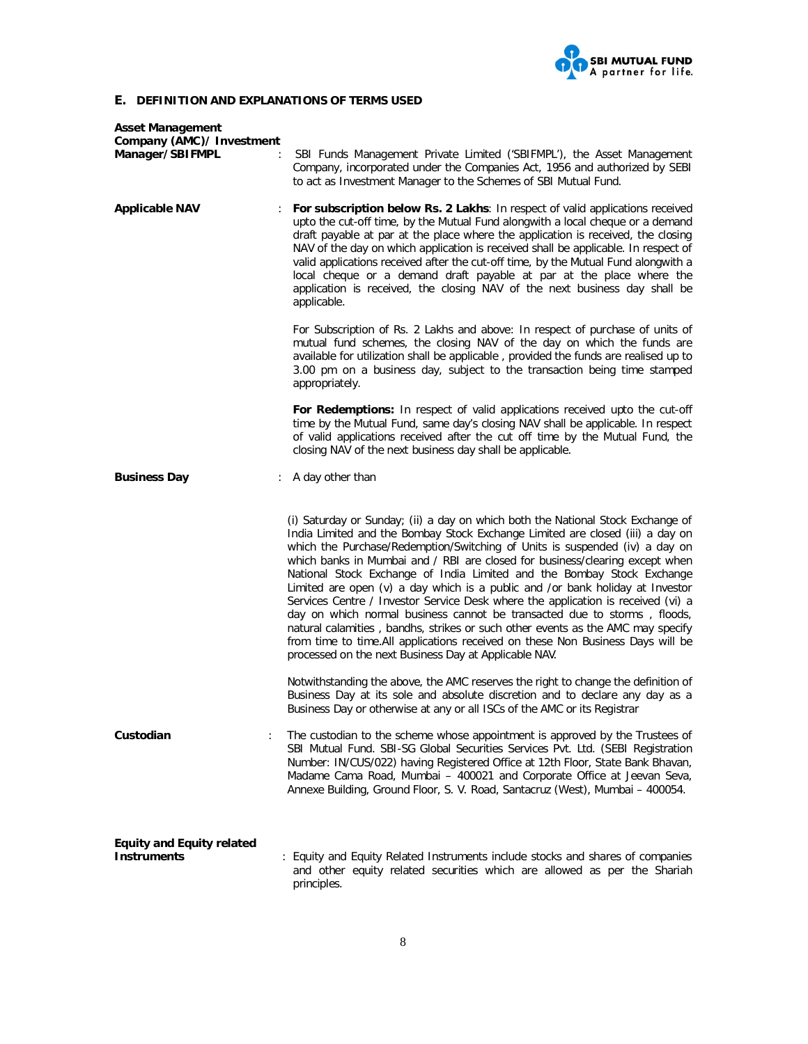

# **E. DEFINITION AND EXPLANATIONS OF TERMS USED**

| <b>Asset Management</b><br>Company (AMC)/ Investment<br>Manager/SBIFMPL | $\ddot{\cdot}$ | SBI Funds Management Private Limited ('SBIFMPL'), the Asset Management<br>Company, incorporated under the Companies Act, 1956 and authorized by SEBI<br>to act as Investment Manager to the Schemes of SBI Mutual Fund.                                                                                                                                                                                                                                                                                                                                                                                                                                                                                                                                                                                                                                                                    |
|-------------------------------------------------------------------------|----------------|--------------------------------------------------------------------------------------------------------------------------------------------------------------------------------------------------------------------------------------------------------------------------------------------------------------------------------------------------------------------------------------------------------------------------------------------------------------------------------------------------------------------------------------------------------------------------------------------------------------------------------------------------------------------------------------------------------------------------------------------------------------------------------------------------------------------------------------------------------------------------------------------|
| <b>Applicable NAV</b>                                                   |                | For subscription below Rs. 2 Lakhs: In respect of valid applications received<br>upto the cut-off time, by the Mutual Fund alongwith a local cheque or a demand<br>draft payable at par at the place where the application is received, the closing<br>NAV of the day on which application is received shall be applicable. In respect of<br>valid applications received after the cut-off time, by the Mutual Fund alongwith a<br>local cheque or a demand draft payable at par at the place where the<br>application is received, the closing NAV of the next business day shall be<br>applicable.                                                                                                                                                                                                                                                                                       |
|                                                                         |                | For Subscription of Rs. 2 Lakhs and above: In respect of purchase of units of<br>mutual fund schemes, the closing NAV of the day on which the funds are<br>available for utilization shall be applicable, provided the funds are realised up to<br>3.00 pm on a business day, subject to the transaction being time stamped<br>appropriately.                                                                                                                                                                                                                                                                                                                                                                                                                                                                                                                                              |
|                                                                         |                | For Redemptions: In respect of valid applications received upto the cut-off<br>time by the Mutual Fund, same day's closing NAV shall be applicable. In respect<br>of valid applications received after the cut off time by the Mutual Fund, the<br>closing NAV of the next business day shall be applicable.                                                                                                                                                                                                                                                                                                                                                                                                                                                                                                                                                                               |
| <b>Business Day</b>                                                     |                | : A day other than                                                                                                                                                                                                                                                                                                                                                                                                                                                                                                                                                                                                                                                                                                                                                                                                                                                                         |
|                                                                         |                | (i) Saturday or Sunday; (ii) a day on which both the National Stock Exchange of<br>India Limited and the Bombay Stock Exchange Limited are closed (iii) a day on<br>which the Purchase/Redemption/Switching of Units is suspended (iv) a day on<br>which banks in Mumbai and / RBI are closed for business/clearing except when<br>National Stock Exchange of India Limited and the Bombay Stock Exchange<br>Limited are open $(v)$ a day which is a public and /or bank holiday at Investor<br>Services Centre / Investor Service Desk where the application is received (vi) a<br>day on which normal business cannot be transacted due to storms, floods,<br>natural calamities, bandhs, strikes or such other events as the AMC may specify<br>from time to time.All applications received on these Non Business Days will be<br>processed on the next Business Day at Applicable NAV. |
|                                                                         |                | Notwithstanding the above, the AMC reserves the right to change the definition of<br>Business Day at its sole and absolute discretion and to declare any day as a<br>Business Day or otherwise at any or all ISCs of the AMC or its Registrar                                                                                                                                                                                                                                                                                                                                                                                                                                                                                                                                                                                                                                              |
| Custodian                                                               | $\ddot{\cdot}$ | The custodian to the scheme whose appointment is approved by the Trustees of<br>SBI Mutual Fund. SBI-SG Global Securities Services Pvt. Ltd. (SEBI Registration<br>Number: IN/CUS/022) having Registered Office at 12th Floor, State Bank Bhavan,<br>Madame Cama Road, Mumbai - 400021 and Corporate Office at Jeevan Seva,<br>Annexe Building, Ground Floor, S. V. Road, Santacruz (West), Mumbai - 400054.                                                                                                                                                                                                                                                                                                                                                                                                                                                                               |
| <b>Equity and Equity related</b><br><b>Instruments</b>                  |                | : Equity and Equity Related Instruments include stocks and shares of companies<br>and other equity related securities which are allowed as per the Shariah<br>principles.                                                                                                                                                                                                                                                                                                                                                                                                                                                                                                                                                                                                                                                                                                                  |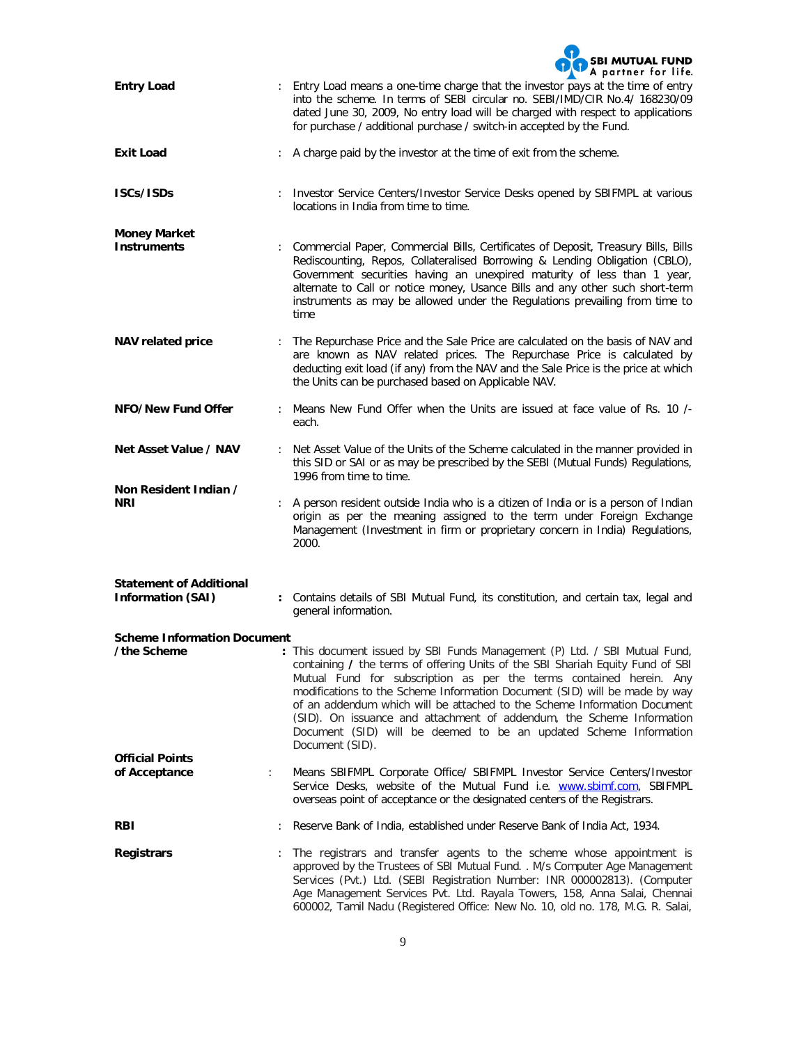|                                           |                                                                                                                                                                                                                                                      | <b>SBI MUTUAL FUND</b><br>A partner for life.                                                                                                                                                                                                                                                                                                                                                                                                                                                                                                                  |  |
|-------------------------------------------|------------------------------------------------------------------------------------------------------------------------------------------------------------------------------------------------------------------------------------------------------|----------------------------------------------------------------------------------------------------------------------------------------------------------------------------------------------------------------------------------------------------------------------------------------------------------------------------------------------------------------------------------------------------------------------------------------------------------------------------------------------------------------------------------------------------------------|--|
| <b>Entry Load</b>                         |                                                                                                                                                                                                                                                      | : Entry Load means a one-time charge that the investor pays at the time of entry<br>into the scheme. In terms of SEBI circular no. SEBI/IMD/CIR No.4/ 168230/09<br>dated June 30, 2009, No entry load will be charged with respect to applications<br>for purchase / additional purchase / switch-in accepted by the Fund.                                                                                                                                                                                                                                     |  |
| <b>Exit Load</b>                          |                                                                                                                                                                                                                                                      | A charge paid by the investor at the time of exit from the scheme.                                                                                                                                                                                                                                                                                                                                                                                                                                                                                             |  |
| ISCs/ISDs                                 |                                                                                                                                                                                                                                                      | Investor Service Centers/Investor Service Desks opened by SBIFMPL at various<br>locations in India from time to time.                                                                                                                                                                                                                                                                                                                                                                                                                                          |  |
| <b>Money Market</b><br><b>Instruments</b> |                                                                                                                                                                                                                                                      | : Commercial Paper, Commercial Bills, Certificates of Deposit, Treasury Bills, Bills<br>Rediscounting, Repos, Collateralised Borrowing & Lending Obligation (CBLO),<br>Government securities having an unexpired maturity of less than 1 year,<br>alternate to Call or notice money, Usance Bills and any other such short-term<br>instruments as may be allowed under the Regulations prevailing from time to<br>time                                                                                                                                         |  |
| <b>NAV related price</b>                  |                                                                                                                                                                                                                                                      | : The Repurchase Price and the Sale Price are calculated on the basis of NAV and<br>are known as NAV related prices. The Repurchase Price is calculated by<br>deducting exit load (if any) from the NAV and the Sale Price is the price at which<br>the Units can be purchased based on Applicable NAV.                                                                                                                                                                                                                                                        |  |
| NFO/New Fund Offer                        |                                                                                                                                                                                                                                                      | : Means New Fund Offer when the Units are issued at face value of Rs. 10 /-<br>each.                                                                                                                                                                                                                                                                                                                                                                                                                                                                           |  |
| Net Asset Value / NAV                     |                                                                                                                                                                                                                                                      | : Net Asset Value of the Units of the Scheme calculated in the manner provided in<br>this SID or SAI or as may be prescribed by the SEBI (Mutual Funds) Regulations,<br>1996 from time to time.                                                                                                                                                                                                                                                                                                                                                                |  |
| Non Resident Indian /<br><b>NRI</b>       | A person resident outside India who is a citizen of India or is a person of Indian<br>origin as per the meaning assigned to the term under Foreign Exchange<br>Management (Investment in firm or proprietary concern in India) Regulations,<br>2000. |                                                                                                                                                                                                                                                                                                                                                                                                                                                                                                                                                                |  |
| <b>Statement of Additional</b>            |                                                                                                                                                                                                                                                      |                                                                                                                                                                                                                                                                                                                                                                                                                                                                                                                                                                |  |
| <b>Information (SAI)</b>                  |                                                                                                                                                                                                                                                      | : Contains details of SBI Mutual Fund, its constitution, and certain tax, legal and<br>general information.                                                                                                                                                                                                                                                                                                                                                                                                                                                    |  |
| <b>Scheme Information Document</b>        |                                                                                                                                                                                                                                                      |                                                                                                                                                                                                                                                                                                                                                                                                                                                                                                                                                                |  |
| the Scheme                                |                                                                                                                                                                                                                                                      | : This document issued by SBI Funds Management (P) Ltd. / SBI Mutual Fund,<br>containing / the terms of offering Units of the SBI Shariah Equity Fund of SBI<br>Mutual Fund for subscription as per the terms contained herein. Any<br>modifications to the Scheme Information Document (SID) will be made by way<br>of an addendum which will be attached to the Scheme Information Document<br>(SID). On issuance and attachment of addendum, the Scheme Information<br>Document (SID) will be deemed to be an updated Scheme Information<br>Document (SID). |  |
| <b>Official Points</b><br>of Acceptance   | ÷.                                                                                                                                                                                                                                                   | Means SBIFMPL Corporate Office/ SBIFMPL Investor Service Centers/Investor<br>Service Desks, website of the Mutual Fund i.e. www.sbimf.com, SBIFMPL<br>overseas point of acceptance or the designated centers of the Registrars.                                                                                                                                                                                                                                                                                                                                |  |
| <b>RBI</b>                                |                                                                                                                                                                                                                                                      | Reserve Bank of India, established under Reserve Bank of India Act, 1934.                                                                                                                                                                                                                                                                                                                                                                                                                                                                                      |  |
| <b>Registrars</b>                         |                                                                                                                                                                                                                                                      | The registrars and transfer agents to the scheme whose appointment is<br>approved by the Trustees of SBI Mutual Fund. . M/s Computer Age Management<br>Services (Pvt.) Ltd. (SEBI Registration Number: INR 000002813). (Computer<br>Age Management Services Pvt. Ltd. Rayala Towers, 158, Anna Salai, Chennai<br>600002, Tamil Nadu (Registered Office: New No. 10, old no. 178, M.G. R. Salai,                                                                                                                                                                |  |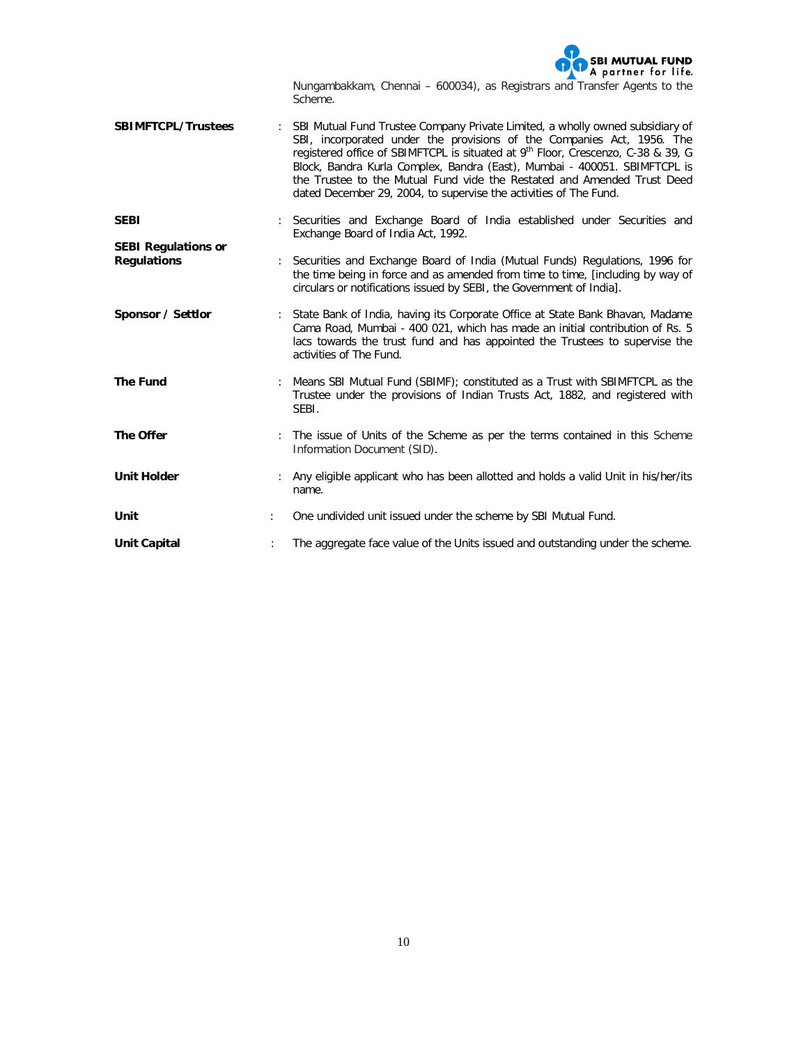

Nungambakkam, Chennai – 600034), as Registrars and Transfer Agents to the Scheme.

- **SBIMFTCPL/Trustees** : SBI Mutual Fund Trustee Company Private Limited, a wholly owned subsidiary of SBI, incorporated under the provisions of the Companies Act, 1956. The registered office of SBIMFTCPL is situated at 9<sup>th</sup> Floor, Crescenzo, C-38 & 39, G Block, Bandra Kurla Complex, Bandra (East), Mumbai - 400051. SBIMFTCPL is the Trustee to the Mutual Fund vide the Restated and Amended Trust Deed dated December 29, 2004, to supervise the activities of The Fund.
- **SEBI** : Securities and Exchange Board of India established under Securities and Exchange Board of India Act, 1992. **SEBI Regulations or**
- **Regulations** : Securities and Exchange Board of India (Mutual Funds) Regulations, 1996 for the time being in force and as amended from time to time, [including by way of circulars or notifications issued by SEBI, the Government of India].
- **Sponsor / Settlor** : State Bank of India, having its Corporate Office at State Bank Bhavan, Madame Cama Road, Mumbai - 400 021, which has made an initial contribution of Rs. 5 lacs towards the trust fund and has appointed the Trustees to supervise the activities of The Fund.
- **The Fund** : Means SBI Mutual Fund (SBIMF); constituted as a Trust with SBIMFTCPL as the Trustee under the provisions of Indian Trusts Act, 1882, and registered with SEBI.
- **The Offer** : The issue of Units of the Scheme as per the terms contained in this Scheme Information Document (SID).
- **Unit Holder** : Any eligible applicant who has been allotted and holds a valid Unit in his/her/its name.
- Unit **Unit Unit** issued undivided unit issued under the scheme by SBI Mutual Fund.
- **Unit Capital** : The aggregate face value of the Units issued and outstanding under the scheme.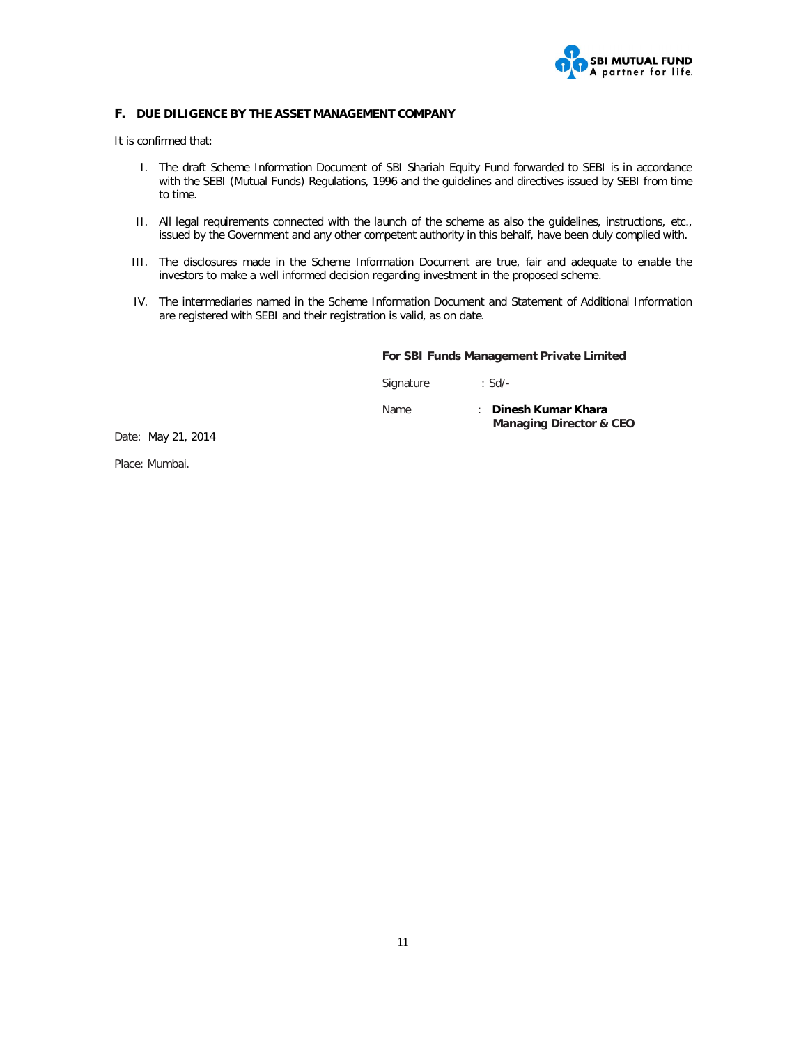

# **F. DUE DILIGENCE BY THE ASSET MANAGEMENT COMPANY**

It is confirmed that:

- I. The draft Scheme Information Document of SBI Shariah Equity Fund forwarded to SEBI is in accordance with the SEBI (Mutual Funds) Regulations, 1996 and the guidelines and directives issued by SEBI from time to time.
- II. All legal requirements connected with the launch of the scheme as also the guidelines, instructions, etc., issued by the Government and any other competent authority in this behalf, have been duly complied with.
- III. The disclosures made in the Scheme Information Document are true, fair and adequate to enable the investors to make a well informed decision regarding investment in the proposed scheme.
- IV. The intermediaries named in the Scheme Information Document and Statement of Additional Information are registered with SEBI and their registration is valid, as on date.

# **For SBI Funds Management Private Limited**

Signature : Sd/-

Name : **Dinesh Kumar Khara Managing Director & CEO**

Date: May 21, 2014

Place: Mumbai.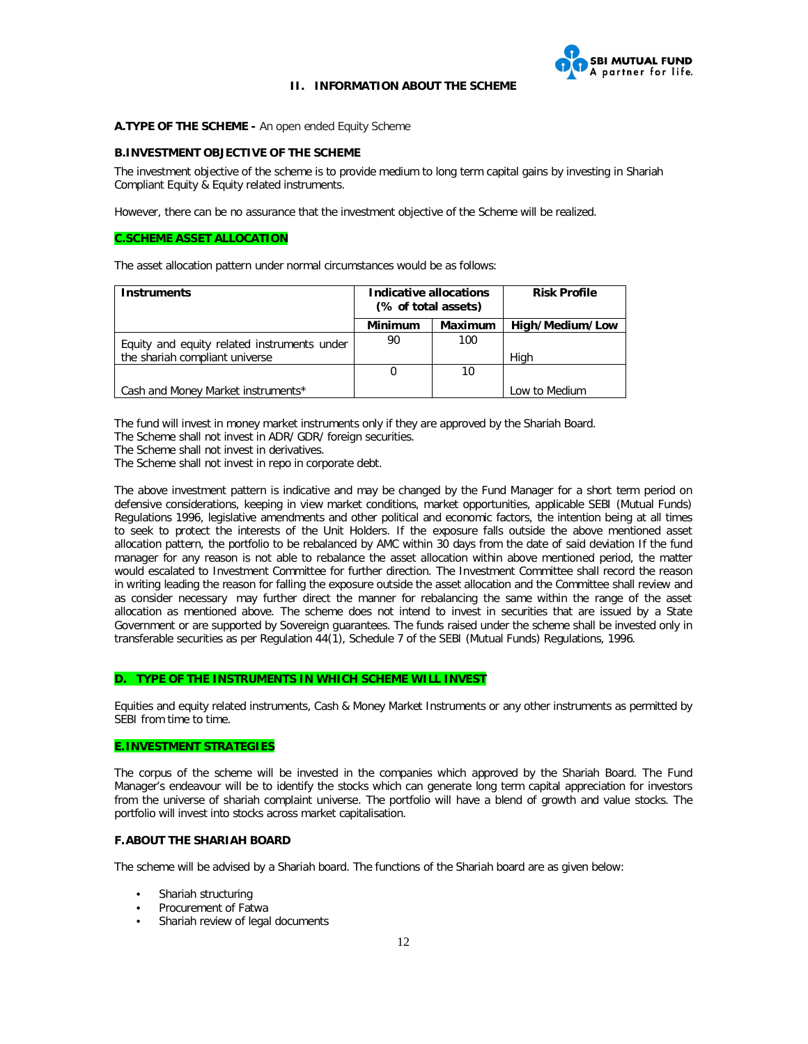

## **II. INFORMATION ABOUT THE SCHEME**

### **A.TYPE OF THE SCHEME -** An open ended Equity Scheme

## **B.INVESTMENT OBJECTIVE OF THE SCHEME**

The investment objective of the scheme is to provide medium to long term capital gains by investing in Shariah Compliant Equity & Equity related instruments.

However, there can be no assurance that the investment objective of the Scheme will be realized.

# **C.SCHEME ASSET ALLOCATION**

The asset allocation pattern under normal circumstances would be as follows:

| <b>Instruments</b>                          | Indicative allocations<br>(% of total assets) |         | <b>Risk Profile</b> |
|---------------------------------------------|-----------------------------------------------|---------|---------------------|
|                                             | Minimum                                       | Maximum | High/Medium/Low     |
| Equity and equity related instruments under | 90                                            | 100     |                     |
| the shariah compliant universe              |                                               |         | High                |
|                                             | 0                                             | 10      |                     |
| Cash and Money Market instruments*          |                                               |         | Low to Medium       |

The fund will invest in money market instruments only if they are approved by the Shariah Board.

The Scheme shall not invest in ADR/ GDR/ foreign securities.

The Scheme shall not invest in derivatives.

The Scheme shall not invest in repo in corporate debt.

The above investment pattern is indicative and may be changed by the Fund Manager for a short term period on defensive considerations, keeping in view market conditions, market opportunities, applicable SEBI (Mutual Funds) Regulations 1996, legislative amendments and other political and economic factors, the intention being at all times to seek to protect the interests of the Unit Holders. If the exposure falls outside the above mentioned asset allocation pattern, the portfolio to be rebalanced by AMC within 30 days from the date of said deviation If the fund manager for any reason is not able to rebalance the asset allocation within above mentioned period, the matter would escalated to Investment Committee for further direction. The Investment Committee shall record the reason in writing leading the reason for falling the exposure outside the asset allocation and the Committee shall review and as consider necessary may further direct the manner for rebalancing the same within the range of the asset allocation as mentioned above. The scheme does not intend to invest in securities that are issued by a State Government or are supported by Sovereign guarantees. The funds raised under the scheme shall be invested only in transferable securities as per Regulation 44(1), Schedule 7 of the SEBI (Mutual Funds) Regulations, 1996.

### **D. TYPE OF THE INSTRUMENTS IN WHICH SCHEME WILL INVEST**

Equities and equity related instruments, Cash & Money Market Instruments or any other instruments as permitted by SEBI from time to time.

## **E.INVESTMENT STRATEGIES**

The corpus of the scheme will be invested in the companies which approved by the Shariah Board. The Fund Manager's endeavour will be to identify the stocks which can generate long term capital appreciation for investors from the universe of shariah complaint universe. The portfolio will have a blend of growth and value stocks. The portfolio will invest into stocks across market capitalisation.

# **F.ABOUT THE SHARIAH BOARD**

The scheme will be advised by a Shariah board. The functions of the Shariah board are as given below:

- Shariah structuring
- Procurement of Fatwa
- Shariah review of legal documents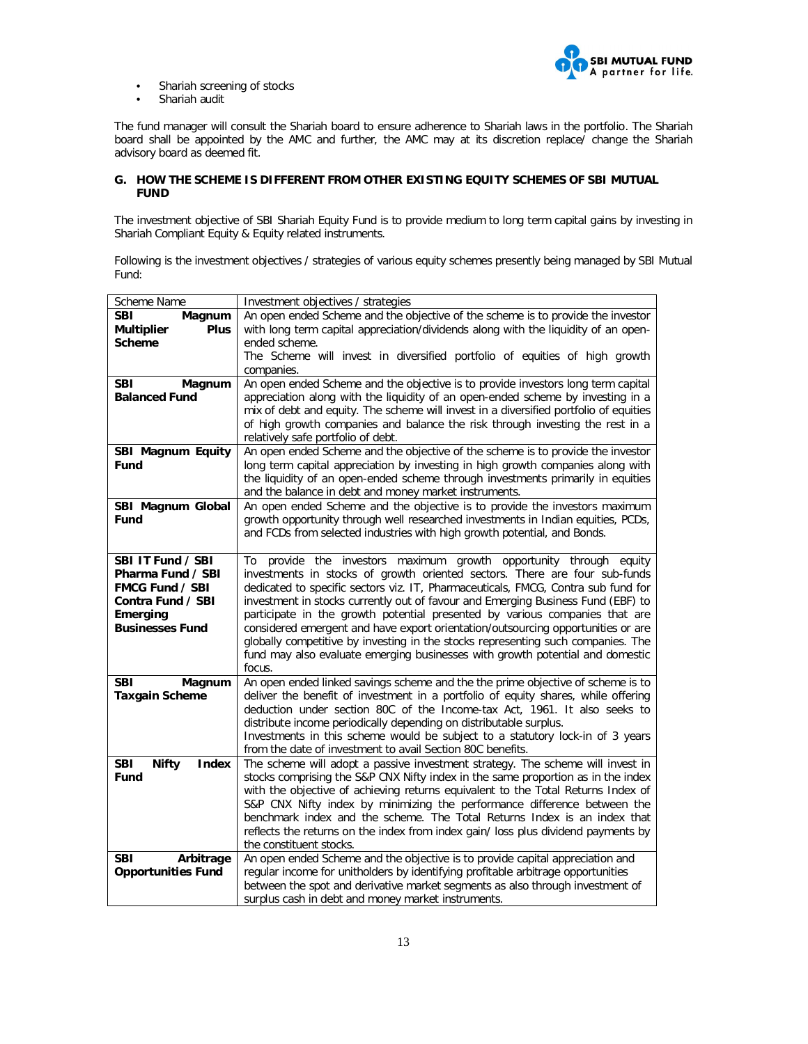

- Shariah screening of stocks
- Shariah audit

The fund manager will consult the Shariah board to ensure adherence to Shariah laws in the portfolio. The Shariah board shall be appointed by the AMC and further, the AMC may at its discretion replace/ change the Shariah advisory board as deemed fit.

## **G. HOW THE SCHEME IS DIFFERENT FROM OTHER EXISTING EQUITY SCHEMES OF SBI MUTUAL FUND**

The investment objective of SBI Shariah Equity Fund is to provide medium to long term capital gains by investing in Shariah Compliant Equity & Equity related instruments.

Following is the investment objectives / strategies of various equity schemes presently being managed by SBI Mutual Fund:

| Scheme Name                      | Investment objectives / strategies                                                    |
|----------------------------------|---------------------------------------------------------------------------------------|
| <b>SBI</b><br>Magnum             | An open ended Scheme and the objective of the scheme is to provide the investor       |
| <b>Plus</b><br><b>Multiplier</b> | with long term capital appreciation/dividends along with the liquidity of an open-    |
| <b>Scheme</b>                    | ended scheme.                                                                         |
|                                  | The Scheme will invest in diversified portfolio of equities of high growth            |
|                                  | companies.                                                                            |
| <b>SBI</b><br>Magnum             | An open ended Scheme and the objective is to provide investors long term capital      |
| <b>Balanced Fund</b>             | appreciation along with the liquidity of an open-ended scheme by investing in a       |
|                                  | mix of debt and equity. The scheme will invest in a diversified portfolio of equities |
|                                  | of high growth companies and balance the risk through investing the rest in a         |
|                                  | relatively safe portfolio of debt.                                                    |
| SBI Magnum Equity                | An open ended Scheme and the objective of the scheme is to provide the investor       |
| Fund                             | long term capital appreciation by investing in high growth companies along with       |
|                                  | the liquidity of an open-ended scheme through investments primarily in equities       |
|                                  | and the balance in debt and money market instruments.                                 |
| SBI Magnum Global                | An open ended Scheme and the objective is to provide the investors maximum            |
| Fund                             | growth opportunity through well researched investments in Indian equities, PCDs,      |
|                                  | and FCDs from selected industries with high growth potential, and Bonds.              |
|                                  |                                                                                       |
| SBI IT Fund / SBI                | provide the investors maximum growth opportunity through<br>equity<br>To              |
| Pharma Fund / SBI                | investments in stocks of growth oriented sectors. There are four sub-funds            |
| <b>FMCG Fund / SBI</b>           | dedicated to specific sectors viz. IT, Pharmaceuticals, FMCG, Contra sub fund for     |
| Contra Fund / SBI                | investment in stocks currently out of favour and Emerging Business Fund (EBF) to      |
| Emerging                         | participate in the growth potential presented by various companies that are           |
| <b>Businesses Fund</b>           | considered emergent and have export orientation/outsourcing opportunities or are      |
|                                  | globally competitive by investing in the stocks representing such companies. The      |
|                                  | fund may also evaluate emerging businesses with growth potential and domestic         |
|                                  | focus.                                                                                |
| <b>SBI</b><br>Magnum             | An open ended linked savings scheme and the the prime objective of scheme is to       |
| <b>Taxgain Scheme</b>            | deliver the benefit of investment in a portfolio of equity shares, while offering     |
|                                  | deduction under section 80C of the Income-tax Act, 1961. It also seeks to             |
|                                  | distribute income periodically depending on distributable surplus.                    |
|                                  | Investments in this scheme would be subject to a statutory lock-in of 3 years         |
|                                  | from the date of investment to avail Section 80C benefits.                            |
| <b>Nifty</b><br>SBI<br>Index     | The scheme will adopt a passive investment strategy. The scheme will invest in        |
| Fund                             | stocks comprising the S&P CNX Nifty index in the same proportion as in the index      |
|                                  | with the objective of achieving returns equivalent to the Total Returns Index of      |
|                                  | S&P CNX Nifty index by minimizing the performance difference between the              |
|                                  | benchmark index and the scheme. The Total Returns Index is an index that              |
|                                  | reflects the returns on the index from index gain/ loss plus dividend payments by     |
|                                  | the constituent stocks.                                                               |
| SBI<br>Arbitrage                 | An open ended Scheme and the objective is to provide capital appreciation and         |
| <b>Opportunities Fund</b>        | regular income for unitholders by identifying profitable arbitrage opportunities      |
|                                  | between the spot and derivative market segments as also through investment of         |
|                                  | surplus cash in debt and money market instruments.                                    |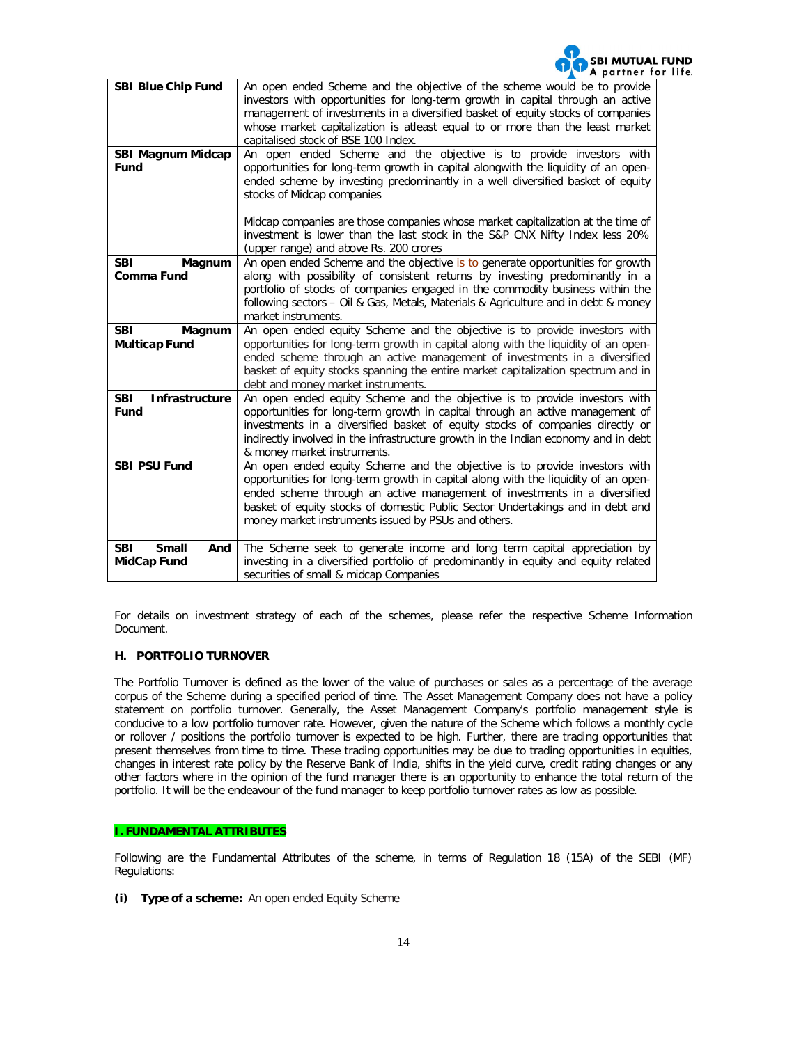

| <b>SBI Blue Chip Fund</b>           | An open ended Scheme and the objective of the scheme would be to provide           |  |  |  |
|-------------------------------------|------------------------------------------------------------------------------------|--|--|--|
|                                     | investors with opportunities for long-term growth in capital through an active     |  |  |  |
|                                     | management of investments in a diversified basket of equity stocks of companies    |  |  |  |
|                                     | whose market capitalization is atleast equal to or more than the least market      |  |  |  |
|                                     |                                                                                    |  |  |  |
|                                     | capitalised stock of BSE 100 Index.                                                |  |  |  |
| SBI Magnum Midcap                   | An open ended Scheme and the objective is to provide investors with                |  |  |  |
| <b>Fund</b>                         | opportunities for long-term growth in capital alongwith the liquidity of an open-  |  |  |  |
|                                     | ended scheme by investing predominantly in a well diversified basket of equity     |  |  |  |
|                                     | stocks of Midcap companies                                                         |  |  |  |
|                                     |                                                                                    |  |  |  |
|                                     | Midcap companies are those companies whose market capitalization at the time of    |  |  |  |
|                                     |                                                                                    |  |  |  |
|                                     | investment is lower than the last stock in the S&P CNX Nifty Index less 20%        |  |  |  |
|                                     | (upper range) and above Rs. 200 crores                                             |  |  |  |
| <b>SBI</b><br>Magnum                | An open ended Scheme and the objective is to generate opportunities for growth     |  |  |  |
| Comma Fund                          | along with possibility of consistent returns by investing predominantly in a       |  |  |  |
|                                     | portfolio of stocks of companies engaged in the commodity business within the      |  |  |  |
|                                     | following sectors - Oil & Gas, Metals, Materials & Agriculture and in debt & money |  |  |  |
|                                     | market instruments.                                                                |  |  |  |
| <b>SBI</b><br>Magnum                | An open ended equity Scheme and the objective is to provide investors with         |  |  |  |
|                                     | opportunities for long-term growth in capital along with the liquidity of an open- |  |  |  |
| <b>Multicap Fund</b>                |                                                                                    |  |  |  |
|                                     | ended scheme through an active management of investments in a diversified          |  |  |  |
|                                     | basket of equity stocks spanning the entire market capitalization spectrum and in  |  |  |  |
|                                     | debt and money market instruments.                                                 |  |  |  |
| <b>SBI</b><br><b>Infrastructure</b> | An open ended equity Scheme and the objective is to provide investors with         |  |  |  |
| Fund                                | opportunities for long-term growth in capital through an active management of      |  |  |  |
|                                     | investments in a diversified basket of equity stocks of companies directly or      |  |  |  |
|                                     | indirectly involved in the infrastructure growth in the Indian economy and in debt |  |  |  |
|                                     | & money market instruments.                                                        |  |  |  |
| <b>SBI PSU Fund</b>                 |                                                                                    |  |  |  |
|                                     | An open ended equity Scheme and the objective is to provide investors with         |  |  |  |
|                                     | opportunities for long-term growth in capital along with the liquidity of an open- |  |  |  |
|                                     | ended scheme through an active management of investments in a diversified          |  |  |  |
|                                     | basket of equity stocks of domestic Public Sector Undertakings and in debt and     |  |  |  |
|                                     | money market instruments issued by PSUs and others.                                |  |  |  |
|                                     |                                                                                    |  |  |  |
| <b>Small</b><br><b>SBI</b><br>And   | The Scheme seek to generate income and long term capital appreciation by           |  |  |  |
| MidCap Fund                         | investing in a diversified portfolio of predominantly in equity and equity related |  |  |  |
|                                     | securities of small & midcap Companies                                             |  |  |  |
|                                     |                                                                                    |  |  |  |

For details on investment strategy of each of the schemes, please refer the respective Scheme Information Document.

### **H. PORTFOLIO TURNOVER**

The Portfolio Turnover is defined as the lower of the value of purchases or sales as a percentage of the average corpus of the Scheme during a specified period of time. The Asset Management Company does not have a policy statement on portfolio turnover. Generally, the Asset Management Company's portfolio management style is conducive to a low portfolio turnover rate. However, given the nature of the Scheme which follows a monthly cycle or rollover / positions the portfolio turnover is expected to be high. Further, there are trading opportunities that present themselves from time to time. These trading opportunities may be due to trading opportunities in equities, changes in interest rate policy by the Reserve Bank of India, shifts in the yield curve, credit rating changes or any other factors where in the opinion of the fund manager there is an opportunity to enhance the total return of the portfolio. It will be the endeavour of the fund manager to keep portfolio turnover rates as low as possible.

## **I. FUNDAMENTAL ATTRIBUTES**

Following are the Fundamental Attributes of the scheme, in terms of Regulation 18 (15A) of the SEBI (MF) Regulations:

**(i) Type of a scheme:** An open ended Equity Scheme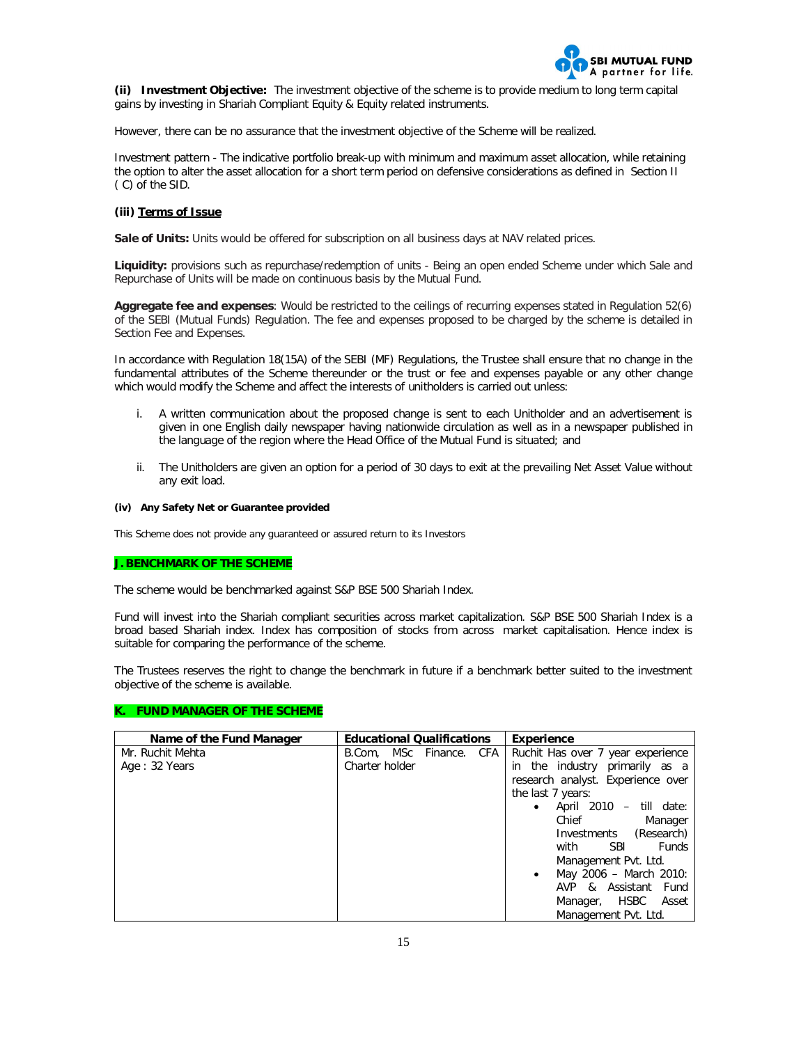

**(ii) Investment Objective:** The investment objective of the scheme is to provide medium to long term capital gains by investing in Shariah Compliant Equity & Equity related instruments.

However, there can be no assurance that the investment objective of the Scheme will be realized.

Investment pattern - The indicative portfolio break-up with minimum and maximum asset allocation, while retaining the option to alter the asset allocation for a short term period on defensive considerations as defined in Section II ( C) of the SID.

#### **(iii) Terms of Issue**

Sale of Units: Units would be offered for subscription on all business days at NAV related prices.

**Liquidity:** provisions such as repurchase/redemption of units - Being an open ended Scheme under which Sale and Repurchase of Units will be made on continuous basis by the Mutual Fund.

**Aggregate fee and expenses**: Would be restricted to the ceilings of recurring expenses stated in Regulation 52(6) of the SEBI (Mutual Funds) Regulation. The fee and expenses proposed to be charged by the scheme is detailed in Section Fee and Expenses.

In accordance with Regulation 18(15A) of the SEBI (MF) Regulations, the Trustee shall ensure that no change in the fundamental attributes of the Scheme thereunder or the trust or fee and expenses payable or any other change which would modify the Scheme and affect the interests of unitholders is carried out unless:

- i. A written communication about the proposed change is sent to each Unitholder and an advertisement is given in one English daily newspaper having nationwide circulation as well as in a newspaper published in the language of the region where the Head Office of the Mutual Fund is situated; and
- ii. The Unitholders are given an option for a period of 30 days to exit at the prevailing Net Asset Value without any exit load.

#### **(iv) Any Safety Net or Guarantee provided**

This Scheme does not provide any guaranteed or assured return to its Investors

#### **J. BENCHMARK OF THE SCHEME**

The scheme would be benchmarked against S&P BSE 500 Shariah Index.

Fund will invest into the Shariah compliant securities across market capitalization. S&P BSE 500 Shariah Index is a broad based Shariah index. Index has composition of stocks from across market capitalisation. Hence index is suitable for comparing the performance of the scheme.

The Trustees reserves the right to change the benchmark in future if a benchmark better suited to the investment objective of the scheme is available.

### **K. FUND MANAGER OF THE SCHEME**

| Name of the Fund Manager | <b>Educational Qualifications</b> |  | <b>Experience</b>                  |
|--------------------------|-----------------------------------|--|------------------------------------|
| Mr. Ruchit Mehta         | B.Com, MSc Finance. CFA           |  | Ruchit Has over 7 year experience  |
| Age: 32 Years            | Charter holder                    |  | in the industry primarily as a     |
|                          |                                   |  | research analyst. Experience over  |
|                          |                                   |  | the last 7 years:                  |
|                          |                                   |  | April 2010 –<br>till date:         |
|                          |                                   |  | Chief<br>Manager                   |
|                          |                                   |  | (Research)<br>Investments          |
|                          |                                   |  | with<br><b>SBI</b><br><b>Funds</b> |
|                          |                                   |  | Management Pvt. Ltd.               |
|                          |                                   |  | May 2006 - March 2010:<br>٠        |
|                          |                                   |  | AVP & Assistant Fund               |
|                          |                                   |  | Manager, HSBC<br>Asset             |
|                          |                                   |  | Management Pvt. Ltd.               |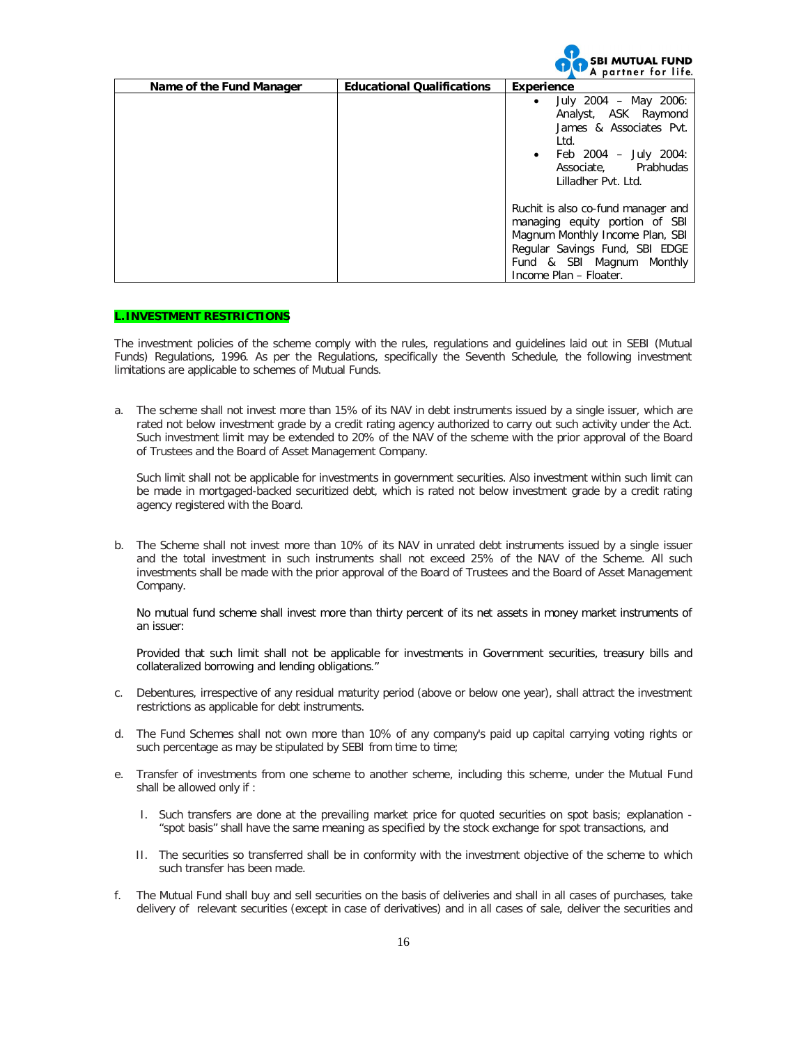

| Name of the Fund Manager | <b>Educational Qualifications</b> | Experience                                                                                                                                                                                       |
|--------------------------|-----------------------------------|--------------------------------------------------------------------------------------------------------------------------------------------------------------------------------------------------|
|                          |                                   | July 2004 - May 2006:<br>٠<br>Analyst, ASK Raymond<br>James & Associates Pvt.<br>Ltd.<br>• Feb $2004 - July 2004$ :<br>Associate. Prabhudas<br>Lilladher Pyt. Ltd.                               |
|                          |                                   | Ruchit is also co-fund manager and<br>managing equity portion of SBI<br>Magnum Monthly Income Plan, SBI<br>Regular Savings Fund, SBI EDGE<br>Fund & SBI Magnum Monthly<br>Income Plan - Floater. |

## **L.INVESTMENT RESTRICTIONS**

The investment policies of the scheme comply with the rules, regulations and guidelines laid out in SEBI (Mutual Funds) Regulations, 1996. As per the Regulations, specifically the Seventh Schedule, the following investment limitations are applicable to schemes of Mutual Funds.

a. The scheme shall not invest more than 15% of its NAV in debt instruments issued by a single issuer, which are rated not below investment grade by a credit rating agency authorized to carry out such activity under the Act. Such investment limit may be extended to 20% of the NAV of the scheme with the prior approval of the Board of Trustees and the Board of Asset Management Company.

Such limit shall not be applicable for investments in government securities. Also investment within such limit can be made in mortgaged-backed securitized debt, which is rated not below investment grade by a credit rating agency registered with the Board.

b. The Scheme shall not invest more than 10% of its NAV in unrated debt instruments issued by a single issuer and the total investment in such instruments shall not exceed 25% of the NAV of the Scheme. All such investments shall be made with the prior approval of the Board of Trustees and the Board of Asset Management Company.

No mutual fund scheme shall invest more than thirty percent of its net assets in money market instruments of an issuer:

Provided that such limit shall not be applicable for investments in Government securities, treasury bills and collateralized borrowing and lending obligations."

- c. Debentures, irrespective of any residual maturity period (above or below one year), shall attract the investment restrictions as applicable for debt instruments.
- d. The Fund Schemes shall not own more than 10% of any company's paid up capital carrying voting rights or such percentage as may be stipulated by SEBI from time to time;
- e. Transfer of investments from one scheme to another scheme, including this scheme, under the Mutual Fund shall be allowed only if :
	- I. Such transfers are done at the prevailing market price for quoted securities on spot basis; explanation "spot basis" shall have the same meaning as specified by the stock exchange for spot transactions, and
	- II. The securities so transferred shall be in conformity with the investment objective of the scheme to which such transfer has been made.
- f. The Mutual Fund shall buy and sell securities on the basis of deliveries and shall in all cases of purchases, take delivery of relevant securities (except in case of derivatives) and in all cases of sale, deliver the securities and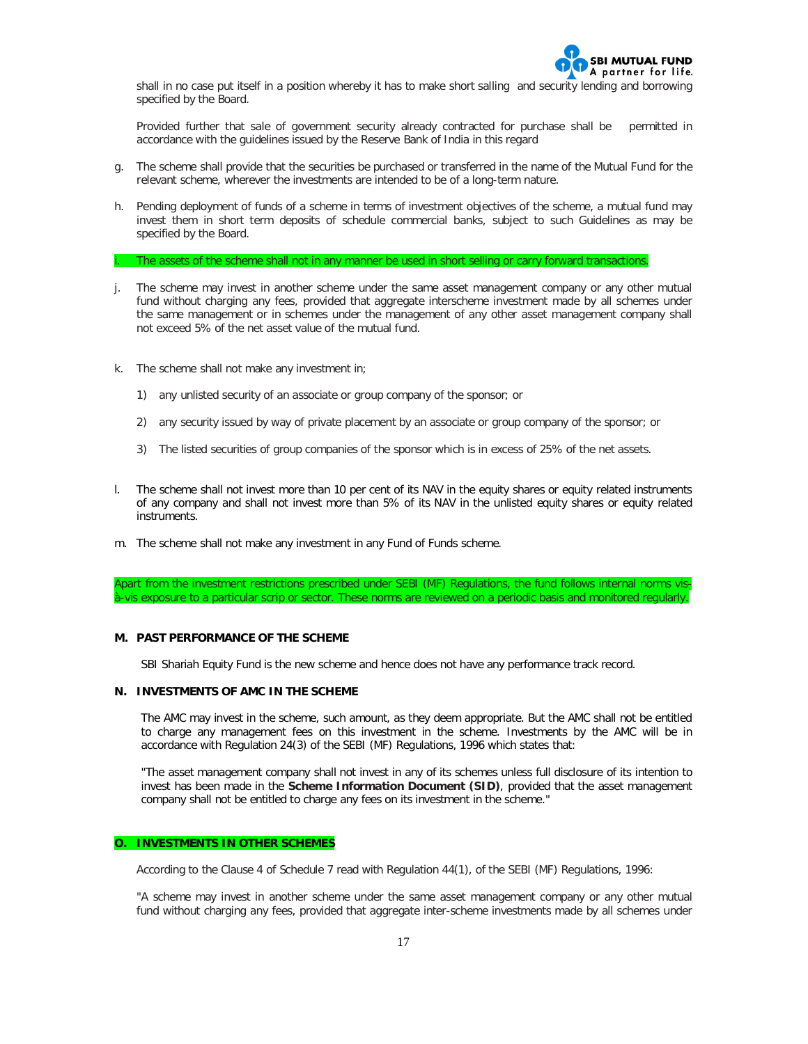

shall in no case put itself in a position whereby it has to make short salling and security lending and borrowing specified by the Board.

Provided further that sale of government security already contracted for purchase shall be permitted in accordance with the guidelines issued by the Reserve Bank of India in this regard

- g. The scheme shall provide that the securities be purchased or transferred in the name of the Mutual Fund for the relevant scheme, wherever the investments are intended to be of a long-term nature.
- h. Pending deployment of funds of a scheme in terms of investment objectives of the scheme, a mutual fund may invest them in short term deposits of schedule commercial banks, subject to such Guidelines as may be specified by the Board.
- The assets of the scheme shall not in any manner be used in short selling or carry forward transactions.
- The scheme may invest in another scheme under the same asset management company or any other mutual fund without charging any fees, provided that aggregate interscheme investment made by all schemes under the same management or in schemes under the management of any other asset management company shall not exceed 5% of the net asset value of the mutual fund.
- k. The scheme shall not make any investment in;
	- 1) any unlisted security of an associate or group company of the sponsor; or
	- 2) any security issued by way of private placement by an associate or group company of the sponsor; or
	- 3) The listed securities of group companies of the sponsor which is in excess of 25% of the net assets.
- l. The scheme shall not invest more than 10 per cent of its NAV in the equity shares or equity related instruments of any company and shall not invest more than 5% of its NAV in the unlisted equity shares or equity related instruments.
- m. The scheme shall not make any investment in any Fund of Funds scheme.

Apart from the investment restrictions prescribed under SEBI (MF) Regulations, the fund follows internal norms visà-vis exposure to a particular scrip or sector. These norms are reviewed on a periodic basis and monitored regularly.

#### **M. PAST PERFORMANCE OF THE SCHEME**

SBI Shariah Equity Fund is the new scheme and hence does not have any performance track record.

#### **N. INVESTMENTS OF AMC IN THE SCHEME**

The AMC may invest in the scheme, such amount, as they deem appropriate. But the AMC shall not be entitled to charge any management fees on this investment in the scheme. Investments by the AMC will be in accordance with Regulation 24(3) of the SEBI (MF) Regulations, 1996 which states that:

"The asset management company shall not invest in any of its schemes unless full disclosure of its intention to invest has been made in the **Scheme Information Document (SID)**, provided that the asset management company shall not be entitled to charge any fees on its investment in the scheme."

### **O. INVESTMENTS IN OTHER SCHEMES**

According to the Clause 4 of Schedule 7 read with Regulation 44(1), of the SEBI (MF) Regulations, 1996:

*"A scheme may invest in another scheme under the same asset management company or any other mutual fund without charging any fees, provided that aggregate inter-scheme investments made by all schemes under*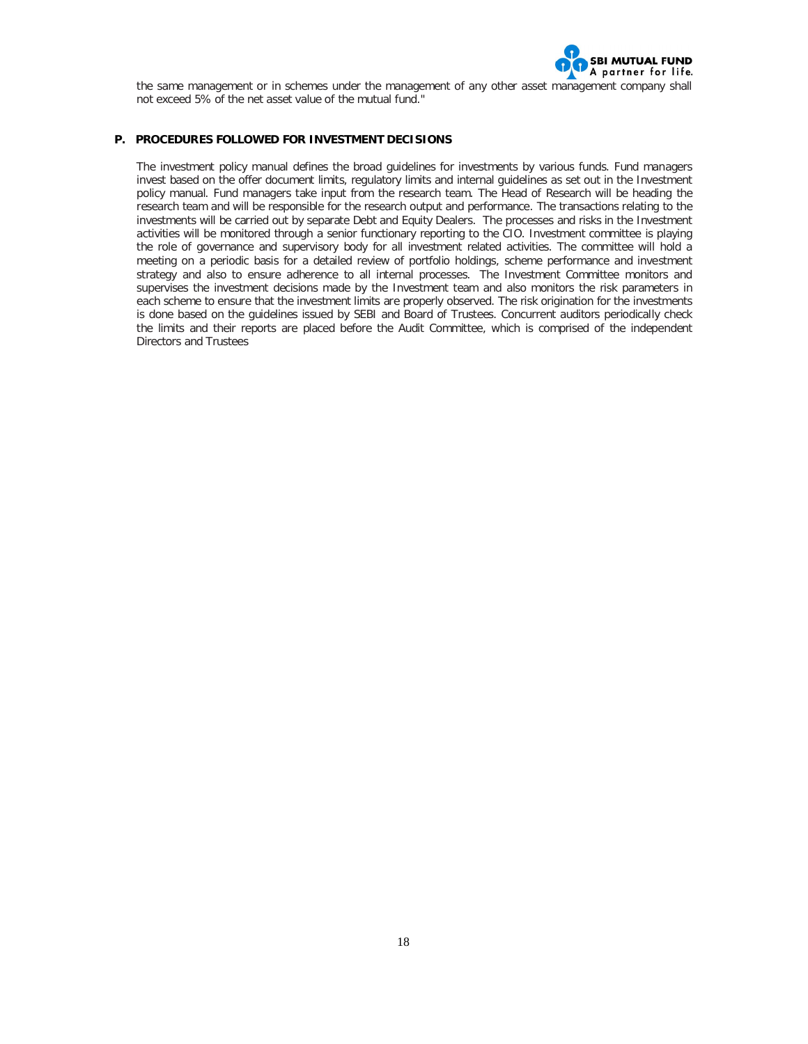

the same management or in schemes under the management of any other asset management company shall *not exceed 5% of the net asset value of the mutual fund."*

# **P. PROCEDURES FOLLOWED FOR INVESTMENT DECISIONS**

The investment policy manual defines the broad guidelines for investments by various funds. Fund managers invest based on the offer document limits, regulatory limits and internal guidelines as set out in the Investment policy manual. Fund managers take input from the research team. The Head of Research will be heading the research team and will be responsible for the research output and performance. The transactions relating to the investments will be carried out by separate Debt and Equity Dealers. The processes and risks in the Investment activities will be monitored through a senior functionary reporting to the CIO. Investment committee is playing the role of governance and supervisory body for all investment related activities. The committee will hold a meeting on a periodic basis for a detailed review of portfolio holdings, scheme performance and investment strategy and also to ensure adherence to all internal processes. The Investment Committee monitors and supervises the investment decisions made by the Investment team and also monitors the risk parameters in each scheme to ensure that the investment limits are properly observed. The risk origination for the investments is done based on the guidelines issued by SEBI and Board of Trustees. Concurrent auditors periodically check the limits and their reports are placed before the Audit Committee, which is comprised of the independent Directors and Trustees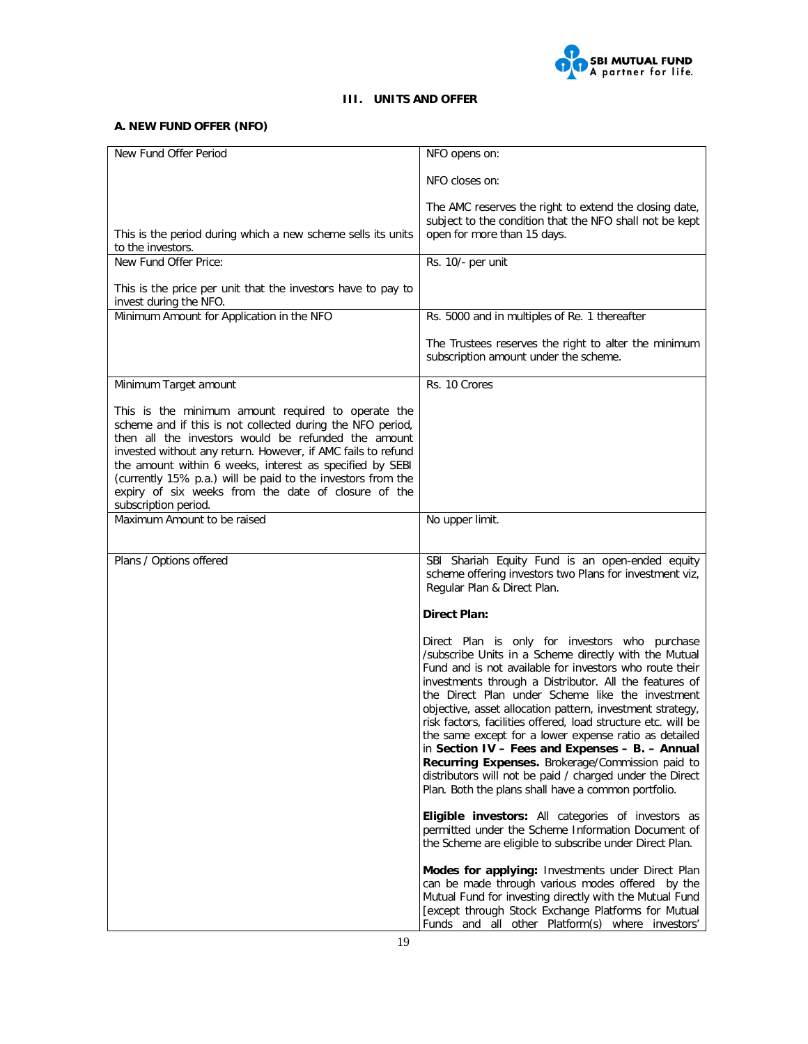

# **III. UNITS AND OFFER**

# **A. NEW FUND OFFER (NFO)**

| New Fund Offer Period                                                                                                                                                                                                                                                                                                                                                                                                                             | NFO opens on:                                                                                                                                                                                                                                                                                                                                                                                                                                                                                                                                                                                                                                                                                     |
|---------------------------------------------------------------------------------------------------------------------------------------------------------------------------------------------------------------------------------------------------------------------------------------------------------------------------------------------------------------------------------------------------------------------------------------------------|---------------------------------------------------------------------------------------------------------------------------------------------------------------------------------------------------------------------------------------------------------------------------------------------------------------------------------------------------------------------------------------------------------------------------------------------------------------------------------------------------------------------------------------------------------------------------------------------------------------------------------------------------------------------------------------------------|
|                                                                                                                                                                                                                                                                                                                                                                                                                                                   | NFO closes on:                                                                                                                                                                                                                                                                                                                                                                                                                                                                                                                                                                                                                                                                                    |
|                                                                                                                                                                                                                                                                                                                                                                                                                                                   | The AMC reserves the right to extend the closing date,                                                                                                                                                                                                                                                                                                                                                                                                                                                                                                                                                                                                                                            |
| This is the period during which a new scheme sells its units<br>to the investors.                                                                                                                                                                                                                                                                                                                                                                 | subject to the condition that the NFO shall not be kept<br>open for more than 15 days.                                                                                                                                                                                                                                                                                                                                                                                                                                                                                                                                                                                                            |
| New Fund Offer Price:                                                                                                                                                                                                                                                                                                                                                                                                                             | Rs. 10/- per unit                                                                                                                                                                                                                                                                                                                                                                                                                                                                                                                                                                                                                                                                                 |
| This is the price per unit that the investors have to pay to<br>invest during the NFO.                                                                                                                                                                                                                                                                                                                                                            |                                                                                                                                                                                                                                                                                                                                                                                                                                                                                                                                                                                                                                                                                                   |
| Minimum Amount for Application in the NFO                                                                                                                                                                                                                                                                                                                                                                                                         | Rs. 5000 and in multiples of Re. 1 thereafter                                                                                                                                                                                                                                                                                                                                                                                                                                                                                                                                                                                                                                                     |
|                                                                                                                                                                                                                                                                                                                                                                                                                                                   | The Trustees reserves the right to alter the minimum<br>subscription amount under the scheme.                                                                                                                                                                                                                                                                                                                                                                                                                                                                                                                                                                                                     |
| Minimum Target amount                                                                                                                                                                                                                                                                                                                                                                                                                             | Rs. 10 Crores                                                                                                                                                                                                                                                                                                                                                                                                                                                                                                                                                                                                                                                                                     |
| This is the minimum amount required to operate the<br>scheme and if this is not collected during the NFO period,<br>then all the investors would be refunded the amount<br>invested without any return. However, if AMC fails to refund<br>the amount within 6 weeks, interest as specified by SEBI<br>(currently 15% p.a.) will be paid to the investors from the<br>expiry of six weeks from the date of closure of the<br>subscription period. |                                                                                                                                                                                                                                                                                                                                                                                                                                                                                                                                                                                                                                                                                                   |
| Maximum Amount to be raised                                                                                                                                                                                                                                                                                                                                                                                                                       | No upper limit.                                                                                                                                                                                                                                                                                                                                                                                                                                                                                                                                                                                                                                                                                   |
|                                                                                                                                                                                                                                                                                                                                                                                                                                                   |                                                                                                                                                                                                                                                                                                                                                                                                                                                                                                                                                                                                                                                                                                   |
| Plans / Options offered                                                                                                                                                                                                                                                                                                                                                                                                                           | SBI Shariah Equity Fund is an open-ended equity<br>scheme offering investors two Plans for investment viz,<br>Regular Plan & Direct Plan.                                                                                                                                                                                                                                                                                                                                                                                                                                                                                                                                                         |
|                                                                                                                                                                                                                                                                                                                                                                                                                                                   | <b>Direct Plan:</b>                                                                                                                                                                                                                                                                                                                                                                                                                                                                                                                                                                                                                                                                               |
|                                                                                                                                                                                                                                                                                                                                                                                                                                                   | Direct Plan is only for investors who purchase<br>/subscribe Units in a Scheme directly with the Mutual<br>Fund and is not available for investors who route their<br>investments through a Distributor. All the features of<br>the Direct Plan under Scheme like the investment<br>objective, asset allocation pattern, investment strategy,<br>risk factors, facilities offered, load structure etc. will be<br>the same except for a lower expense ratio as detailed<br>in Section IV - Fees and Expenses - B. - Annual<br>Recurring Expenses. Brokerage/Commission paid to<br>distributors will not be paid / charged under the Direct<br>Plan. Both the plans shall have a common portfolio. |
|                                                                                                                                                                                                                                                                                                                                                                                                                                                   | Eligible investors: All categories of investors as<br>permitted under the Scheme Information Document of<br>the Scheme are eligible to subscribe under Direct Plan.                                                                                                                                                                                                                                                                                                                                                                                                                                                                                                                               |
|                                                                                                                                                                                                                                                                                                                                                                                                                                                   | Modes for applying: Investments under Direct Plan<br>can be made through various modes offered by the<br>Mutual Fund for investing directly with the Mutual Fund<br>[except through Stock Exchange Platforms for Mutual<br>Funds and all other Platform(s) where investors'                                                                                                                                                                                                                                                                                                                                                                                                                       |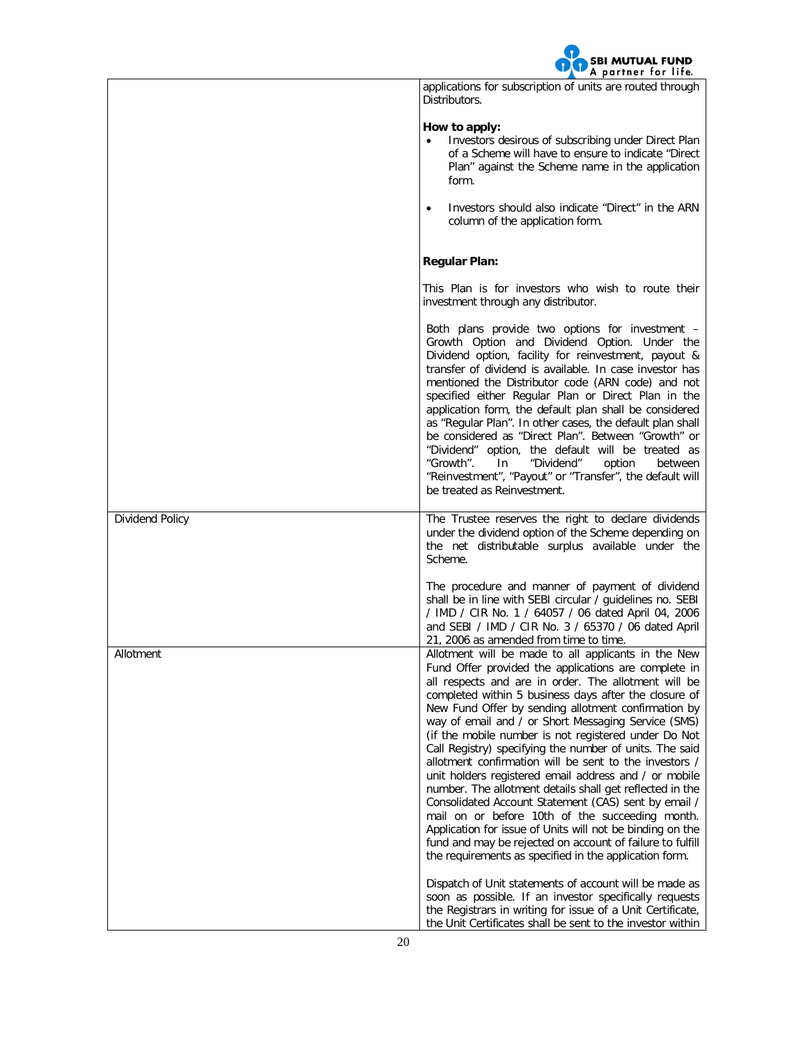

| applications for subscription of units are routed through |  |  |  |  |
|-----------------------------------------------------------|--|--|--|--|
| Distributors.                                             |  |  |  |  |

# **How to apply:**

- Investors desirous of subscribing under Direct Plan of a Scheme will have to ensure to indicate "Direct Plan" against the Scheme name in the application form.
- Investors should also indicate "Direct" in the ARN column of the application form.

|                 | <b>Regular Plan:</b>                                                                                                                                                                                                                                                                                                                                                                                                                                                                                                                                                                                                                                                                                                                                                                                                                                                                                                                        |
|-----------------|---------------------------------------------------------------------------------------------------------------------------------------------------------------------------------------------------------------------------------------------------------------------------------------------------------------------------------------------------------------------------------------------------------------------------------------------------------------------------------------------------------------------------------------------------------------------------------------------------------------------------------------------------------------------------------------------------------------------------------------------------------------------------------------------------------------------------------------------------------------------------------------------------------------------------------------------|
|                 | This Plan is for investors who wish to route their<br>investment through any distributor.                                                                                                                                                                                                                                                                                                                                                                                                                                                                                                                                                                                                                                                                                                                                                                                                                                                   |
|                 | Both plans provide two options for investment –<br>Growth Option and Dividend Option. Under the<br>Dividend option, facility for reinvestment, payout &<br>transfer of dividend is available. In case investor has<br>mentioned the Distributor code (ARN code) and not<br>specified either Regular Plan or Direct Plan in the<br>application form, the default plan shall be considered<br>as "Regular Plan". In other cases, the default plan shall<br>be considered as "Direct Plan". Between "Growth" or<br>"Dividend" option, the default will be treated as<br>"Growth".<br>"Dividend"<br>option<br>In<br>between<br>"Reinvestment", "Payout" or "Transfer", the default will<br>be treated as Reinvestment.                                                                                                                                                                                                                          |
| Dividend Policy | The Trustee reserves the right to declare dividends<br>under the dividend option of the Scheme depending on<br>the net distributable surplus available under the<br>Scheme.                                                                                                                                                                                                                                                                                                                                                                                                                                                                                                                                                                                                                                                                                                                                                                 |
|                 | The procedure and manner of payment of dividend<br>shall be in line with SEBI circular / quidelines no. SEBI<br>/ IMD / CIR No. 1 / 64057 / 06 dated April 04, 2006<br>and SEBI / IMD / CIR No. 3 / 65370 / 06 dated April<br>21, 2006 as amended from time to time.                                                                                                                                                                                                                                                                                                                                                                                                                                                                                                                                                                                                                                                                        |
| Allotment       | Allotment will be made to all applicants in the New<br>Fund Offer provided the applications are complete in<br>all respects and are in order. The allotment will be<br>completed within 5 business days after the closure of<br>New Fund Offer by sending allotment confirmation by<br>way of email and / or Short Messaging Service (SMS)<br>(if the mobile number is not registered under Do Not<br>Call Registry) specifying the number of units. The said<br>allotment confirmation will be sent to the investors /<br>unit holders registered email address and / or mobile<br>number. The allotment details shall get reflected in the<br>Consolidated Account Statement (CAS) sent by email /<br>mail on or before 10th of the succeeding month.<br>Application for issue of Units will not be binding on the<br>fund and may be rejected on account of failure to fulfill<br>the requirements as specified in the application form. |
|                 | Dispatch of Unit statements of account will be made as<br>soon as possible. If an investor specifically requests<br>the Registrars in writing for issue of a Unit Certificate,<br>the Unit Certificates shall be sent to the investor within                                                                                                                                                                                                                                                                                                                                                                                                                                                                                                                                                                                                                                                                                                |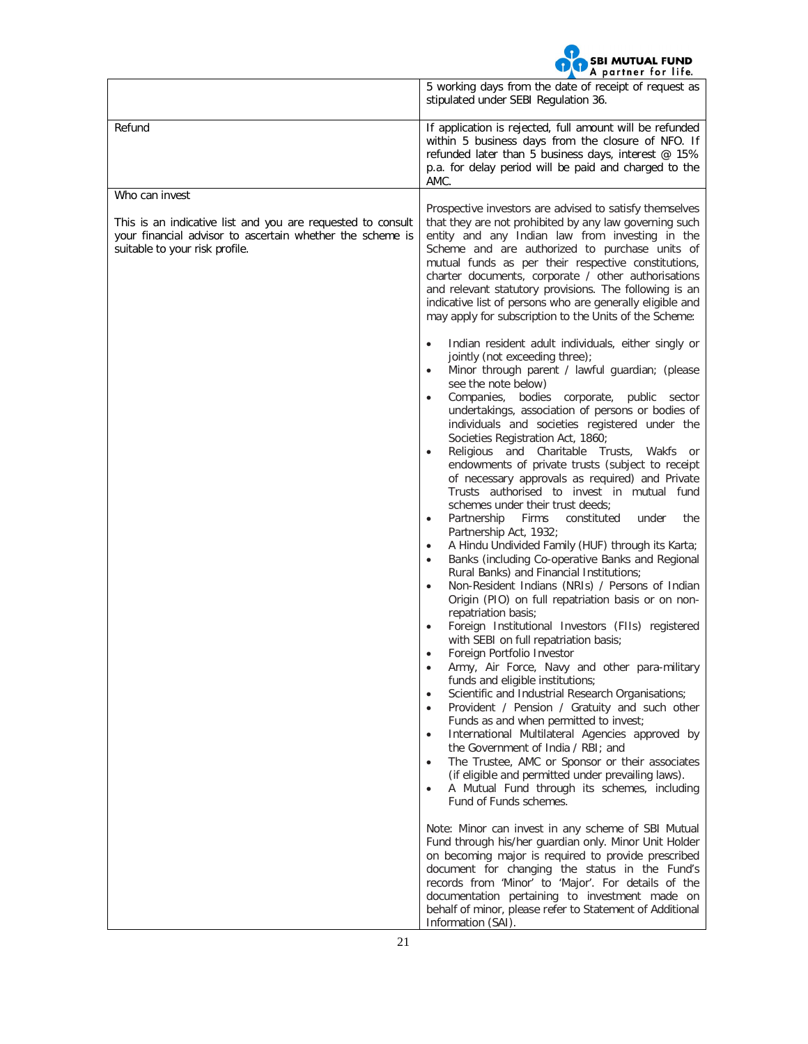

|                                                                                                                                                                              | A partner for life.                                                                                                                                                                                                                                                                                                                                                                                                                                                                                                                                                                                                                                                                                                                                                                                                                                                                                                                                                                                                                                                                                                                                                                                                                                                                                                                                                                                                                                                                                                                                                                                                                                                                                                                                                                                                                                                                                                                                                                                                                                                                                                                                                                                                                                       |
|------------------------------------------------------------------------------------------------------------------------------------------------------------------------------|-----------------------------------------------------------------------------------------------------------------------------------------------------------------------------------------------------------------------------------------------------------------------------------------------------------------------------------------------------------------------------------------------------------------------------------------------------------------------------------------------------------------------------------------------------------------------------------------------------------------------------------------------------------------------------------------------------------------------------------------------------------------------------------------------------------------------------------------------------------------------------------------------------------------------------------------------------------------------------------------------------------------------------------------------------------------------------------------------------------------------------------------------------------------------------------------------------------------------------------------------------------------------------------------------------------------------------------------------------------------------------------------------------------------------------------------------------------------------------------------------------------------------------------------------------------------------------------------------------------------------------------------------------------------------------------------------------------------------------------------------------------------------------------------------------------------------------------------------------------------------------------------------------------------------------------------------------------------------------------------------------------------------------------------------------------------------------------------------------------------------------------------------------------------------------------------------------------------------------------------------------------|
|                                                                                                                                                                              | 5 working days from the date of receipt of request as<br>stipulated under SEBI Regulation 36.                                                                                                                                                                                                                                                                                                                                                                                                                                                                                                                                                                                                                                                                                                                                                                                                                                                                                                                                                                                                                                                                                                                                                                                                                                                                                                                                                                                                                                                                                                                                                                                                                                                                                                                                                                                                                                                                                                                                                                                                                                                                                                                                                             |
| Refund                                                                                                                                                                       | If application is rejected, full amount will be refunded<br>within 5 business days from the closure of NFO. If<br>refunded later than 5 business days, interest @ 15%<br>p.a. for delay period will be paid and charged to the<br>AMC.                                                                                                                                                                                                                                                                                                                                                                                                                                                                                                                                                                                                                                                                                                                                                                                                                                                                                                                                                                                                                                                                                                                                                                                                                                                                                                                                                                                                                                                                                                                                                                                                                                                                                                                                                                                                                                                                                                                                                                                                                    |
| Who can invest<br>This is an indicative list and you are requested to consult<br>your financial advisor to ascertain whether the scheme is<br>suitable to your risk profile. | Prospective investors are advised to satisfy themselves<br>that they are not prohibited by any law governing such<br>entity and any Indian law from investing in the<br>Scheme and are authorized to purchase units of<br>mutual funds as per their respective constitutions,<br>charter documents, corporate / other authorisations<br>and relevant statutory provisions. The following is an<br>indicative list of persons who are generally eligible and<br>may apply for subscription to the Units of the Scheme:<br>Indian resident adult individuals, either singly or<br>$\bullet$<br>jointly (not exceeding three);<br>Minor through parent / lawful guardian; (please<br>see the note below)<br>Companies, bodies corporate, public sector<br>$\bullet$<br>undertakings, association of persons or bodies of<br>individuals and societies registered under the<br>Societies Registration Act, 1860;<br>Religious and Charitable Trusts,<br>Wakfs<br>$\bullet$<br>or<br>endowments of private trusts (subject to receipt<br>of necessary approvals as required) and Private<br>Trusts authorised to invest in mutual fund<br>schemes under their trust deeds;<br>Partnership<br>Firms<br>constituted<br>the<br>under<br>Partnership Act, 1932;<br>A Hindu Undivided Family (HUF) through its Karta;<br>$\bullet$<br>Banks (including Co-operative Banks and Regional<br>Rural Banks) and Financial Institutions;<br>Non-Resident Indians (NRIs) / Persons of Indian<br>$\bullet$<br>Origin (PIO) on full repatriation basis or on non-<br>repatriation basis;<br>Foreign Institutional Investors (FIIs) registered<br>with SEBI on full repatriation basis;<br>Foreign Portfolio Investor<br>Army, Air Force, Navy and other para-military<br>funds and eligible institutions;<br>Scientific and Industrial Research Organisations;<br>Provident / Pension / Gratuity and such other<br>$\bullet$<br>Funds as and when permitted to invest;<br>International Multilateral Agencies approved by<br>$\bullet$<br>the Government of India / RBI; and<br>The Trustee, AMC or Sponsor or their associates<br>$\bullet$<br>(if eligible and permitted under prevailing laws).<br>A Mutual Fund through its schemes, including<br>Fund of Funds schemes. |
|                                                                                                                                                                              | Note: Minor can invest in any scheme of SBI Mutual<br>Fund through his/her guardian only. Minor Unit Holder<br>on becoming major is required to provide prescribed<br>document for changing the status in the Fund's<br>records from 'Minor' to 'Major'. For details of the<br>documentation pertaining to investment made on<br>behalf of minor, please refer to Statement of Additional<br>Information (SAI).                                                                                                                                                                                                                                                                                                                                                                                                                                                                                                                                                                                                                                                                                                                                                                                                                                                                                                                                                                                                                                                                                                                                                                                                                                                                                                                                                                                                                                                                                                                                                                                                                                                                                                                                                                                                                                           |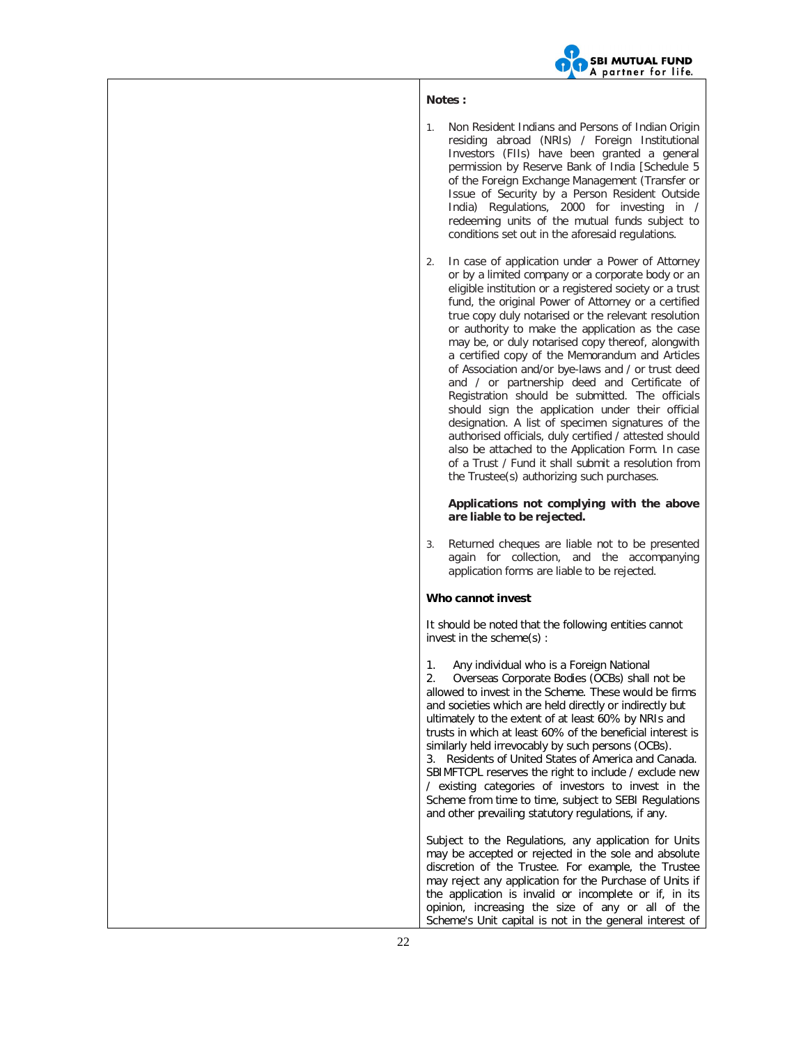

## **Notes :**

- 1. Non Resident Indians and Persons of Indian Origin residing abroad (NRIs) / Foreign Institutional Investors (FIIs) have been granted a general permission by Reserve Bank of India [Schedule 5 of the Foreign Exchange Management (Transfer or Issue of Security by a Person Resident Outside India) Regulations, 2000 for investing in / redeeming units of the mutual funds subject to conditions set out in the aforesaid regulations.
- 2. In case of application under a Power of Attorney or by a limited company or a corporate body or an eligible institution or a registered society or a trust fund, the original Power of Attorney or a certified true copy duly notarised or the relevant resolution or authority to make the application as the case may be, or duly notarised copy thereof, alongwith a certified copy of the Memorandum and Articles of Association and/or bye-laws and / or trust deed and / or partnership deed and Certificate of Registration should be submitted. The officials should sign the application under their official designation. A list of specimen signatures of the authorised officials, duly certified / attested should also be attached to the Application Form. In case of a Trust / Fund it shall submit a resolution from the Trustee(s) authorizing such purchases.

#### **Applications not complying with the above are liable to be rejected.**

3. Returned cheques are liable not to be presented again for collection, and the accompanying application forms are liable to be rejected.

### **Who cannot invest**

It should be noted that the following entities cannot invest in the scheme(s) :

1. Any individual who is a Foreign National 2. Overseas Corporate Bodies (OCBs) shall not be allowed to invest in the Scheme. These would be firms and societies which are held directly or indirectly but ultimately to the extent of at least 60% by NRIs and trusts in which at least 60% of the beneficial interest is similarly held irrevocably by such persons (OCBs). 3. Residents of United States of America and Canada. SBIMFTCPL reserves the right to include / exclude new / existing categories of investors to invest in the Scheme from time to time, subject to SEBI Regulations and other prevailing statutory regulations, if any.

Subject to the Regulations, any application for Units may be accepted or rejected in the sole and absolute discretion of the Trustee. For example, the Trustee may reject any application for the Purchase of Units if the application is invalid or incomplete or if, in its opinion, increasing the size of any or all of the Scheme's Unit capital is not in the general interest of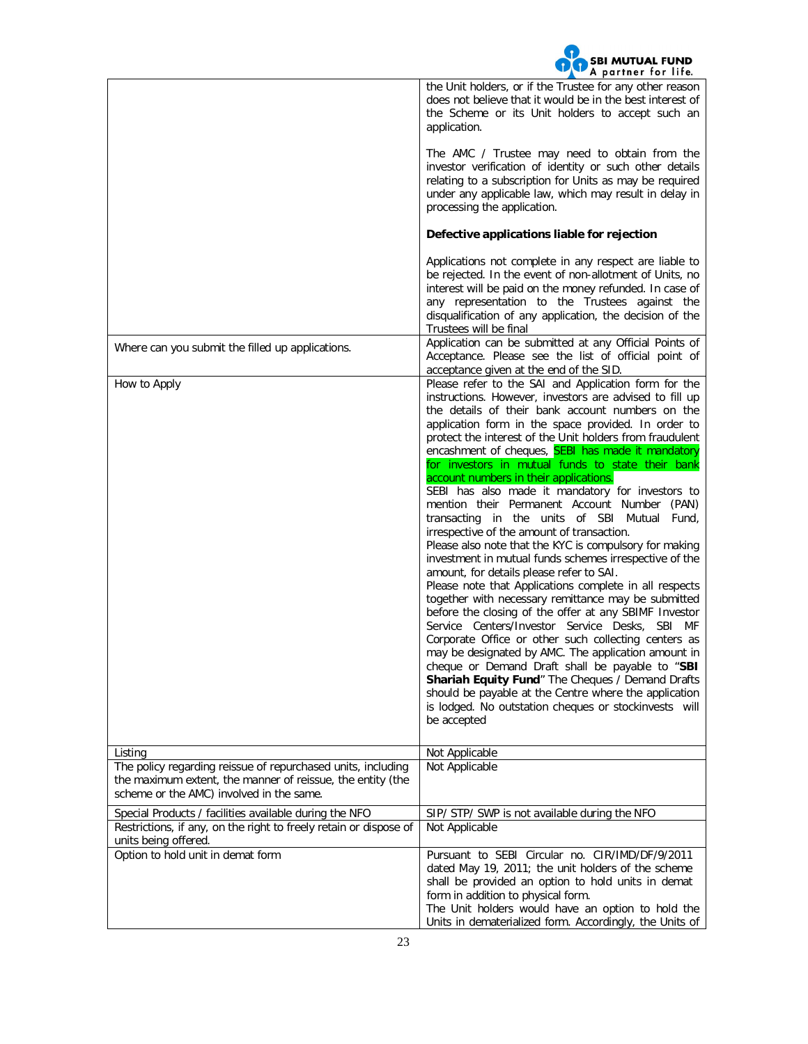

|                                                                                                                                                                        | ÷<br>A partner for life.                                                                                                                                                                                                                                                                                                                                                                                                                                                                                                                                                                                                                                                                                                                                                                                                                                                                                                                                                                                                                                                                                                                                                                                                                                                                                                                                                                        |
|------------------------------------------------------------------------------------------------------------------------------------------------------------------------|-------------------------------------------------------------------------------------------------------------------------------------------------------------------------------------------------------------------------------------------------------------------------------------------------------------------------------------------------------------------------------------------------------------------------------------------------------------------------------------------------------------------------------------------------------------------------------------------------------------------------------------------------------------------------------------------------------------------------------------------------------------------------------------------------------------------------------------------------------------------------------------------------------------------------------------------------------------------------------------------------------------------------------------------------------------------------------------------------------------------------------------------------------------------------------------------------------------------------------------------------------------------------------------------------------------------------------------------------------------------------------------------------|
|                                                                                                                                                                        | the Unit holders, or if the Trustee for any other reason<br>does not believe that it would be in the best interest of<br>the Scheme or its Unit holders to accept such an<br>application.<br>The AMC / Trustee may need to obtain from the<br>investor verification of identity or such other details<br>relating to a subscription for Units as may be required<br>under any applicable law, which may result in delay in<br>processing the application.                                                                                                                                                                                                                                                                                                                                                                                                                                                                                                                                                                                                                                                                                                                                                                                                                                                                                                                                       |
|                                                                                                                                                                        | Defective applications liable for rejection                                                                                                                                                                                                                                                                                                                                                                                                                                                                                                                                                                                                                                                                                                                                                                                                                                                                                                                                                                                                                                                                                                                                                                                                                                                                                                                                                     |
|                                                                                                                                                                        | Applications not complete in any respect are liable to<br>be rejected. In the event of non-allotment of Units, no<br>interest will be paid on the money refunded. In case of<br>any representation to the Trustees against the<br>disqualification of any application, the decision of the<br>Trustees will be final                                                                                                                                                                                                                                                                                                                                                                                                                                                                                                                                                                                                                                                                                                                                                                                                                                                                                                                                                                                                                                                                            |
| Where can you submit the filled up applications.                                                                                                                       | Application can be submitted at any Official Points of<br>Acceptance. Please see the list of official point of<br>acceptance given at the end of the SID.                                                                                                                                                                                                                                                                                                                                                                                                                                                                                                                                                                                                                                                                                                                                                                                                                                                                                                                                                                                                                                                                                                                                                                                                                                       |
| How to Apply                                                                                                                                                           | Please refer to the SAI and Application form for the<br>instructions. However, investors are advised to fill up<br>the details of their bank account numbers on the<br>application form in the space provided. In order to<br>protect the interest of the Unit holders from fraudulent<br>encashment of cheques, SEBI has made it mandatory<br>for investors in mutual funds to state their bank<br>account numbers in their applications.<br>SEBI has also made it mandatory for investors to<br>mention their Permanent Account Number (PAN)<br>transacting in the units of SBI Mutual Fund,<br>irrespective of the amount of transaction.<br>Please also note that the KYC is compulsory for making<br>investment in mutual funds schemes irrespective of the<br>amount, for details please refer to SAI.<br>Please note that Applications complete in all respects<br>together with necessary remittance may be submitted<br>before the closing of the offer at any SBIMF Investor<br>Service Centers/Investor Service Desks, SBI MF<br>Corporate Office or other such collecting centers as<br>may be designated by AMC. The application amount in<br>cheque or Demand Draft shall be payable to "SBI<br>Shariah Equity Fund" The Cheques / Demand Drafts<br>should be payable at the Centre where the application<br>is lodged. No outstation cheques or stockinvests will<br>be accepted |
| Listing                                                                                                                                                                | Not Applicable                                                                                                                                                                                                                                                                                                                                                                                                                                                                                                                                                                                                                                                                                                                                                                                                                                                                                                                                                                                                                                                                                                                                                                                                                                                                                                                                                                                  |
| The policy regarding reissue of repurchased units, including<br>the maximum extent, the manner of reissue, the entity (the<br>scheme or the AMC) involved in the same. | Not Applicable                                                                                                                                                                                                                                                                                                                                                                                                                                                                                                                                                                                                                                                                                                                                                                                                                                                                                                                                                                                                                                                                                                                                                                                                                                                                                                                                                                                  |
| Special Products / facilities available during the NFO                                                                                                                 | SIP/ STP/ SWP is not available during the NFO                                                                                                                                                                                                                                                                                                                                                                                                                                                                                                                                                                                                                                                                                                                                                                                                                                                                                                                                                                                                                                                                                                                                                                                                                                                                                                                                                   |
| Restrictions, if any, on the right to freely retain or dispose of<br>units being offered.                                                                              | Not Applicable                                                                                                                                                                                                                                                                                                                                                                                                                                                                                                                                                                                                                                                                                                                                                                                                                                                                                                                                                                                                                                                                                                                                                                                                                                                                                                                                                                                  |
| Option to hold unit in demat form                                                                                                                                      | Pursuant to SEBI Circular no. CIR/IMD/DF/9/2011<br>dated May 19, 2011; the unit holders of the scheme<br>shall be provided an option to hold units in demat<br>form in addition to physical form.<br>The Unit holders would have an option to hold the<br>Units in dematerialized form. Accordingly, the Units of                                                                                                                                                                                                                                                                                                                                                                                                                                                                                                                                                                                                                                                                                                                                                                                                                                                                                                                                                                                                                                                                               |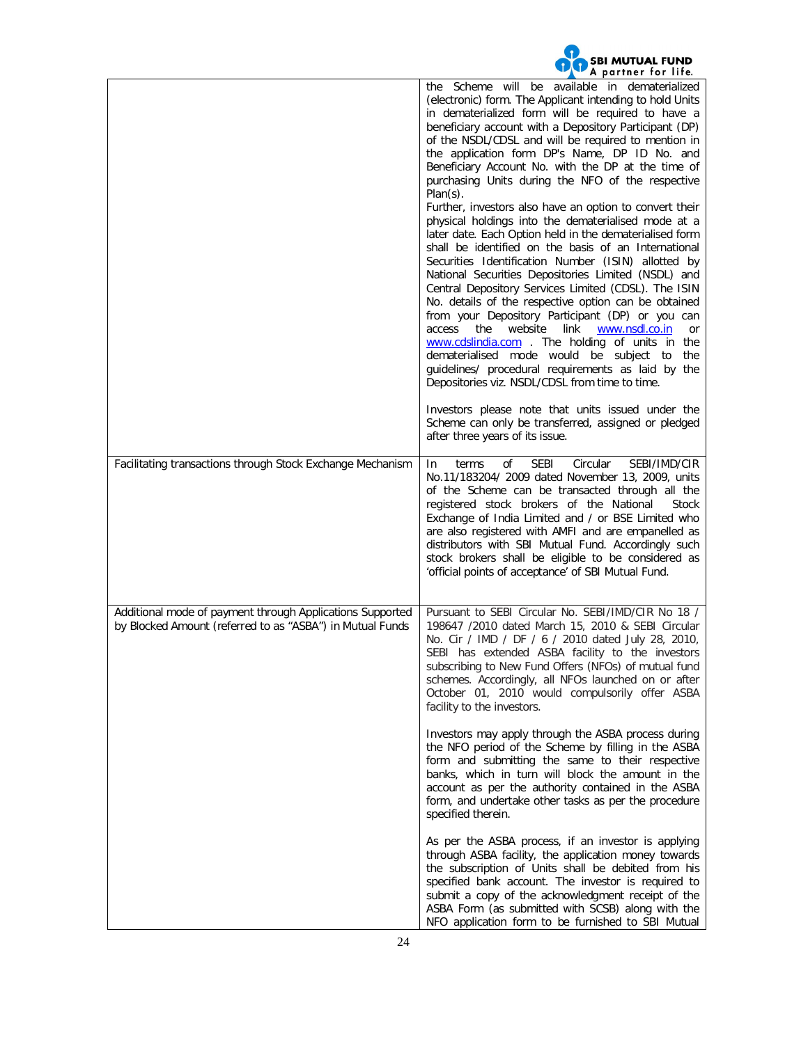|                                                                                                                        | <b>SBI MUTUAL FUND</b><br>A partner for life.                                                                                                                                                                                                                                                                                                                                                                                                                                                                                                                                                                                                                                                                                                                                                                                                                                                                                                                                                                                                                                                                                                                                                                                                                           |
|------------------------------------------------------------------------------------------------------------------------|-------------------------------------------------------------------------------------------------------------------------------------------------------------------------------------------------------------------------------------------------------------------------------------------------------------------------------------------------------------------------------------------------------------------------------------------------------------------------------------------------------------------------------------------------------------------------------------------------------------------------------------------------------------------------------------------------------------------------------------------------------------------------------------------------------------------------------------------------------------------------------------------------------------------------------------------------------------------------------------------------------------------------------------------------------------------------------------------------------------------------------------------------------------------------------------------------------------------------------------------------------------------------|
|                                                                                                                        | available in dematerialized<br>Scheme will<br>be<br>the<br>(electronic) form. The Applicant intending to hold Units<br>in dematerialized form will be required to have a<br>beneficiary account with a Depository Participant (DP)<br>of the NSDL/CDSL and will be required to mention in<br>the application form DP's Name, DP ID No. and<br>Beneficiary Account No. with the DP at the time of<br>purchasing Units during the NFO of the respective<br>$Plan(s)$ .<br>Further, investors also have an option to convert their<br>physical holdings into the dematerialised mode at a<br>later date. Each Option held in the dematerialised form<br>shall be identified on the basis of an International<br>Securities Identification Number (ISIN) allotted by<br>National Securities Depositories Limited (NSDL) and<br>Central Depository Services Limited (CDSL). The ISIN<br>No. details of the respective option can be obtained<br>from your Depository Participant (DP) or you can<br>the<br>website<br>link<br>www.nsdl.co.in<br>access<br>or<br>www.cdslindia.com . The holding of units in<br>the<br>dematerialised mode would be subject to<br>the<br>guidelines/ procedural requirements as laid by the<br>Depositories viz. NSDL/CDSL from time to time. |
|                                                                                                                        | Investors please note that units issued under the<br>Scheme can only be transferred, assigned or pledged<br>after three years of its issue.                                                                                                                                                                                                                                                                                                                                                                                                                                                                                                                                                                                                                                                                                                                                                                                                                                                                                                                                                                                                                                                                                                                             |
| Facilitating transactions through Stock Exchange Mechanism                                                             | <b>SEBI</b><br>Circular<br>SEBI/IMD/CIR<br>οf<br>-In<br>terms<br>No.11/183204/ 2009 dated November 13, 2009, units<br>of the Scheme can be transacted through all the<br>registered stock brokers of the National<br>Stock<br>Exchange of India Limited and / or BSE Limited who<br>are also registered with AMFI and are empanelled as<br>distributors with SBI Mutual Fund. Accordingly such<br>stock brokers shall be eligible to be considered as<br>'official points of acceptance' of SBI Mutual Fund.                                                                                                                                                                                                                                                                                                                                                                                                                                                                                                                                                                                                                                                                                                                                                            |
| Additional mode of payment through Applications Supported<br>by Blocked Amount (referred to as "ASBA") in Mutual Funds | Pursuant to SEBI Circular No. SEBI/IMD/CIR No 18 /<br>198647 /2010 dated March 15, 2010 & SEBI Circular<br>No. Cir / IMD / DF / 6 / 2010 dated July 28, 2010,<br>SEBI has extended ASBA facility to the investors<br>subscribing to New Fund Offers (NFOs) of mutual fund<br>schemes. Accordingly, all NFOs launched on or after<br>October 01, 2010 would compulsorily offer ASBA<br>facility to the investors.                                                                                                                                                                                                                                                                                                                                                                                                                                                                                                                                                                                                                                                                                                                                                                                                                                                        |
|                                                                                                                        | Investors may apply through the ASBA process during<br>the NFO period of the Scheme by filling in the ASBA<br>form and submitting the same to their respective<br>banks, which in turn will block the amount in the<br>account as per the authority contained in the ASBA<br>form, and undertake other tasks as per the procedure<br>specified therein.                                                                                                                                                                                                                                                                                                                                                                                                                                                                                                                                                                                                                                                                                                                                                                                                                                                                                                                 |
|                                                                                                                        | As per the ASBA process, if an investor is applying<br>through ASBA facility, the application money towards<br>the subscription of Units shall be debited from his<br>specified bank account. The investor is required to<br>submit a copy of the acknowledgment receipt of the<br>ASBA Form (as submitted with SCSB) along with the<br>NFO application form to be furnished to SBI Mutual                                                                                                                                                                                                                                                                                                                                                                                                                                                                                                                                                                                                                                                                                                                                                                                                                                                                              |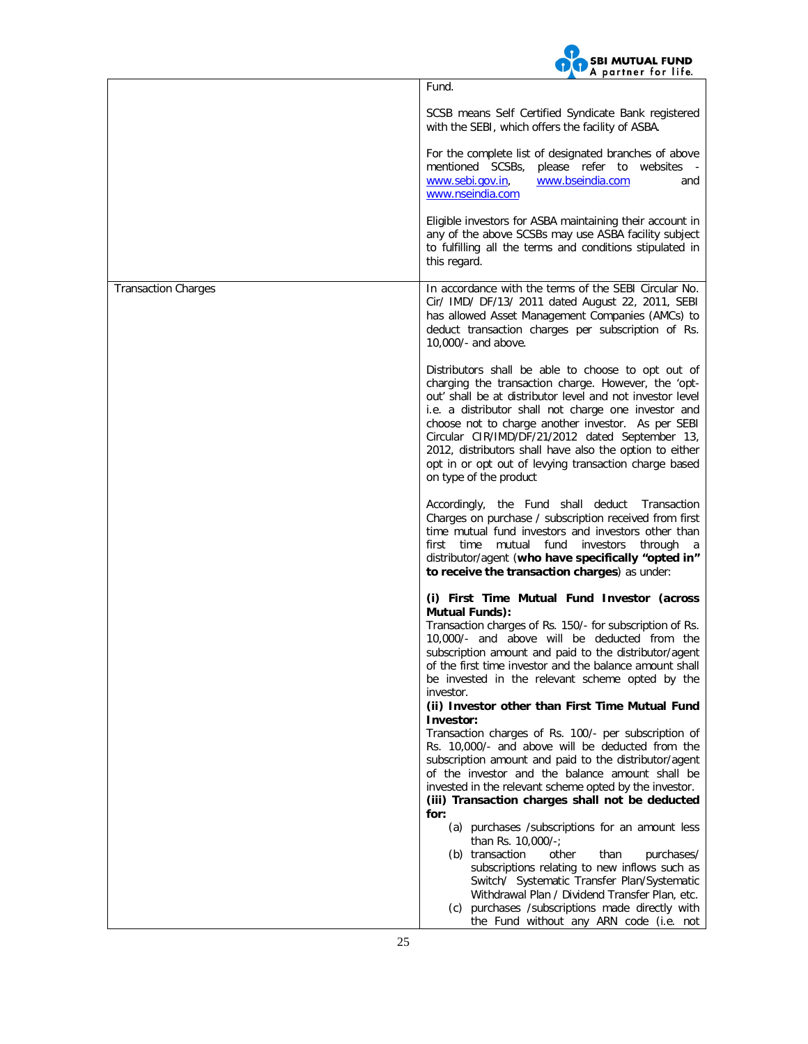

|                            | Fund.<br>SCSB means Self Certified Syndicate Bank registered<br>with the SEBI, which offers the facility of ASBA.                                                                                                                                                                                                                                                                                                                                                                     |
|----------------------------|---------------------------------------------------------------------------------------------------------------------------------------------------------------------------------------------------------------------------------------------------------------------------------------------------------------------------------------------------------------------------------------------------------------------------------------------------------------------------------------|
|                            | For the complete list of designated branches of above<br>mentioned SCSBs, please refer to websites -<br>www.sebi.gov.in,<br>www.bseindia.com<br>and<br>www.nseindia.com                                                                                                                                                                                                                                                                                                               |
|                            | Eligible investors for ASBA maintaining their account in<br>any of the above SCSBs may use ASBA facility subject<br>to fulfilling all the terms and conditions stipulated in<br>this regard.                                                                                                                                                                                                                                                                                          |
| <b>Transaction Charges</b> | In accordance with the terms of the SEBI Circular No.<br>Cir/ IMD/ DF/13/ 2011 dated August 22, 2011, SEBI<br>has allowed Asset Management Companies (AMCs) to<br>deduct transaction charges per subscription of Rs.<br>10,000/- and above.                                                                                                                                                                                                                                           |
|                            | Distributors shall be able to choose to opt out of<br>charging the transaction charge. However, the 'opt-<br>out' shall be at distributor level and not investor level<br>i.e. a distributor shall not charge one investor and<br>choose not to charge another investor. As per SEBI<br>Circular CIR/IMD/DF/21/2012 dated September 13,<br>2012, distributors shall have also the option to either<br>opt in or opt out of levying transaction charge based<br>on type of the product |
|                            | Accordingly, the Fund shall deduct<br>Transaction<br>Charges on purchase / subscription received from first<br>time mutual fund investors and investors other than<br>first time mutual fund<br>investors<br>through<br><sub>a</sub><br>distributor/agent (who have specifically "opted in"<br>to receive the transaction charges) as under:                                                                                                                                          |
|                            | (i) First Time Mutual Fund Investor (across                                                                                                                                                                                                                                                                                                                                                                                                                                           |
|                            | <b>Mutual Funds):</b><br>Transaction charges of Rs. 150/- for subscription of Rs.<br>10,000/- and above will be deducted from the<br>subscription amount and paid to the distributor/agent<br>of the first time investor and the balance amount shall<br>be invested in the relevant scheme opted by the<br>investor.<br>(ii) Investor other than First Time Mutual Fund                                                                                                              |
|                            | Investor:<br>Transaction charges of Rs. 100/- per subscription of<br>Rs. 10,000/- and above will be deducted from the<br>subscription amount and paid to the distributor/agent<br>of the investor and the balance amount shall be<br>invested in the relevant scheme opted by the investor.                                                                                                                                                                                           |
|                            | (iii) Transaction charges shall not be deducted<br>for:<br>(a) purchases /subscriptions for an amount less                                                                                                                                                                                                                                                                                                                                                                            |
|                            | than Rs. 10,000/-;<br>(b) transaction<br>other<br>than<br>purchases/<br>subscriptions relating to new inflows such as<br>Switch/ Systematic Transfer Plan/Systematic<br>Withdrawal Plan / Dividend Transfer Plan, etc.<br>(c) purchases /subscriptions made directly with<br>the Fund without any ARN code (i.e. not                                                                                                                                                                  |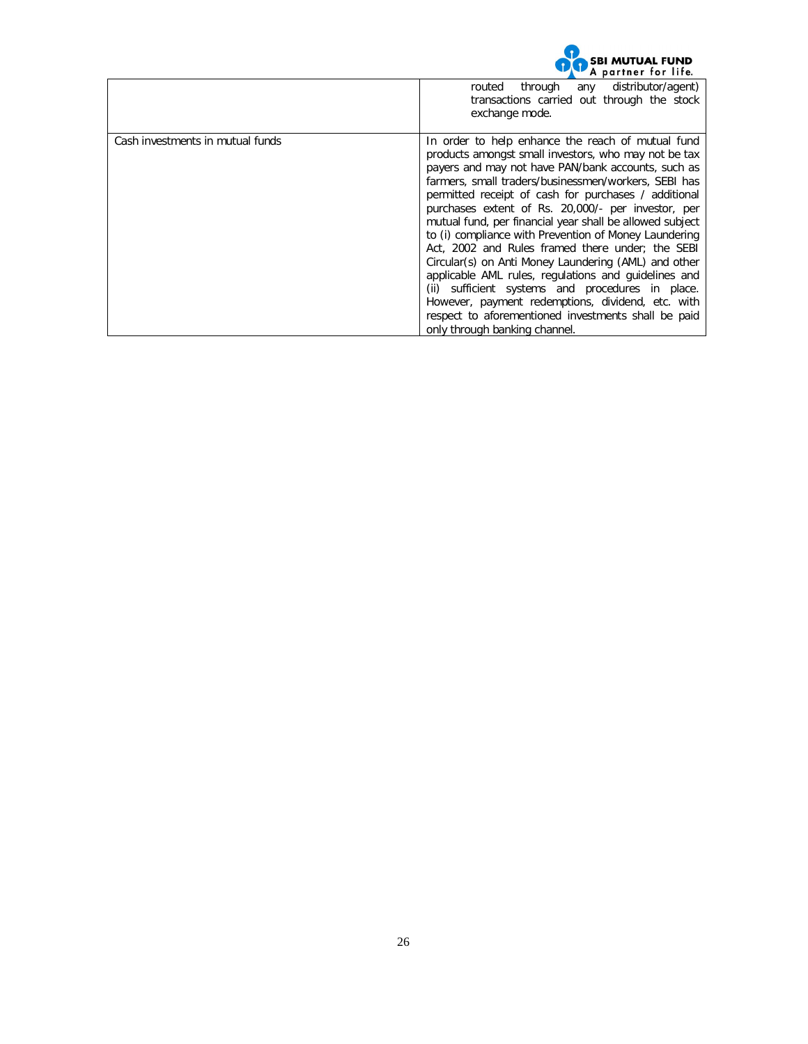

|                                  | through any<br>distributor/agent)<br>routed<br>transactions carried out through the stock<br>exchange mode.                                                                                                                                                                                                                                                                                                                                                                                                                                                                                                                                                                                                                                                                                                                     |
|----------------------------------|---------------------------------------------------------------------------------------------------------------------------------------------------------------------------------------------------------------------------------------------------------------------------------------------------------------------------------------------------------------------------------------------------------------------------------------------------------------------------------------------------------------------------------------------------------------------------------------------------------------------------------------------------------------------------------------------------------------------------------------------------------------------------------------------------------------------------------|
| Cash investments in mutual funds | In order to help enhance the reach of mutual fund<br>products amongst small investors, who may not be tax<br>payers and may not have PAN/bank accounts, such as<br>farmers, small traders/businessmen/workers, SEBI has<br>permitted receipt of cash for purchases / additional<br>purchases extent of Rs. 20,000/- per investor, per<br>mutual fund, per financial year shall be allowed subject<br>to (i) compliance with Prevention of Money Laundering<br>Act, 2002 and Rules framed there under; the SEBI<br>Circular(s) on Anti Money Laundering (AML) and other<br>applicable AML rules, regulations and guidelines and<br>(ii) sufficient systems and procedures in place.<br>However, payment redemptions, dividend, etc. with<br>respect to aforementioned investments shall be paid<br>only through banking channel. |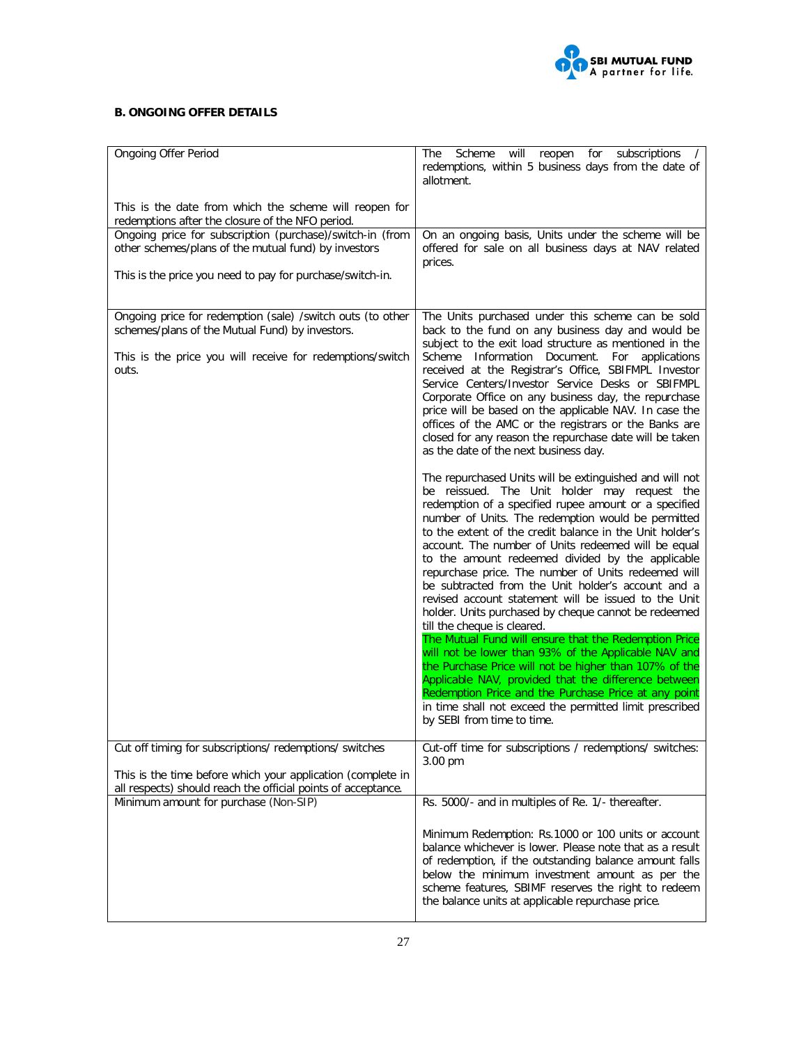

# **B. ONGOING OFFER DETAILS**

| Ongoing Offer Period                                                                                                                                                                | for<br>subscriptions<br>The<br>Scheme<br>will<br>reopen<br>$\sqrt{2}$<br>redemptions, within 5 business days from the date of<br>allotment.                                                                                                                                                                                                                                                                                                                                                                                                                                                                                                                                                                                                                                                                                                                                                                                                                                        |
|-------------------------------------------------------------------------------------------------------------------------------------------------------------------------------------|------------------------------------------------------------------------------------------------------------------------------------------------------------------------------------------------------------------------------------------------------------------------------------------------------------------------------------------------------------------------------------------------------------------------------------------------------------------------------------------------------------------------------------------------------------------------------------------------------------------------------------------------------------------------------------------------------------------------------------------------------------------------------------------------------------------------------------------------------------------------------------------------------------------------------------------------------------------------------------|
| This is the date from which the scheme will reopen for<br>redemptions after the closure of the NFO period.                                                                          |                                                                                                                                                                                                                                                                                                                                                                                                                                                                                                                                                                                                                                                                                                                                                                                                                                                                                                                                                                                    |
| Ongoing price for subscription (purchase)/switch-in (from<br>other schemes/plans of the mutual fund) by investors                                                                   | On an ongoing basis, Units under the scheme will be<br>offered for sale on all business days at NAV related<br>prices.                                                                                                                                                                                                                                                                                                                                                                                                                                                                                                                                                                                                                                                                                                                                                                                                                                                             |
| This is the price you need to pay for purchase/switch-in.                                                                                                                           |                                                                                                                                                                                                                                                                                                                                                                                                                                                                                                                                                                                                                                                                                                                                                                                                                                                                                                                                                                                    |
| Ongoing price for redemption (sale) /switch outs (to other<br>schemes/plans of the Mutual Fund) by investors.<br>This is the price you will receive for redemptions/switch<br>outs. | The Units purchased under this scheme can be sold<br>back to the fund on any business day and would be<br>subject to the exit load structure as mentioned in the<br>Scheme Information Document. For applications<br>received at the Registrar's Office, SBIFMPL Investor<br>Service Centers/Investor Service Desks or SBIFMPL<br>Corporate Office on any business day, the repurchase<br>price will be based on the applicable NAV. In case the<br>offices of the AMC or the registrars or the Banks are<br>closed for any reason the repurchase date will be taken<br>as the date of the next business day.<br>The repurchased Units will be extinguished and will not                                                                                                                                                                                                                                                                                                           |
|                                                                                                                                                                                     | be reissued. The Unit holder may request the<br>redemption of a specified rupee amount or a specified<br>number of Units. The redemption would be permitted<br>to the extent of the credit balance in the Unit holder's<br>account. The number of Units redeemed will be equal<br>to the amount redeemed divided by the applicable<br>repurchase price. The number of Units redeemed will<br>be subtracted from the Unit holder's account and a<br>revised account statement will be issued to the Unit<br>holder. Units purchased by cheque cannot be redeemed<br>till the cheque is cleared.<br>The Mutual Fund will ensure that the Redemption Price<br>will not be lower than 93% of the Applicable NAV and<br>the Purchase Price will not be higher than 107% of the<br>Applicable NAV, provided that the difference between<br>Redemption Price and the Purchase Price at any point<br>in time shall not exceed the permitted limit prescribed<br>by SEBI from time to time. |
| Cut off timing for subscriptions/ redemptions/ switches                                                                                                                             | Cut-off time for subscriptions / redemptions/ switches:<br>3.00 pm                                                                                                                                                                                                                                                                                                                                                                                                                                                                                                                                                                                                                                                                                                                                                                                                                                                                                                                 |
| This is the time before which your application (complete in<br>all respects) should reach the official points of acceptance.                                                        |                                                                                                                                                                                                                                                                                                                                                                                                                                                                                                                                                                                                                                                                                                                                                                                                                                                                                                                                                                                    |
| Minimum amount for purchase (Non-SIP)                                                                                                                                               | Rs. 5000/- and in multiples of Re. 1/- thereafter.<br>Minimum Redemption: Rs.1000 or 100 units or account<br>balance whichever is lower. Please note that as a result<br>of redemption, if the outstanding balance amount falls<br>below the minimum investment amount as per the<br>scheme features, SBIMF reserves the right to redeem<br>the balance units at applicable repurchase price.                                                                                                                                                                                                                                                                                                                                                                                                                                                                                                                                                                                      |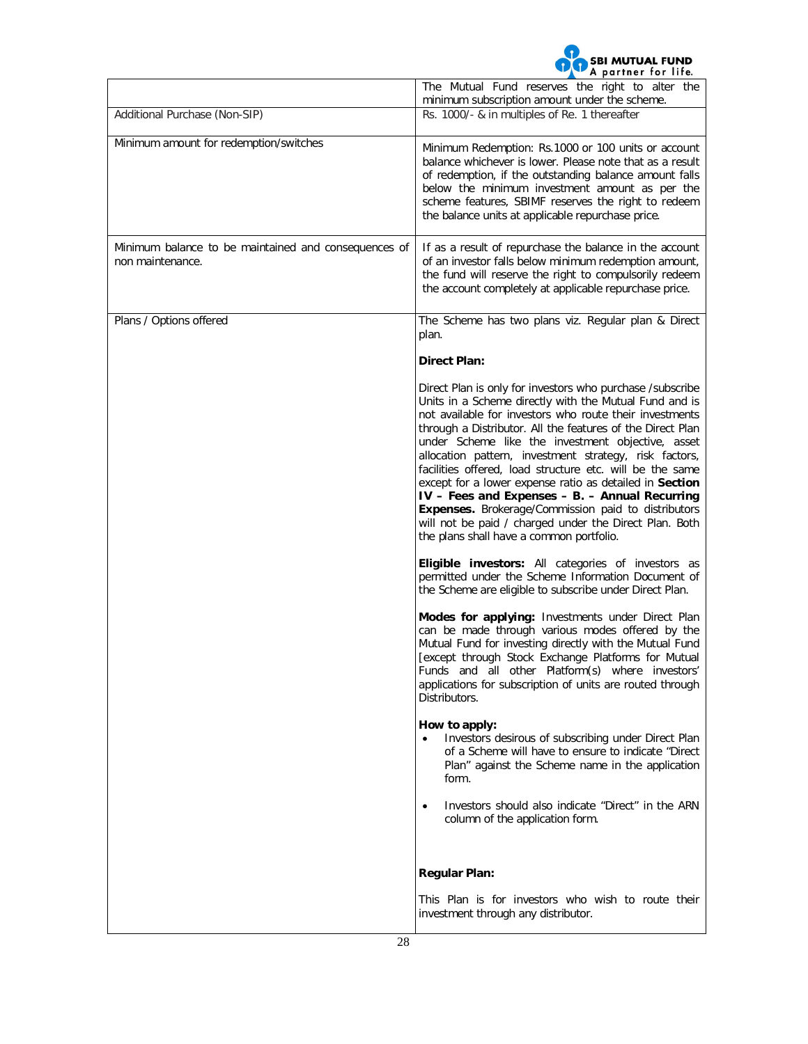

|                                                                          | A puriner for fire.<br>The Mutual Fund reserves the right to alter the                                                                                                                                                                                                                                                                                                                                                                                                                                                                                                                                                                                                                                                                                                                                                                                                                                                                                                                                                                                                                                     |
|--------------------------------------------------------------------------|------------------------------------------------------------------------------------------------------------------------------------------------------------------------------------------------------------------------------------------------------------------------------------------------------------------------------------------------------------------------------------------------------------------------------------------------------------------------------------------------------------------------------------------------------------------------------------------------------------------------------------------------------------------------------------------------------------------------------------------------------------------------------------------------------------------------------------------------------------------------------------------------------------------------------------------------------------------------------------------------------------------------------------------------------------------------------------------------------------|
| Additional Purchase (Non-SIP)                                            | minimum subscription amount under the scheme.<br>Rs. 1000/- & in multiples of Re. 1 thereafter                                                                                                                                                                                                                                                                                                                                                                                                                                                                                                                                                                                                                                                                                                                                                                                                                                                                                                                                                                                                             |
| Minimum amount for redemption/switches                                   | Minimum Redemption: Rs.1000 or 100 units or account<br>balance whichever is lower. Please note that as a result<br>of redemption, if the outstanding balance amount falls<br>below the minimum investment amount as per the<br>scheme features, SBIMF reserves the right to redeem<br>the balance units at applicable repurchase price.                                                                                                                                                                                                                                                                                                                                                                                                                                                                                                                                                                                                                                                                                                                                                                    |
| Minimum balance to be maintained and consequences of<br>non maintenance. | If as a result of repurchase the balance in the account<br>of an investor falls below minimum redemption amount,<br>the fund will reserve the right to compulsorily redeem<br>the account completely at applicable repurchase price.                                                                                                                                                                                                                                                                                                                                                                                                                                                                                                                                                                                                                                                                                                                                                                                                                                                                       |
| Plans / Options offered                                                  | The Scheme has two plans viz. Regular plan & Direct<br>plan.                                                                                                                                                                                                                                                                                                                                                                                                                                                                                                                                                                                                                                                                                                                                                                                                                                                                                                                                                                                                                                               |
|                                                                          | <b>Direct Plan:</b>                                                                                                                                                                                                                                                                                                                                                                                                                                                                                                                                                                                                                                                                                                                                                                                                                                                                                                                                                                                                                                                                                        |
|                                                                          | Direct Plan is only for investors who purchase /subscribe<br>Units in a Scheme directly with the Mutual Fund and is<br>not available for investors who route their investments<br>through a Distributor. All the features of the Direct Plan<br>under Scheme like the investment objective, asset<br>allocation pattern, investment strategy, risk factors,<br>facilities offered, load structure etc. will be the same<br>except for a lower expense ratio as detailed in Section<br>IV - Fees and Expenses - B. - Annual Recurring<br>Expenses. Brokerage/Commission paid to distributors<br>will not be paid / charged under the Direct Plan. Both<br>the plans shall have a common portfolio.<br><b>Eligible investors:</b> All categories of investors as<br>permitted under the Scheme Information Document of<br>the Scheme are eligible to subscribe under Direct Plan.<br>Modes for applying: Investments under Direct Plan<br>can be made through various modes offered by the<br>Mutual Fund for investing directly with the Mutual Fund<br>[except through Stock Exchange Platforms for Mutual |
|                                                                          | Funds and all other Platform(s) where investors'<br>applications for subscription of units are routed through<br>Distributors.                                                                                                                                                                                                                                                                                                                                                                                                                                                                                                                                                                                                                                                                                                                                                                                                                                                                                                                                                                             |
|                                                                          | How to apply:<br>Investors desirous of subscribing under Direct Plan<br>of a Scheme will have to ensure to indicate "Direct<br>Plan" against the Scheme name in the application<br>form.                                                                                                                                                                                                                                                                                                                                                                                                                                                                                                                                                                                                                                                                                                                                                                                                                                                                                                                   |
|                                                                          | Investors should also indicate "Direct" in the ARN<br>$\bullet$<br>column of the application form.                                                                                                                                                                                                                                                                                                                                                                                                                                                                                                                                                                                                                                                                                                                                                                                                                                                                                                                                                                                                         |
|                                                                          | <b>Regular Plan:</b>                                                                                                                                                                                                                                                                                                                                                                                                                                                                                                                                                                                                                                                                                                                                                                                                                                                                                                                                                                                                                                                                                       |
|                                                                          | This Plan is for investors who wish to route their<br>investment through any distributor.                                                                                                                                                                                                                                                                                                                                                                                                                                                                                                                                                                                                                                                                                                                                                                                                                                                                                                                                                                                                                  |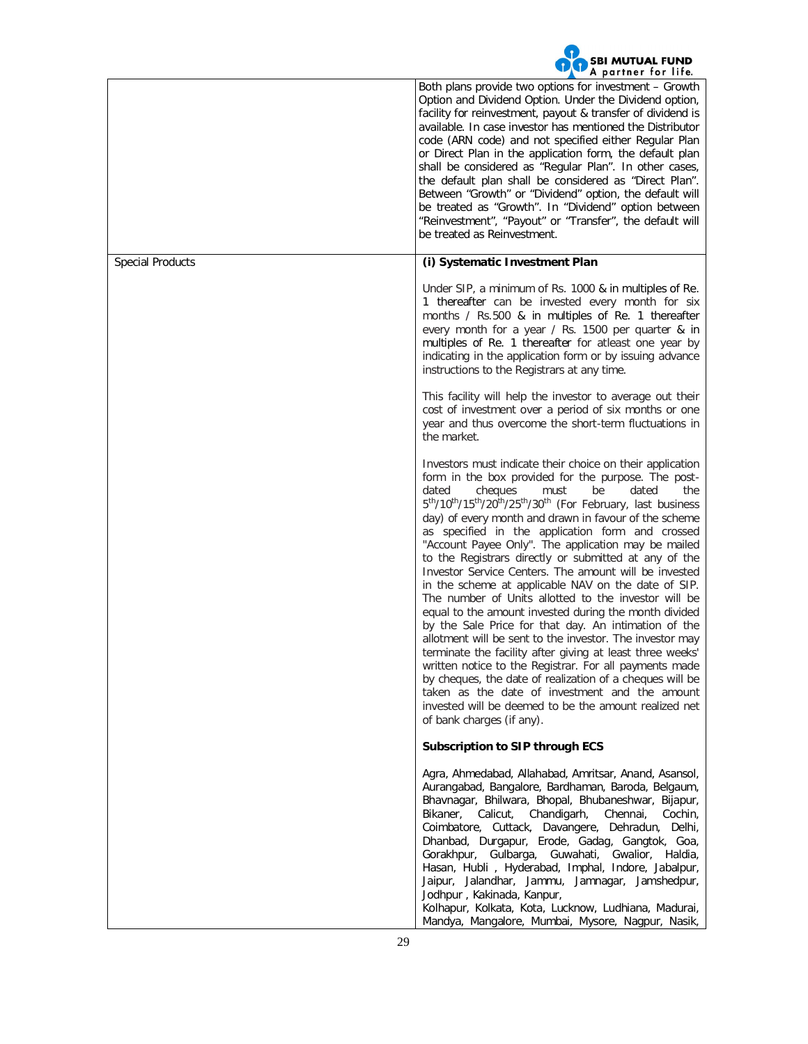

|                         | <b>WALLUST TALLING</b>                                                                                                                                                                                                                                                                                                                                                                                                                                                                                                                                                                                                                                                                                                                                                                                                                                                                                                                                                                                                                                                                                                                                                                                                    |
|-------------------------|---------------------------------------------------------------------------------------------------------------------------------------------------------------------------------------------------------------------------------------------------------------------------------------------------------------------------------------------------------------------------------------------------------------------------------------------------------------------------------------------------------------------------------------------------------------------------------------------------------------------------------------------------------------------------------------------------------------------------------------------------------------------------------------------------------------------------------------------------------------------------------------------------------------------------------------------------------------------------------------------------------------------------------------------------------------------------------------------------------------------------------------------------------------------------------------------------------------------------|
|                         | Both plans provide two options for investment - Growth<br>Option and Dividend Option. Under the Dividend option,<br>facility for reinvestment, payout & transfer of dividend is<br>available. In case investor has mentioned the Distributor<br>code (ARN code) and not specified either Regular Plan<br>or Direct Plan in the application form, the default plan<br>shall be considered as "Regular Plan". In other cases,<br>the default plan shall be considered as "Direct Plan".<br>Between "Growth" or "Dividend" option, the default will<br>be treated as "Growth". In "Dividend" option between<br>"Reinvestment", "Payout" or "Transfer", the default will<br>be treated as Reinvestment.                                                                                                                                                                                                                                                                                                                                                                                                                                                                                                                       |
| <b>Special Products</b> | (i) Systematic Investment Plan                                                                                                                                                                                                                                                                                                                                                                                                                                                                                                                                                                                                                                                                                                                                                                                                                                                                                                                                                                                                                                                                                                                                                                                            |
|                         | Under SIP, a minimum of Rs. 1000 & in multiples of Re.<br>1 thereafter can be invested every month for six<br>months / Rs.500 & in multiples of Re. 1 thereafter<br>every month for a year / Rs. 1500 per quarter & in<br>multiples of Re. 1 thereafter for atleast one year by<br>indicating in the application form or by issuing advance<br>instructions to the Registrars at any time.                                                                                                                                                                                                                                                                                                                                                                                                                                                                                                                                                                                                                                                                                                                                                                                                                                |
|                         | This facility will help the investor to average out their<br>cost of investment over a period of six months or one<br>year and thus overcome the short-term fluctuations in<br>the market.                                                                                                                                                                                                                                                                                                                                                                                                                                                                                                                                                                                                                                                                                                                                                                                                                                                                                                                                                                                                                                |
|                         | Investors must indicate their choice on their application<br>form in the box provided for the purpose. The post-<br>cheques<br>dated<br>the<br>dated<br>must<br>be<br>5 <sup>th</sup> /10 <sup>th</sup> /15 <sup>th</sup> /20 <sup>th</sup> /25 <sup>th</sup> /30 <sup>th</sup> (For February, last business<br>day) of every month and drawn in favour of the scheme<br>as specified in the application form and crossed<br>"Account Payee Only". The application may be mailed<br>to the Registrars directly or submitted at any of the<br>Investor Service Centers. The amount will be invested<br>in the scheme at applicable NAV on the date of SIP.<br>The number of Units allotted to the investor will be<br>equal to the amount invested during the month divided<br>by the Sale Price for that day. An intimation of the<br>allotment will be sent to the investor. The investor may<br>terminate the facility after giving at least three weeks'<br>written notice to the Registrar. For all payments made<br>by cheques, the date of realization of a cheques will be<br>taken as the date of investment and the amount<br>invested will be deemed to be the amount realized net<br>of bank charges (if any). |
|                         | Subscription to SIP through ECS                                                                                                                                                                                                                                                                                                                                                                                                                                                                                                                                                                                                                                                                                                                                                                                                                                                                                                                                                                                                                                                                                                                                                                                           |
|                         | Agra, Ahmedabad, Allahabad, Amritsar, Anand, Asansol,<br>Aurangabad, Bangalore, Bardhaman, Baroda, Belgaum,<br>Bhavnagar, Bhilwara, Bhopal, Bhubaneshwar, Bijapur,<br>Bikaner,<br>Calicut,<br>Chandigarh,<br>Chennai,<br>Cochin,<br>Coimbatore, Cuttack, Davangere, Dehradun, Delhi,<br>Dhanbad, Durgapur, Erode, Gadag, Gangtok, Goa,<br>Gorakhpur, Gulbarga, Guwahati, Gwalior, Haldia,<br>Hasan, Hubli, Hyderabad, Imphal, Indore, Jabalpur,<br>Jaipur, Jalandhar, Jammu, Jamnagar, Jamshedpur,<br>Jodhpur, Kakinada, Kanpur,<br>Kolhapur, Kolkata, Kota, Lucknow, Ludhiana, Madurai,<br>Mandya, Mangalore, Mumbai, Mysore, Nagpur, Nasik,                                                                                                                                                                                                                                                                                                                                                                                                                                                                                                                                                                             |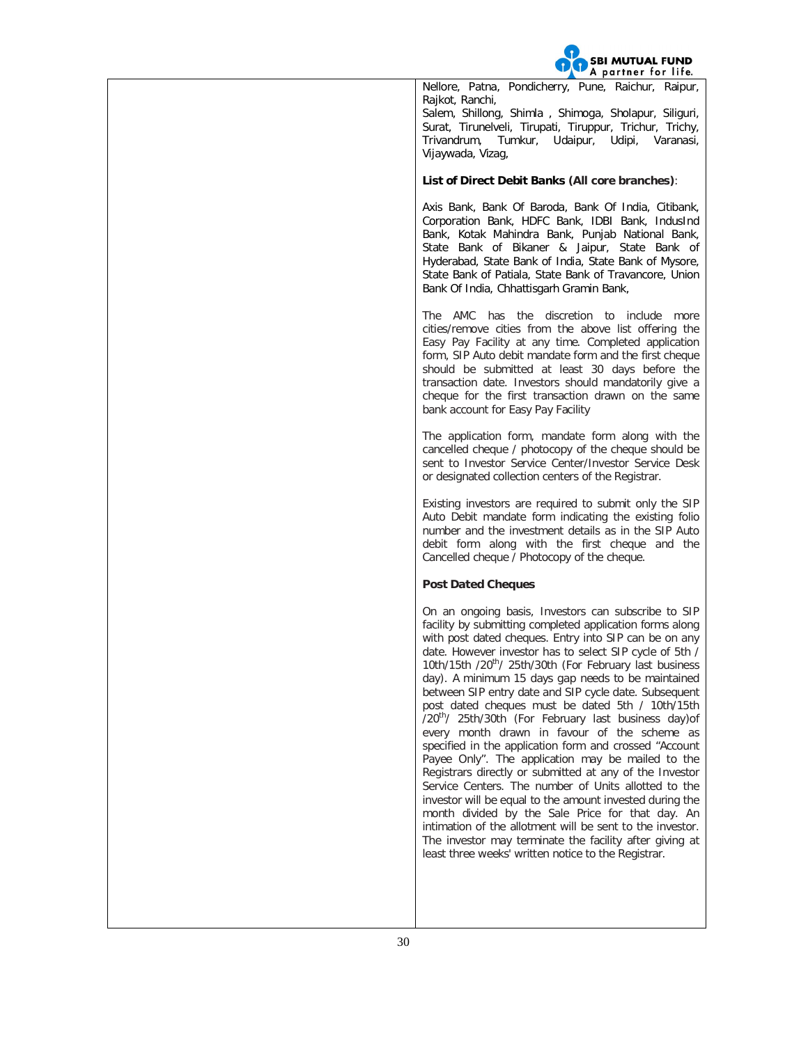

Nellore, Patna, Pondicherry, Pune, Raichur, Raipur, Rajkot, Ranchi, Salem, Shillong, Shimla , Shimoga, Sholapur, Siliguri, Surat, Tirunelveli, Tirupati, Tiruppur, Trichur, Trichy, Trivandrum, Tumkur, Udaipur, Udipi, Varanasi, Vijaywada, Vizag,

## **List of Direct Debit Banks (All core branches)**:

Axis Bank, Bank Of Baroda, Bank Of India, Citibank, Corporation Bank, HDFC Bank, IDBI Bank, IndusInd Bank, Kotak Mahindra Bank, Punjab National Bank, State Bank of Bikaner & Jaipur, State Bank of Hyderabad, State Bank of India, State Bank of Mysore, State Bank of Patiala, State Bank of Travancore, Union Bank Of India, Chhattisgarh Gramin Bank,

The AMC has the discretion to include more cities/remove cities from the above list offering the Easy Pay Facility at any time. Completed application form, SIP Auto debit mandate form and the first cheque should be submitted at least 30 days before the transaction date. Investors should mandatorily give a cheque for the first transaction drawn on the same bank account for Easy Pay Facility

The application form, mandate form along with the cancelled cheque / photocopy of the cheque should be sent to Investor Service Center/Investor Service Desk or designated collection centers of the Registrar.

Existing investors are required to submit only the SIP Auto Debit mandate form indicating the existing folio number and the investment details as in the SIP Auto debit form along with the first cheque and the Cancelled cheque / Photocopy of the cheque.

# **Post Dated Cheques**

On an ongoing basis, Investors can subscribe to SIP facility by submitting completed application forms along with post dated cheques. Entry into SIP can be on any date. However investor has to select SIP cycle of 5th / 10th/15th /20<sup>th</sup>/ 25th/30th (For February last business day). A minimum 15 days gap needs to be maintained between SIP entry date and SIP cycle date. Subsequent post dated cheques must be dated 5th / 10th/15th /20<sup>th</sup>/ 25th/30th (For February last business day) of every month drawn in favour of the scheme as specified in the application form and crossed "Account Payee Only". The application may be mailed to the Registrars directly or submitted at any of the Investor Service Centers. The number of Units allotted to the investor will be equal to the amount invested during the month divided by the Sale Price for that day. An intimation of the allotment will be sent to the investor. The investor may terminate the facility after giving at least three weeks' written notice to the Registrar.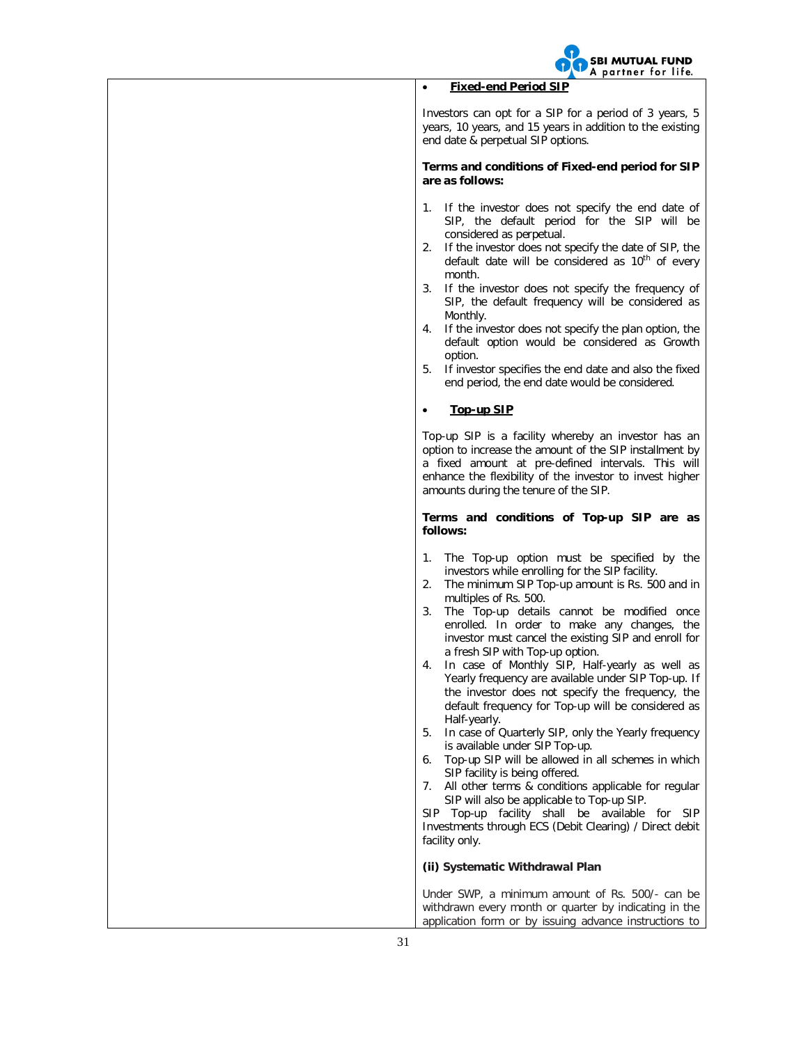

# **Fixed-end Period SIP**

Investors can opt for a SIP for a period of 3 years, 5 years, 10 years, and 15 years in addition to the existing end date & perpetual SIP options.

**Terms and conditions of Fixed-end period for SIP are as follows:**

- 1. If the investor does not specify the end date of SIP, the default period for the SIP will be considered as perpetual.
- 2. If the investor does not specify the date of SIP, the default date will be considered as  $10<sup>th</sup>$  of every month.
- 3. If the investor does not specify the frequency of SIP, the default frequency will be considered as Monthly.
- 4. If the investor does not specify the plan option, the default option would be considered as Growth option.
- 5. If investor specifies the end date and also the fixed end period, the end date would be considered.

# **Top-up SIP**

Top-up SIP is a facility whereby an investor has an option to increase the amount of the SIP installment by a fixed amount at pre-defined intervals. This will enhance the flexibility of the investor to invest higher amounts during the tenure of the SIP.

**Terms and conditions of Top-up SIP are as follows:**

- 1. The Top-up option must be specified by the investors while enrolling for the SIP facility.
- 2. The minimum SIP Top-up amount is Rs. 500 and in multiples of Rs. 500.
- 3. The Top-up details cannot be modified once enrolled. In order to make any changes, the investor must cancel the existing SIP and enroll for a fresh SIP with Top-up option.
- 4. In case of Monthly SIP, Half-yearly as well as Yearly frequency are available under SIP Top-up. If the investor does not specify the frequency, the default frequency for Top-up will be considered as Half-yearly.
- 5. In case of Quarterly SIP, only the Yearly frequency is available under SIP Top-up.
- 6. Top-up SIP will be allowed in all schemes in which SIP facility is being offered.
- 7. All other terms & conditions applicable for regular SIP will also be applicable to Top-up SIP.

SIP Top-up facility shall be available for SIP Investments through ECS (Debit Clearing) / Direct debit facility only.

# **(ii) Systematic Withdrawal Plan**

Under SWP, a minimum amount of Rs. 500/- can be withdrawn every month or quarter by indicating in the application form or by issuing advance instructions to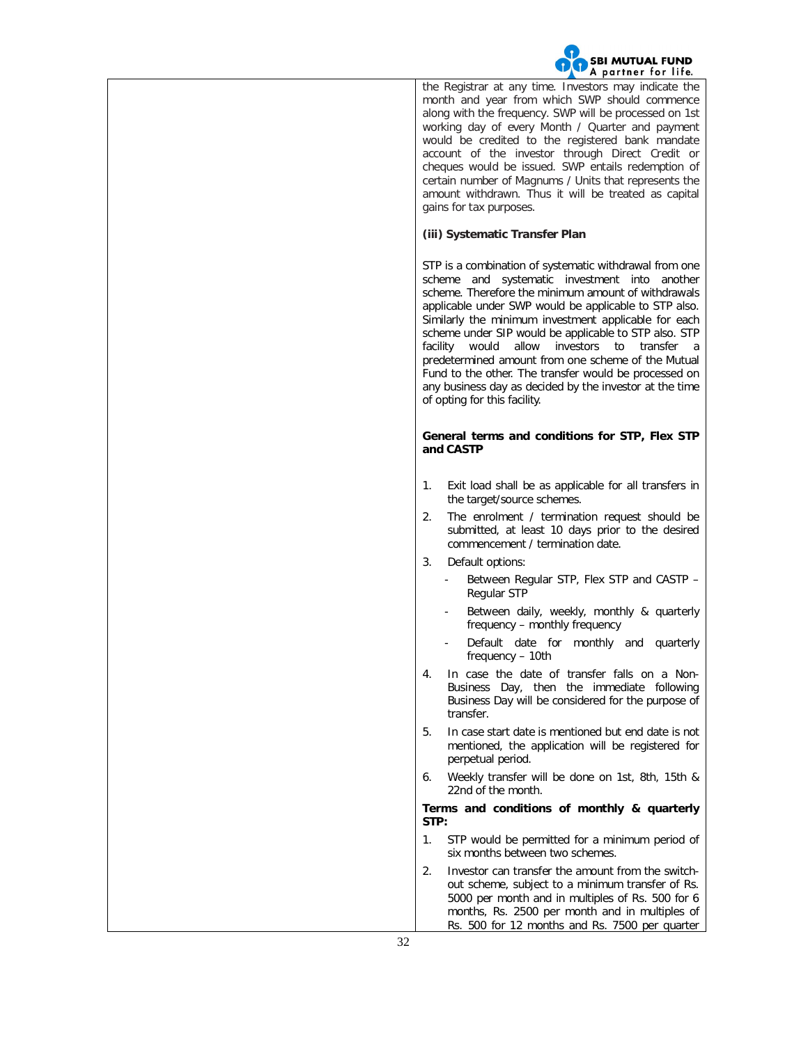

the Registrar at any time. Investors may indicate the month and year from which SWP should commence along with the frequency. SWP will be processed on 1st working day of every Month / Quarter and payment would be credited to the registered bank mandate account of the investor through Direct Credit or cheques would be issued. SWP entails redemption of certain number of Magnums / Units that represents the amount withdrawn. Thus it will be treated as capital gains for tax purposes.

# **(iii) Systematic Transfer Plan**

STP is a combination of systematic withdrawal from one scheme and systematic investment into another scheme. Therefore the minimum amount of withdrawals applicable under SWP would be applicable to STP also. Similarly the minimum investment applicable for each scheme under SIP would be applicable to STP also. STP facility would allow investors to transfer a predetermined amount from one scheme of the Mutual Fund to the other. The transfer would be processed on any business day as decided by the investor at the time of opting for this facility.

# **General terms and conditions for STP, Flex STP and CASTP**

- 1. Exit load shall be as applicable for all transfers in the target/source schemes.
- 2. The enrolment / termination request should be submitted, at least 10 days prior to the desired commencement / termination date.
- 3. Default options:
	- Between Regular STP, Flex STP and CASTP -Regular STP
	- Between daily, weekly, monthly & quarterly frequency – monthly frequency
	- Default date for monthly and quarterly frequency – 10th
- 4. In case the date of transfer falls on a Non-Business Day, then the immediate following Business Day will be considered for the purpose of transfer.
- 5. In case start date is mentioned but end date is not mentioned, the application will be registered for perpetual period.
- 6. Weekly transfer will be done on 1st, 8th, 15th & 22nd of the month.

# **Terms and conditions of monthly & quarterly STP:**

- 1. STP would be permitted for a minimum period of six months between two schemes.
- 2. Investor can transfer the amount from the switchout scheme, subject to a minimum transfer of Rs. 5000 per month and in multiples of Rs. 500 for 6 months, Rs. 2500 per month and in multiples of Rs. 500 for 12 months and Rs. 7500 per quarter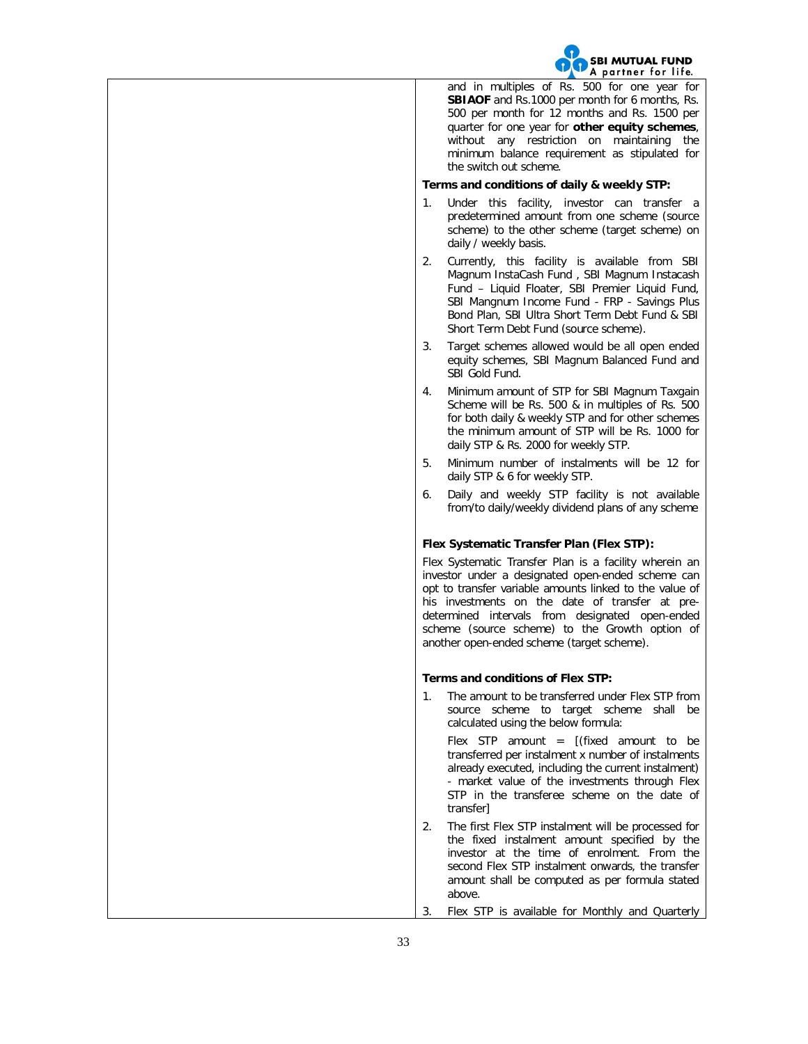

and in multiples of Rs. 500 for one year for **SBIAOF** and Rs.1000 per month for 6 months, Rs. 500 per month for 12 months and Rs. 1500 per quarter for one year for **other equity schemes**, without any restriction on maintaining the minimum balance requirement as stipulated for the switch out scheme.

# **Terms and conditions of daily & weekly STP:**

- 1. Under this facility, investor can transfer a predetermined amount from one scheme (source scheme) to the other scheme (target scheme) on daily / weekly basis.
- 2. Currently, this facility is available from SBI Magnum InstaCash Fund , SBI Magnum Instacash Fund – Liquid Floater, SBI Premier Liquid Fund, SBI Mangnum Income Fund - FRP - Savings Plus Bond Plan, SBI Ultra Short Term Debt Fund & SBI Short Term Debt Fund (source scheme).
- 3. Target schemes allowed would be all open ended equity schemes, SBI Magnum Balanced Fund and SBI Gold Fund.
- 4. Minimum amount of STP for SBI Magnum Taxgain Scheme will be Rs. 500 & in multiples of Rs. 500 for both daily & weekly STP and for other schemes the minimum amount of STP will be Rs. 1000 for daily STP & Rs. 2000 for weekly STP.
- 5. Minimum number of instalments will be 12 for daily STP & 6 for weekly STP.
- 6. Daily and weekly STP facility is not available from/to daily/weekly dividend plans of any scheme

# **Flex Systematic Transfer Plan (Flex STP):**

Flex Systematic Transfer Plan is a facility wherein an investor under a designated open-ended scheme can opt to transfer variable amounts linked to the value of his investments on the date of transfer at predetermined intervals from designated open-ended scheme (source scheme) to the Growth option of another open-ended scheme (target scheme).

### **Terms and conditions of Flex STP:**

1. The amount to be transferred under Flex STP from source scheme to target scheme shall be calculated using the below formula:

Flex STP amount =  $[(fixed amount to be$ transferred per instalment x number of instalments already executed, including the current instalment) - market value of the investments through Flex STP in the transferee scheme on the date of transfer]

- 2. The first Flex STP instalment will be processed for the fixed instalment amount specified by the investor at the time of enrolment. From the second Flex STP instalment onwards, the transfer amount shall be computed as per formula stated above.
- 3. Flex STP is available for Monthly and Quarterly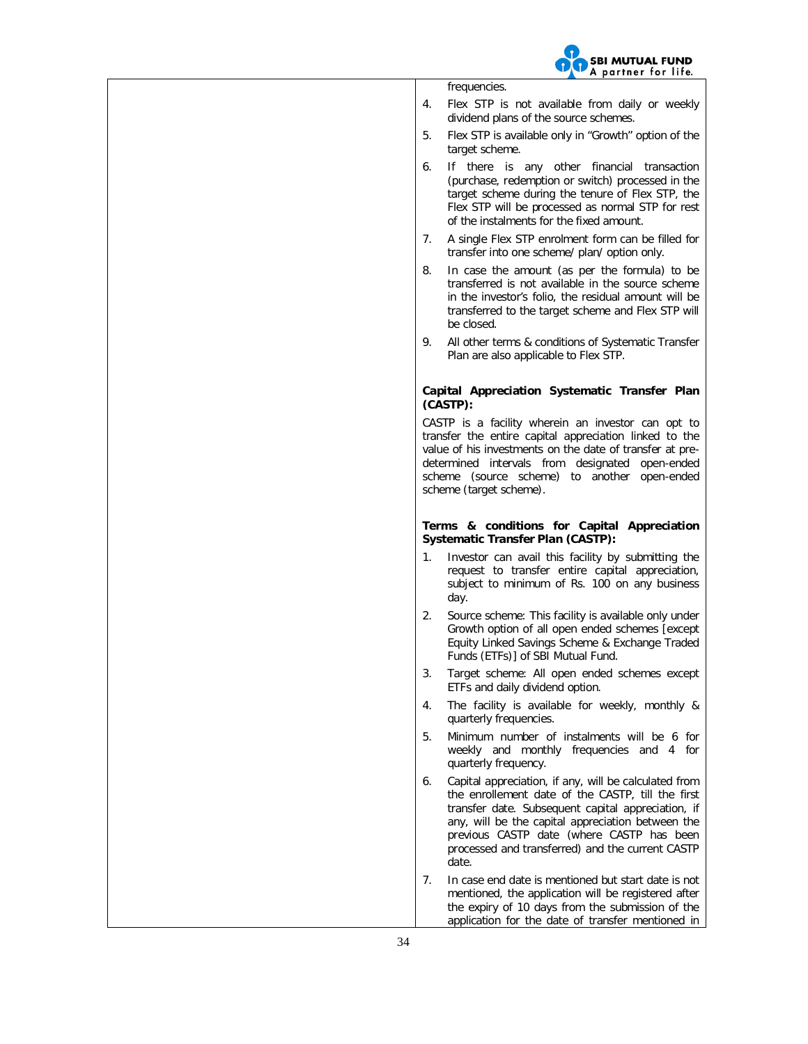

frequencies.

- 4. Flex STP is not available from daily or weekly dividend plans of the source schemes.
- 5. Flex STP is available only in "Growth" option of the target scheme.
- 6. If there is any other financial transaction (purchase, redemption or switch) processed in the target scheme during the tenure of Flex STP, the Flex STP will be processed as normal STP for rest of the instalments for the fixed amount.
- 7. A single Flex STP enrolment form can be filled for transfer into one scheme/ plan/ option only.
- 8. In case the amount (as per the formula) to be transferred is not available in the source scheme in the investor's folio, the residual amount will be transferred to the target scheme and Flex STP will be closed.
- 9. All other terms & conditions of Systematic Transfer Plan are also applicable to Flex STP.

# **Capital Appreciation Systematic Transfer Plan (CASTP):**

CASTP is a facility wherein an investor can opt to transfer the entire capital appreciation linked to the value of his investments on the date of transfer at predetermined intervals from designated open-ended scheme (source scheme) to another open-ended scheme (target scheme).

## **Terms & conditions for Capital Appreciation Systematic Transfer Plan (CASTP):**

- 1. Investor can avail this facility by submitting the request to transfer entire capital appreciation, subject to minimum of Rs. 100 on any business day.
- 2. Source scheme: This facility is available only under Growth option of all open ended schemes [except Equity Linked Savings Scheme & Exchange Traded Funds (ETFs)] of SBI Mutual Fund.
- 3. Target scheme: All open ended schemes except ETFs and daily dividend option.
- 4. The facility is available for weekly, monthly & quarterly frequencies.
- 5. Minimum number of instalments will be 6 for weekly and monthly frequencies and 4 for quarterly frequency.
- 6. Capital appreciation, if any, will be calculated from the enrollement date of the CASTP, till the first transfer date. Subsequent capital appreciation, if any, will be the capital appreciation between the previous CASTP date (where CASTP has been processed and transferred) and the current CASTP date.
- 7. In case end date is mentioned but start date is not mentioned, the application will be registered after the expiry of 10 days from the submission of the application for the date of transfer mentioned in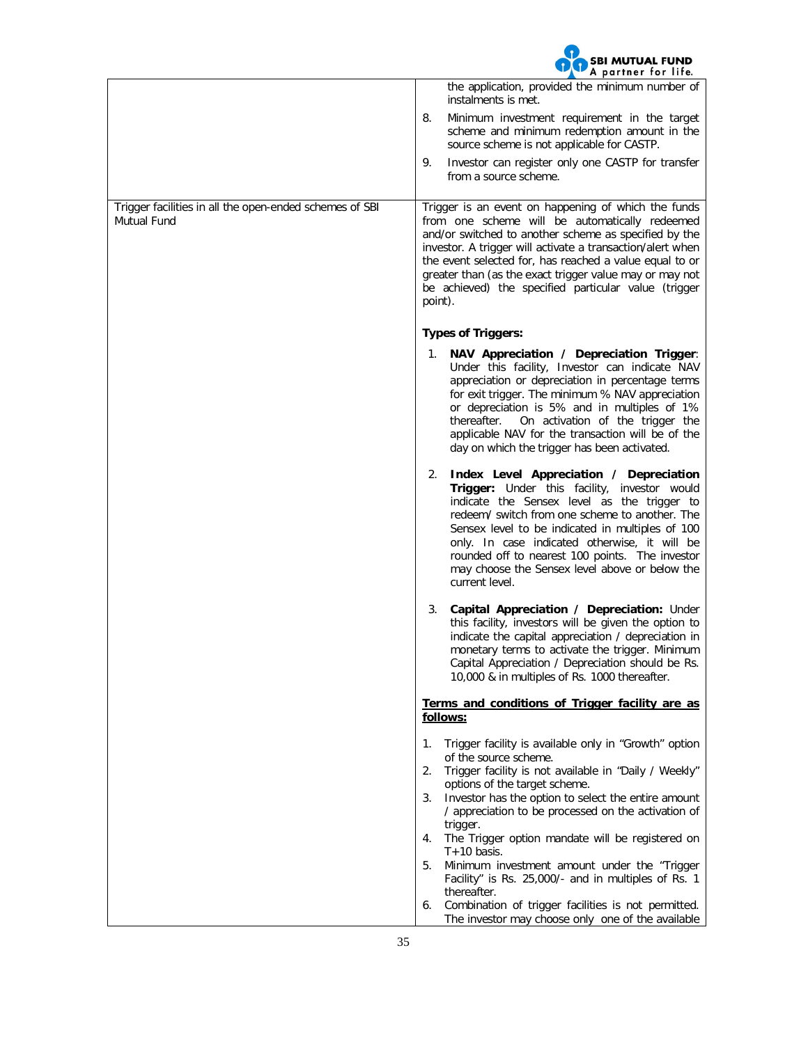

|                                                                        | A purinci for fire.<br>the application, provided the minimum number of                                                                                                                                                                                                                                                                                                                                                                                                                                                                                                                                                                        |
|------------------------------------------------------------------------|-----------------------------------------------------------------------------------------------------------------------------------------------------------------------------------------------------------------------------------------------------------------------------------------------------------------------------------------------------------------------------------------------------------------------------------------------------------------------------------------------------------------------------------------------------------------------------------------------------------------------------------------------|
|                                                                        | instalments is met.                                                                                                                                                                                                                                                                                                                                                                                                                                                                                                                                                                                                                           |
|                                                                        | 8.<br>Minimum investment requirement in the target<br>scheme and minimum redemption amount in the<br>source scheme is not applicable for CASTP.                                                                                                                                                                                                                                                                                                                                                                                                                                                                                               |
|                                                                        | Investor can register only one CASTP for transfer<br>9.<br>from a source scheme.                                                                                                                                                                                                                                                                                                                                                                                                                                                                                                                                                              |
| Trigger facilities in all the open-ended schemes of SBI<br>Mutual Fund | Trigger is an event on happening of which the funds<br>from one scheme will be automatically redeemed<br>and/or switched to another scheme as specified by the<br>investor. A trigger will activate a transaction/alert when<br>the event selected for, has reached a value equal to or<br>greater than (as the exact trigger value may or may not<br>be achieved) the specified particular value (trigger<br>point).                                                                                                                                                                                                                         |
|                                                                        | <b>Types of Triggers:</b>                                                                                                                                                                                                                                                                                                                                                                                                                                                                                                                                                                                                                     |
|                                                                        | NAV Appreciation / Depreciation Trigger:<br>1.<br>Under this facility, Investor can indicate NAV<br>appreciation or depreciation in percentage terms<br>for exit trigger. The minimum % NAV appreciation<br>or depreciation is 5% and in multiples of 1%<br>thereafter. On activation of the trigger the<br>applicable NAV for the transaction will be of the<br>day on which the trigger has been activated.                                                                                                                                                                                                                                 |
|                                                                        | Index Level Appreciation / Depreciation<br>2.<br>Trigger: Under this facility, investor would<br>indicate the Sensex level as the trigger to<br>redeem/ switch from one scheme to another. The<br>Sensex level to be indicated in multiples of 100<br>only. In case indicated otherwise, it will be<br>rounded off to nearest 100 points. The investor<br>may choose the Sensex level above or below the<br>current level.                                                                                                                                                                                                                    |
|                                                                        | Capital Appreciation / Depreciation: Under<br>3.<br>this facility, investors will be given the option to<br>indicate the capital appreciation / depreciation in<br>monetary terms to activate the trigger. Minimum<br>Capital Appreciation / Depreciation should be Rs.<br>10,000 & in multiples of Rs. 1000 thereafter.                                                                                                                                                                                                                                                                                                                      |
|                                                                        | Terms and conditions of Trigger facility are as<br>follows:                                                                                                                                                                                                                                                                                                                                                                                                                                                                                                                                                                                   |
|                                                                        | Trigger facility is available only in "Growth" option<br>1.<br>of the source scheme.<br>Trigger facility is not available in "Daily / Weekly"<br>2.<br>options of the target scheme.<br>Investor has the option to select the entire amount<br>3.<br>/ appreciation to be processed on the activation of<br>trigger.<br>The Trigger option mandate will be registered on<br>4.<br>$T+10$ basis.<br>Minimum investment amount under the "Trigger<br>5.<br>Facility" is Rs. 25,000/- and in multiples of Rs. 1<br>thereafter.<br>Combination of trigger facilities is not permitted.<br>6.<br>The investor may choose only one of the available |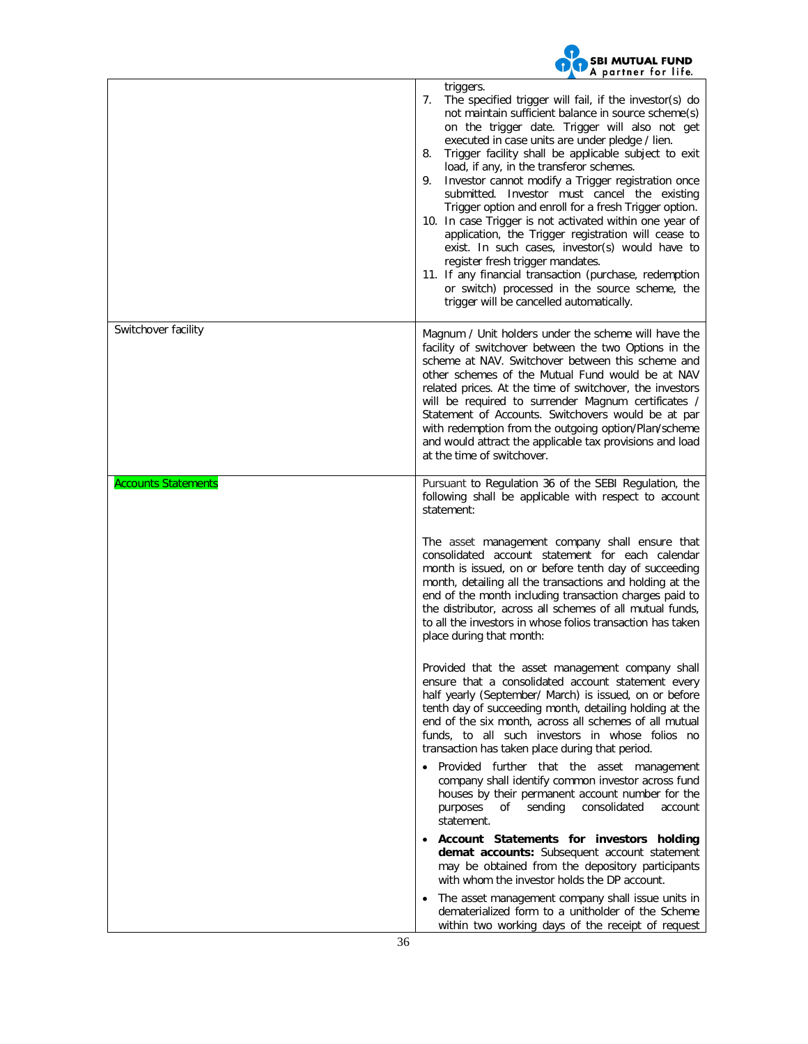

| triggers.<br>7.<br>The specified trigger will fail, if the investor(s) do<br>not maintain sufficient balance in source scheme(s)<br>on the trigger date. Trigger will also not get<br>executed in case units are under pledge / lien.<br>Trigger facility shall be applicable subject to exit<br>8.<br>load, if any, in the transferor schemes.<br>Investor cannot modify a Trigger registration once<br>9.<br>submitted. Investor must cancel the existing<br>Trigger option and enroll for a fresh Trigger option.<br>10. In case Trigger is not activated within one year of<br>application, the Trigger registration will cease to<br>exist. In such cases, investor(s) would have to<br>register fresh trigger mandates.<br>11. If any financial transaction (purchase, redemption<br>or switch) processed in the source scheme, the<br>trigger will be cancelled automatically.<br>Switchover facility<br>Magnum / Unit holders under the scheme will have the<br>facility of switchover between the two Options in the<br>scheme at NAV. Switchover between this scheme and<br>other schemes of the Mutual Fund would be at NAV<br>related prices. At the time of switchover, the investors<br>will be required to surrender Magnum certificates /<br>Statement of Accounts. Switchovers would be at par<br>with redemption from the outgoing option/Plan/scheme<br>and would attract the applicable tax provisions and load                                                                                                                                                    |         |
|----------------------------------------------------------------------------------------------------------------------------------------------------------------------------------------------------------------------------------------------------------------------------------------------------------------------------------------------------------------------------------------------------------------------------------------------------------------------------------------------------------------------------------------------------------------------------------------------------------------------------------------------------------------------------------------------------------------------------------------------------------------------------------------------------------------------------------------------------------------------------------------------------------------------------------------------------------------------------------------------------------------------------------------------------------------------------------------------------------------------------------------------------------------------------------------------------------------------------------------------------------------------------------------------------------------------------------------------------------------------------------------------------------------------------------------------------------------------------------------------------------------------------------------------------------------------------------------|---------|
|                                                                                                                                                                                                                                                                                                                                                                                                                                                                                                                                                                                                                                                                                                                                                                                                                                                                                                                                                                                                                                                                                                                                                                                                                                                                                                                                                                                                                                                                                                                                                                                        |         |
| at the time of switchover.                                                                                                                                                                                                                                                                                                                                                                                                                                                                                                                                                                                                                                                                                                                                                                                                                                                                                                                                                                                                                                                                                                                                                                                                                                                                                                                                                                                                                                                                                                                                                             |         |
| <b>Accounts Statements</b><br>Pursuant to Regulation 36 of the SEBI Regulation, the<br>following shall be applicable with respect to account<br>statement:<br>The asset management company shall ensure that<br>consolidated account statement for each calendar<br>month is issued, on or before tenth day of succeeding<br>month, detailing all the transactions and holding at the<br>end of the month including transaction charges paid to<br>the distributor, across all schemes of all mutual funds,<br>to all the investors in whose folios transaction has taken<br>place during that month:<br>Provided that the asset management company shall<br>ensure that a consolidated account statement every<br>half yearly (September/ March) is issued, on or before<br>tenth day of succeeding month, detailing holding at the<br>end of the six month, across all schemes of all mutual<br>funds, to all such investors in whose folios no<br>transaction has taken place during that period.<br>Provided further that the asset management<br>company shall identify common investor across fund<br>houses by their permanent account number for the<br>purposes<br>of<br>sending<br>consolidated<br>statement.<br>Account Statements for investors holding<br>demat accounts: Subsequent account statement<br>may be obtained from the depository participants<br>with whom the investor holds the DP account.<br>The asset management company shall issue units in<br>dematerialized form to a unitholder of the Scheme<br>within two working days of the receipt of request | account |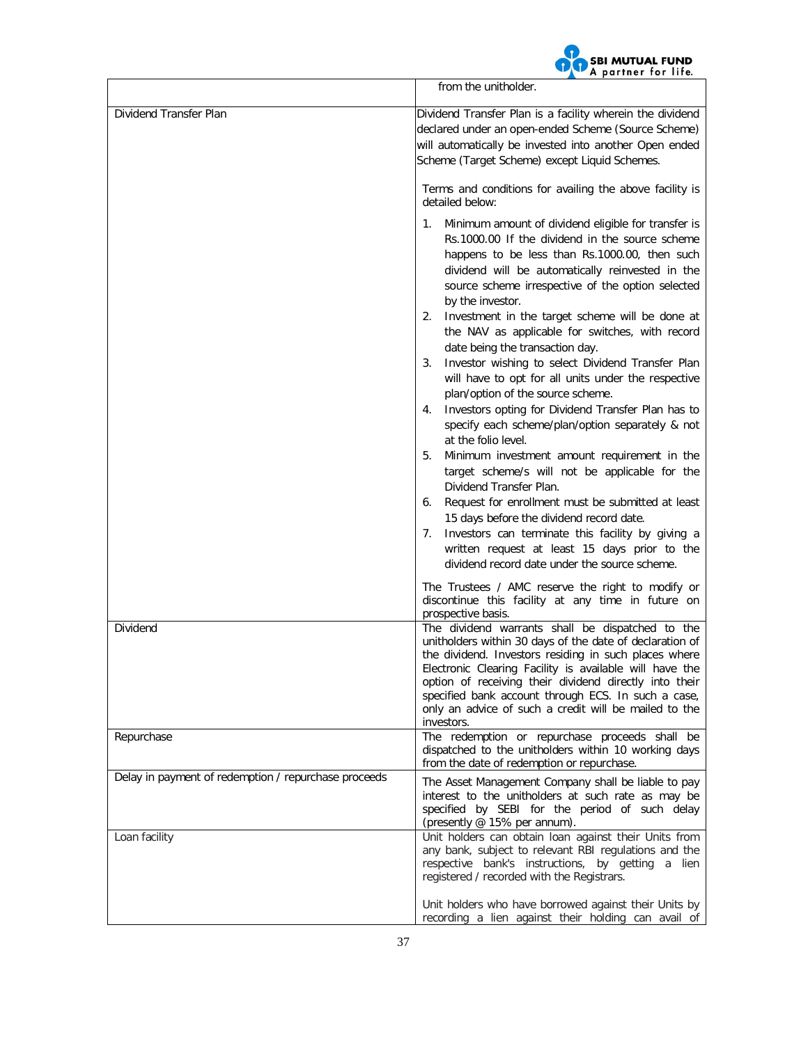

|                                                      | from the unitholder.                                                                                                                                                                                                                                                                                                                                                                                                     |  |  |
|------------------------------------------------------|--------------------------------------------------------------------------------------------------------------------------------------------------------------------------------------------------------------------------------------------------------------------------------------------------------------------------------------------------------------------------------------------------------------------------|--|--|
| Dividend Transfer Plan                               | Dividend Transfer Plan is a facility wherein the dividend<br>declared under an open-ended Scheme (Source Scheme)<br>will automatically be invested into another Open ended<br>Scheme (Target Scheme) except Liquid Schemes.                                                                                                                                                                                              |  |  |
|                                                      | Terms and conditions for availing the above facility is<br>detailed below:                                                                                                                                                                                                                                                                                                                                               |  |  |
|                                                      | Minimum amount of dividend eligible for transfer is<br>1.<br>Rs.1000.00 If the dividend in the source scheme<br>happens to be less than Rs.1000.00, then such<br>dividend will be automatically reinvested in the<br>source scheme irrespective of the option selected<br>by the investor.                                                                                                                               |  |  |
|                                                      | Investment in the target scheme will be done at<br>2.<br>the NAV as applicable for switches, with record<br>date being the transaction day.<br>Investor wishing to select Dividend Transfer Plan<br>3.<br>will have to opt for all units under the respective                                                                                                                                                            |  |  |
|                                                      | plan/option of the source scheme.<br>Investors opting for Dividend Transfer Plan has to<br>4.<br>specify each scheme/plan/option separately & not<br>at the folio level.                                                                                                                                                                                                                                                 |  |  |
|                                                      | Minimum investment amount requirement in the<br>5.<br>target scheme/s will not be applicable for the<br>Dividend Transfer Plan.<br>Request for enrollment must be submitted at least<br>6.                                                                                                                                                                                                                               |  |  |
|                                                      | 15 days before the dividend record date.<br>Investors can terminate this facility by giving a<br>7.<br>written request at least 15 days prior to the<br>dividend record date under the source scheme.                                                                                                                                                                                                                    |  |  |
|                                                      | The Trustees / AMC reserve the right to modify or<br>discontinue this facility at any time in future on<br>prospective basis.                                                                                                                                                                                                                                                                                            |  |  |
| Dividend                                             | The dividend warrants shall be dispatched to the<br>unitholders within 30 days of the date of declaration of<br>the dividend. Investors residing in such places where<br>Electronic Clearing Facility is available will have the<br>option of receiving their dividend directly into their<br>specified bank account through ECS. In such a case,<br>only an advice of such a credit will be mailed to the<br>investors. |  |  |
| Repurchase                                           | The redemption or repurchase proceeds shall be<br>dispatched to the unitholders within 10 working days<br>from the date of redemption or repurchase.                                                                                                                                                                                                                                                                     |  |  |
| Delay in payment of redemption / repurchase proceeds | The Asset Management Company shall be liable to pay<br>interest to the unitholders at such rate as may be<br>specified by SEBI for the period of such delay<br>(presently @ 15% per annum).                                                                                                                                                                                                                              |  |  |
| Loan facility                                        | Unit holders can obtain loan against their Units from<br>any bank, subject to relevant RBI regulations and the<br>respective bank's instructions, by getting a lien<br>registered / recorded with the Registrars.                                                                                                                                                                                                        |  |  |
|                                                      | Unit holders who have borrowed against their Units by<br>recording a lien against their holding can avail of                                                                                                                                                                                                                                                                                                             |  |  |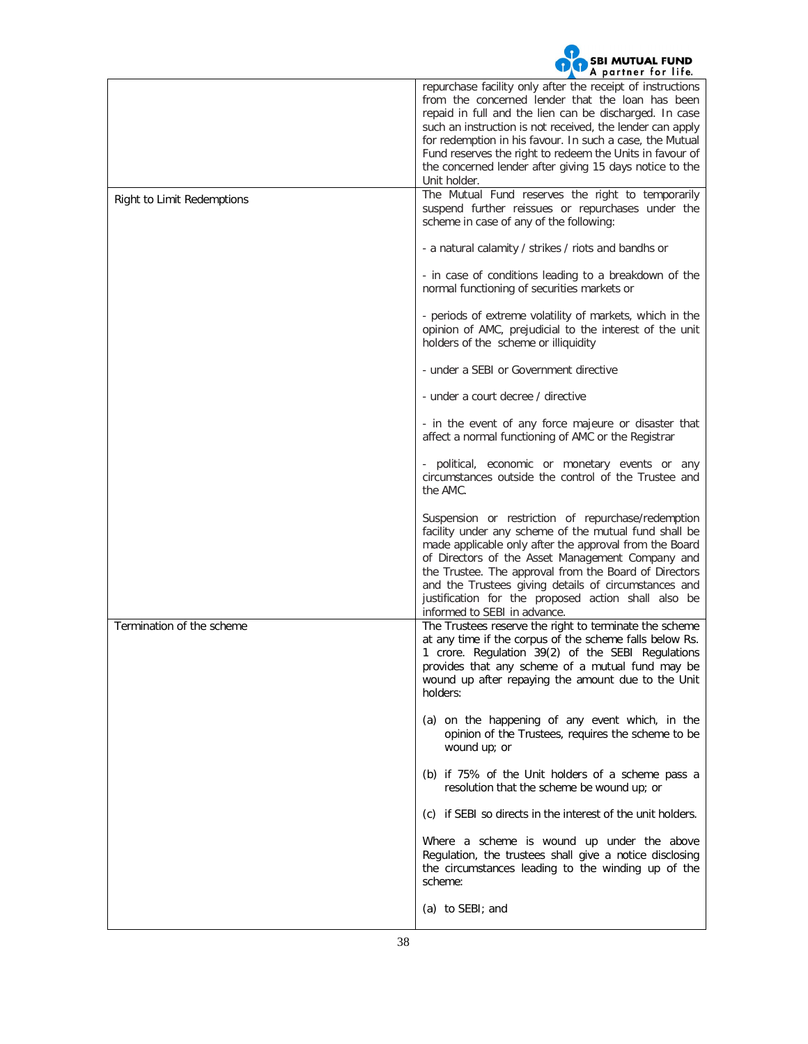

|                            | <b>p</b><br>repurchase facility only after the receipt of instructions<br>from the concerned lender that the loan has been<br>repaid in full and the lien can be discharged. In case<br>such an instruction is not received, the lender can apply<br>for redemption in his favour. In such a case, the Mutual<br>Fund reserves the right to redeem the Units in favour of<br>the concerned lender after giving 15 days notice to the<br>Unit holder. |
|----------------------------|------------------------------------------------------------------------------------------------------------------------------------------------------------------------------------------------------------------------------------------------------------------------------------------------------------------------------------------------------------------------------------------------------------------------------------------------------|
| Right to Limit Redemptions | The Mutual Fund reserves the right to temporarily<br>suspend further reissues or repurchases under the<br>scheme in case of any of the following:                                                                                                                                                                                                                                                                                                    |
|                            | - a natural calamity / strikes / riots and bandhs or                                                                                                                                                                                                                                                                                                                                                                                                 |
|                            | - in case of conditions leading to a breakdown of the<br>normal functioning of securities markets or                                                                                                                                                                                                                                                                                                                                                 |
|                            | - periods of extreme volatility of markets, which in the<br>opinion of AMC, prejudicial to the interest of the unit<br>holders of the scheme or illiquidity                                                                                                                                                                                                                                                                                          |
|                            | - under a SEBI or Government directive                                                                                                                                                                                                                                                                                                                                                                                                               |
|                            | - under a court decree / directive                                                                                                                                                                                                                                                                                                                                                                                                                   |
|                            | - in the event of any force majeure or disaster that<br>affect a normal functioning of AMC or the Registrar                                                                                                                                                                                                                                                                                                                                          |
|                            | - political, economic or monetary events or any<br>circumstances outside the control of the Trustee and<br>the AMC.                                                                                                                                                                                                                                                                                                                                  |
|                            | Suspension or restriction of repurchase/redemption<br>facility under any scheme of the mutual fund shall be<br>made applicable only after the approval from the Board<br>of Directors of the Asset Management Company and<br>the Trustee. The approval from the Board of Directors<br>and the Trustees giving details of circumstances and<br>justification for the proposed action shall also be<br>informed to SEBI in advance.                    |
| Termination of the scheme  | The Trustees reserve the right to terminate the scheme<br>at any time if the corpus of the scheme falls below Rs.<br>1 crore. Regulation 39(2) of the SEBI Regulations<br>provides that any scheme of a mutual fund may be<br>wound up after repaying the amount due to the Unit<br>holders:                                                                                                                                                         |
|                            | (a) on the happening of any event which, in the<br>opinion of the Trustees, requires the scheme to be<br>wound up; or                                                                                                                                                                                                                                                                                                                                |
|                            | (b) if 75% of the Unit holders of a scheme pass a<br>resolution that the scheme be wound up; or                                                                                                                                                                                                                                                                                                                                                      |
|                            | (c) if SEBI so directs in the interest of the unit holders.                                                                                                                                                                                                                                                                                                                                                                                          |
|                            | Where a scheme is wound up under the above<br>Regulation, the trustees shall give a notice disclosing<br>the circumstances leading to the winding up of the<br>scheme:                                                                                                                                                                                                                                                                               |
|                            | (a) to SEBI; and                                                                                                                                                                                                                                                                                                                                                                                                                                     |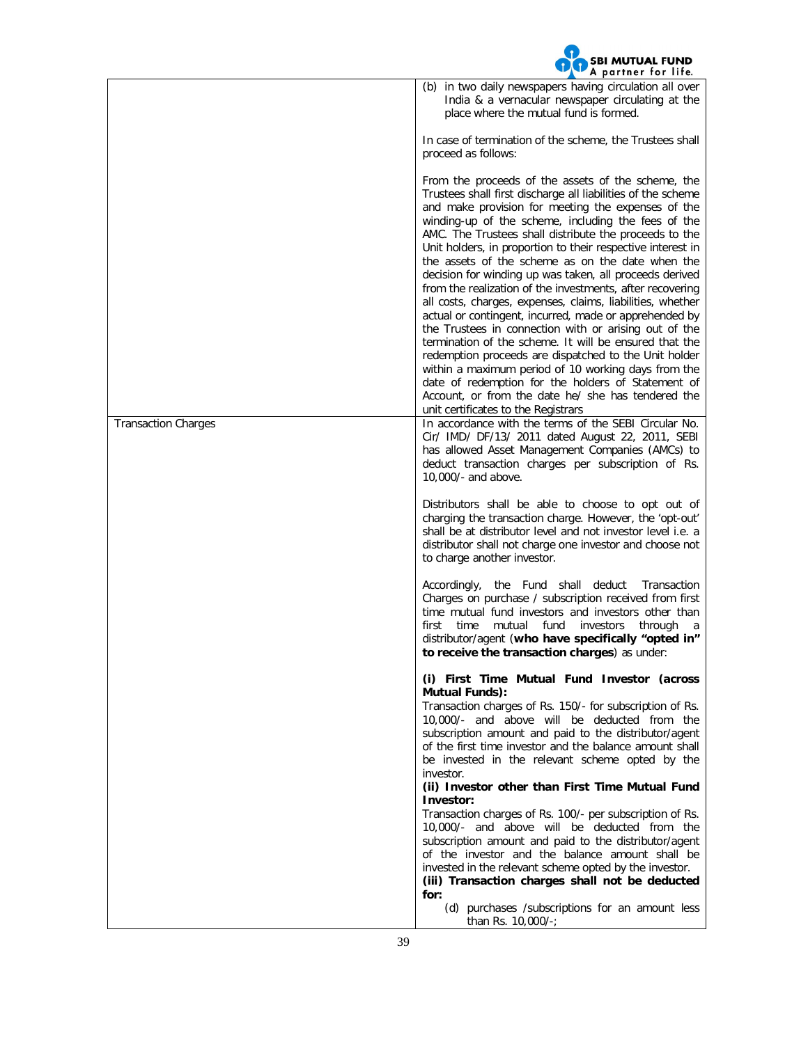

|                            | (b) in two daily newspapers having circulation all over<br>India & a vernacular newspaper circulating at the<br>place where the mutual fund is formed.                                                                                                                                                                                                                                                                                                                                                                                                                                                                                                                                                                                                                                                                                                                                                                                                                                                                                             |
|----------------------------|----------------------------------------------------------------------------------------------------------------------------------------------------------------------------------------------------------------------------------------------------------------------------------------------------------------------------------------------------------------------------------------------------------------------------------------------------------------------------------------------------------------------------------------------------------------------------------------------------------------------------------------------------------------------------------------------------------------------------------------------------------------------------------------------------------------------------------------------------------------------------------------------------------------------------------------------------------------------------------------------------------------------------------------------------|
|                            | In case of termination of the scheme, the Trustees shall<br>proceed as follows:                                                                                                                                                                                                                                                                                                                                                                                                                                                                                                                                                                                                                                                                                                                                                                                                                                                                                                                                                                    |
|                            | From the proceeds of the assets of the scheme, the<br>Trustees shall first discharge all liabilities of the scheme<br>and make provision for meeting the expenses of the<br>winding-up of the scheme, including the fees of the<br>AMC. The Trustees shall distribute the proceeds to the<br>Unit holders, in proportion to their respective interest in<br>the assets of the scheme as on the date when the<br>decision for winding up was taken, all proceeds derived<br>from the realization of the investments, after recovering<br>all costs, charges, expenses, claims, liabilities, whether<br>actual or contingent, incurred, made or apprehended by<br>the Trustees in connection with or arising out of the<br>termination of the scheme. It will be ensured that the<br>redemption proceeds are dispatched to the Unit holder<br>within a maximum period of 10 working days from the<br>date of redemption for the holders of Statement of<br>Account, or from the date he/ she has tendered the<br>unit certificates to the Registrars |
| <b>Transaction Charges</b> | In accordance with the terms of the SEBI Circular No.<br>Cir/ IMD/ DF/13/ 2011 dated August 22, 2011, SEBI<br>has allowed Asset Management Companies (AMCs) to<br>deduct transaction charges per subscription of Rs.<br>10,000/- and above.                                                                                                                                                                                                                                                                                                                                                                                                                                                                                                                                                                                                                                                                                                                                                                                                        |
|                            | Distributors shall be able to choose to opt out of<br>charging the transaction charge. However, the 'opt-out'<br>shall be at distributor level and not investor level <i>i.e.</i> a<br>distributor shall not charge one investor and choose not<br>to charge another investor.                                                                                                                                                                                                                                                                                                                                                                                                                                                                                                                                                                                                                                                                                                                                                                     |
|                            | Accordingly, the Fund shall deduct<br>Transaction<br>Charges on purchase / subscription received from first<br>time mutual fund investors and investors other than<br>mutual fund<br>first<br>time<br>investors<br>through<br>a<br>distributor/agent (who have specifically "opted in"<br>to receive the transaction charges) as under:                                                                                                                                                                                                                                                                                                                                                                                                                                                                                                                                                                                                                                                                                                            |
|                            | (i) First Time Mutual Fund Investor (across<br>Mutual Funds):<br>Transaction charges of Rs. 150/- for subscription of Rs.<br>10,000/- and above will be deducted from the<br>subscription amount and paid to the distributor/agent<br>of the first time investor and the balance amount shall<br>be invested in the relevant scheme opted by the<br>investor.<br>(ii) Investor other than First Time Mutual Fund<br>Investor:<br>Transaction charges of Rs. 100/- per subscription of Rs.<br>10,000/- and above will be deducted from the<br>subscription amount and paid to the distributor/agent<br>of the investor and the balance amount shall be<br>invested in the relevant scheme opted by the investor.                                                                                                                                                                                                                                                                                                                                    |
|                            | (iii) Transaction charges shall not be deducted<br>for:<br>(d) purchases /subscriptions for an amount less<br>than Rs. 10,000/-;                                                                                                                                                                                                                                                                                                                                                                                                                                                                                                                                                                                                                                                                                                                                                                                                                                                                                                                   |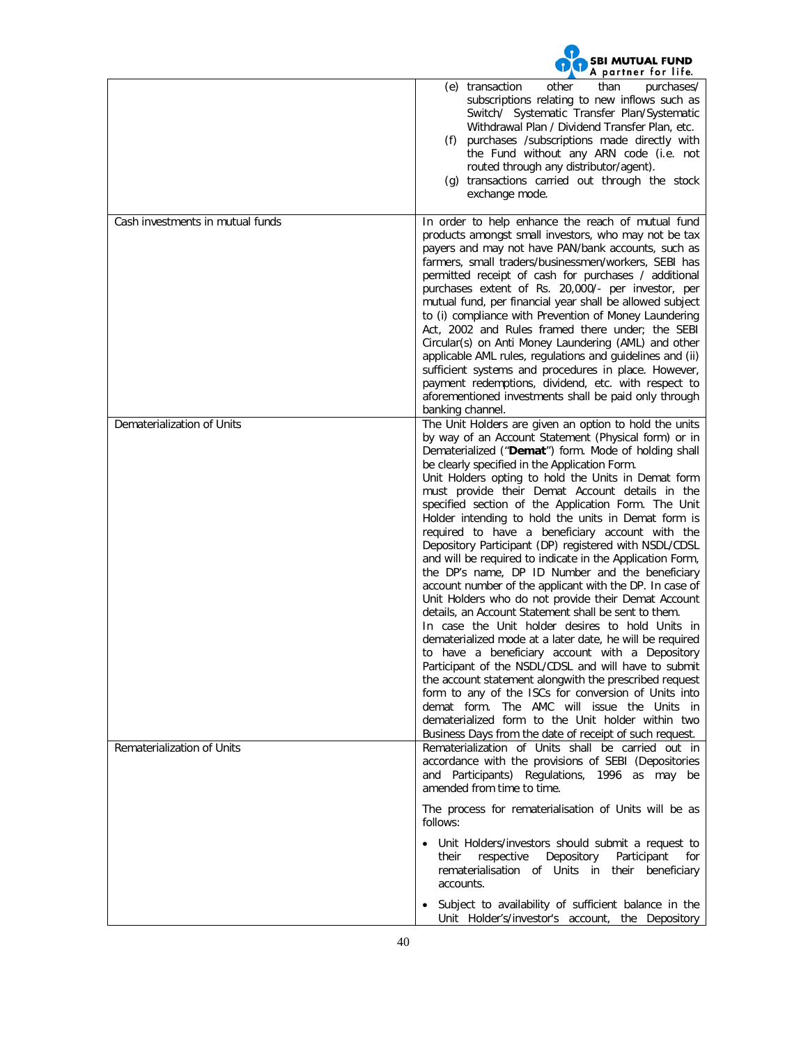|                                  | <b>SBI MUTUAL FUND</b><br>A partner for life.                                                                                                                                                                                                                                                                                                                                                                                                                                                                                                                                                                                                                                                                                                                                                                                                                                                                                                                                                                                                                                                                                                                                                                                                                                                                                                                     |
|----------------------------------|-------------------------------------------------------------------------------------------------------------------------------------------------------------------------------------------------------------------------------------------------------------------------------------------------------------------------------------------------------------------------------------------------------------------------------------------------------------------------------------------------------------------------------------------------------------------------------------------------------------------------------------------------------------------------------------------------------------------------------------------------------------------------------------------------------------------------------------------------------------------------------------------------------------------------------------------------------------------------------------------------------------------------------------------------------------------------------------------------------------------------------------------------------------------------------------------------------------------------------------------------------------------------------------------------------------------------------------------------------------------|
|                                  | than<br>transaction<br>purchases/<br>(e)<br>other<br>subscriptions relating to new inflows such as<br>Switch/ Systematic Transfer Plan/Systematic<br>Withdrawal Plan / Dividend Transfer Plan, etc.<br>(f) purchases /subscriptions made directly with<br>the Fund without any ARN code (i.e. not<br>routed through any distributor/agent).<br>(g) transactions carried out through the stock<br>exchange mode.                                                                                                                                                                                                                                                                                                                                                                                                                                                                                                                                                                                                                                                                                                                                                                                                                                                                                                                                                   |
| Cash investments in mutual funds | In order to help enhance the reach of mutual fund<br>products amongst small investors, who may not be tax<br>payers and may not have PAN/bank accounts, such as<br>farmers, small traders/businessmen/workers, SEBI has<br>permitted receipt of cash for purchases / additional<br>purchases extent of Rs. 20,000/- per investor, per<br>mutual fund, per financial year shall be allowed subject<br>to (i) compliance with Prevention of Money Laundering<br>Act, 2002 and Rules framed there under; the SEBI<br>Circular(s) on Anti Money Laundering (AML) and other<br>applicable AML rules, regulations and guidelines and (ii)<br>sufficient systems and procedures in place. However,<br>payment redemptions, dividend, etc. with respect to<br>aforementioned investments shall be paid only through<br>banking channel.                                                                                                                                                                                                                                                                                                                                                                                                                                                                                                                                   |
| Dematerialization of Units       | The Unit Holders are given an option to hold the units<br>by way of an Account Statement (Physical form) or in<br>Dematerialized ("Demat") form. Mode of holding shall<br>be clearly specified in the Application Form.<br>Unit Holders opting to hold the Units in Demat form<br>must provide their Demat Account details in the<br>specified section of the Application Form. The Unit<br>Holder intending to hold the units in Demat form is<br>required to have a beneficiary account with the<br>Depository Participant (DP) registered with NSDL/CDSL<br>and will be required to indicate in the Application Form,<br>the DP's name, DP ID Number and the beneficiary<br>account number of the applicant with the DP. In case of<br>Unit Holders who do not provide their Demat Account<br>details, an Account Statement shall be sent to them.<br>In case the Unit holder desires to hold Units in<br>dematerialized mode at a later date, he will be required<br>to have a beneficiary account with a Depository<br>Participant of the NSDL/CDSL and will have to submit<br>the account statement alongwith the prescribed request<br>form to any of the ISCs for conversion of Units into<br>demat form. The AMC will issue the Units in<br>dematerialized form to the Unit holder within two<br>Business Days from the date of receipt of such request. |
| Rematerialization of Units       | Rematerialization of Units shall be carried out in<br>accordance with the provisions of SEBI (Depositories<br>and Participants) Regulations, 1996 as may be<br>amended from time to time.                                                                                                                                                                                                                                                                                                                                                                                                                                                                                                                                                                                                                                                                                                                                                                                                                                                                                                                                                                                                                                                                                                                                                                         |
|                                  | The process for rematerialisation of Units will be as<br>follows:<br>• Unit Holders/investors should submit a request to<br>Depository<br>respective<br>Participant<br>their<br>for<br>rematerialisation of Units in their beneficiary<br>accounts.                                                                                                                                                                                                                                                                                                                                                                                                                                                                                                                                                                                                                                                                                                                                                                                                                                                                                                                                                                                                                                                                                                               |
|                                  | Subject to availability of sufficient balance in the<br>Unit Holder's/investor's account, the Depository                                                                                                                                                                                                                                                                                                                                                                                                                                                                                                                                                                                                                                                                                                                                                                                                                                                                                                                                                                                                                                                                                                                                                                                                                                                          |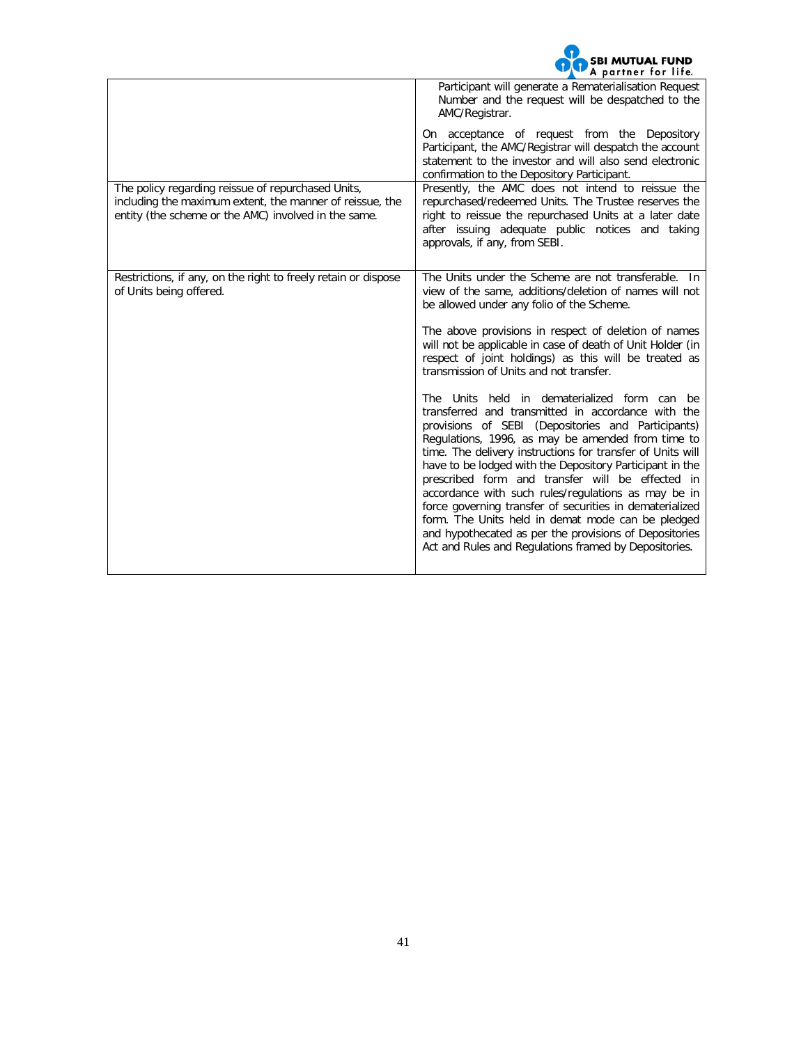| <b>OO</b> SBI MUTUAL FUND |  |
|---------------------------|--|
|                           |  |

| Participant will generate a Rematerialisation Request<br>Number and the request will be despatched to the<br>AMC/Registrar.                                                                                                                                                                                                                                                                                                                                                                                                                                                                                                                                                            |
|----------------------------------------------------------------------------------------------------------------------------------------------------------------------------------------------------------------------------------------------------------------------------------------------------------------------------------------------------------------------------------------------------------------------------------------------------------------------------------------------------------------------------------------------------------------------------------------------------------------------------------------------------------------------------------------|
| On acceptance of request from the Depository<br>Participant, the AMC/Registrar will despatch the account<br>statement to the investor and will also send electronic<br>confirmation to the Depository Participant.                                                                                                                                                                                                                                                                                                                                                                                                                                                                     |
| Presently, the AMC does not intend to reissue the<br>repurchased/redeemed Units. The Trustee reserves the<br>right to reissue the repurchased Units at a later date<br>after issuing adequate public notices and taking<br>approvals, if any, from SEBI.                                                                                                                                                                                                                                                                                                                                                                                                                               |
| The Units under the Scheme are not transferable. In<br>view of the same, additions/deletion of names will not<br>be allowed under any folio of the Scheme.                                                                                                                                                                                                                                                                                                                                                                                                                                                                                                                             |
| The above provisions in respect of deletion of names<br>will not be applicable in case of death of Unit Holder (in<br>respect of joint holdings) as this will be treated as<br>transmission of Units and not transfer.                                                                                                                                                                                                                                                                                                                                                                                                                                                                 |
| The Units held in dematerialized form can be<br>transferred and transmitted in accordance with the<br>provisions of SEBI (Depositories and Participants)<br>Regulations, 1996, as may be amended from time to<br>time. The delivery instructions for transfer of Units will<br>have to be lodged with the Depository Participant in the<br>prescribed form and transfer will be effected in<br>accordance with such rules/regulations as may be in<br>force governing transfer of securities in dematerialized<br>form. The Units held in demat mode can be pledged<br>and hypothecated as per the provisions of Depositories<br>Act and Rules and Regulations framed by Depositories. |
|                                                                                                                                                                                                                                                                                                                                                                                                                                                                                                                                                                                                                                                                                        |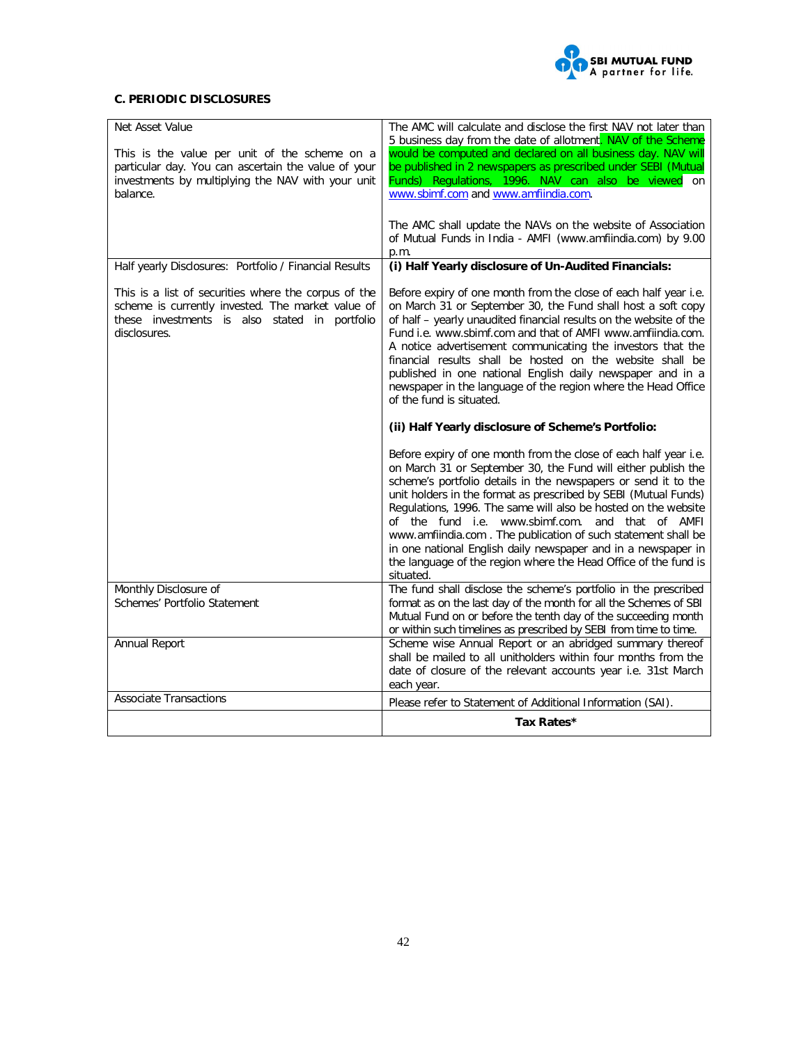

# **C. PERIODIC DISCLOSURES**

| Net Asset Value                                                                                                                                                            | The AMC will calculate and disclose the first NAV not later than<br>5 business day from the date of allotment. NAV of the Scheme                                                                                                                                                                                                                                                                                                                                                                                                                                                                               |
|----------------------------------------------------------------------------------------------------------------------------------------------------------------------------|----------------------------------------------------------------------------------------------------------------------------------------------------------------------------------------------------------------------------------------------------------------------------------------------------------------------------------------------------------------------------------------------------------------------------------------------------------------------------------------------------------------------------------------------------------------------------------------------------------------|
| This is the value per unit of the scheme on a<br>particular day. You can ascertain the value of your<br>investments by multiplying the NAV with your unit<br>balance.      | would be computed and declared on all business day. NAV will<br>be published in 2 newspapers as prescribed under SEBI (Mutual<br>Funds) Regulations, 1996. NAV can also be viewed on<br>www.sbimf.com and www.amfiindia.com.                                                                                                                                                                                                                                                                                                                                                                                   |
|                                                                                                                                                                            | The AMC shall update the NAVs on the website of Association<br>of Mutual Funds in India - AMFI (www.amfiindia.com) by 9.00<br>p.m.                                                                                                                                                                                                                                                                                                                                                                                                                                                                             |
| Half yearly Disclosures: Portfolio / Financial Results                                                                                                                     | (i) Half Yearly disclosure of Un-Audited Financials:                                                                                                                                                                                                                                                                                                                                                                                                                                                                                                                                                           |
| This is a list of securities where the corpus of the<br>scheme is currently invested. The market value of<br>these investments is also stated in portfolio<br>disclosures. | Before expiry of one month from the close of each half year i.e.<br>on March 31 or September 30, the Fund shall host a soft copy<br>of half - yearly unaudited financial results on the website of the<br>Fund i.e. www.sbimf.com and that of AMFI www.amfiindia.com.<br>A notice advertisement communicating the investors that the<br>financial results shall be hosted on the website shall be<br>published in one national English daily newspaper and in a<br>newspaper in the language of the region where the Head Office<br>of the fund is situated.                                                   |
|                                                                                                                                                                            | (ii) Half Yearly disclosure of Scheme's Portfolio:                                                                                                                                                                                                                                                                                                                                                                                                                                                                                                                                                             |
|                                                                                                                                                                            | Before expiry of one month from the close of each half year i.e.<br>on March 31 or September 30, the Fund will either publish the<br>scheme's portfolio details in the newspapers or send it to the<br>unit holders in the format as prescribed by SEBI (Mutual Funds)<br>Regulations, 1996. The same will also be hosted on the website<br>of the fund i.e. www.sbimf.com. and that of AMFI<br>www.amfiindia.com. The publication of such statement shall be<br>in one national English daily newspaper and in a newspaper in<br>the language of the region where the Head Office of the fund is<br>situated. |
| Monthly Disclosure of<br>Schemes' Portfolio Statement                                                                                                                      | The fund shall disclose the scheme's portfolio in the prescribed<br>format as on the last day of the month for all the Schemes of SBI<br>Mutual Fund on or before the tenth day of the succeeding month<br>or within such timelines as prescribed by SEBI from time to time.                                                                                                                                                                                                                                                                                                                                   |
| Annual Report                                                                                                                                                              | Scheme wise Annual Report or an abridged summary thereof<br>shall be mailed to all unitholders within four months from the<br>date of closure of the relevant accounts year i.e. 31st March<br>each year.                                                                                                                                                                                                                                                                                                                                                                                                      |
| <b>Associate Transactions</b>                                                                                                                                              | Please refer to Statement of Additional Information (SAI).                                                                                                                                                                                                                                                                                                                                                                                                                                                                                                                                                     |
|                                                                                                                                                                            | Tax Rates*                                                                                                                                                                                                                                                                                                                                                                                                                                                                                                                                                                                                     |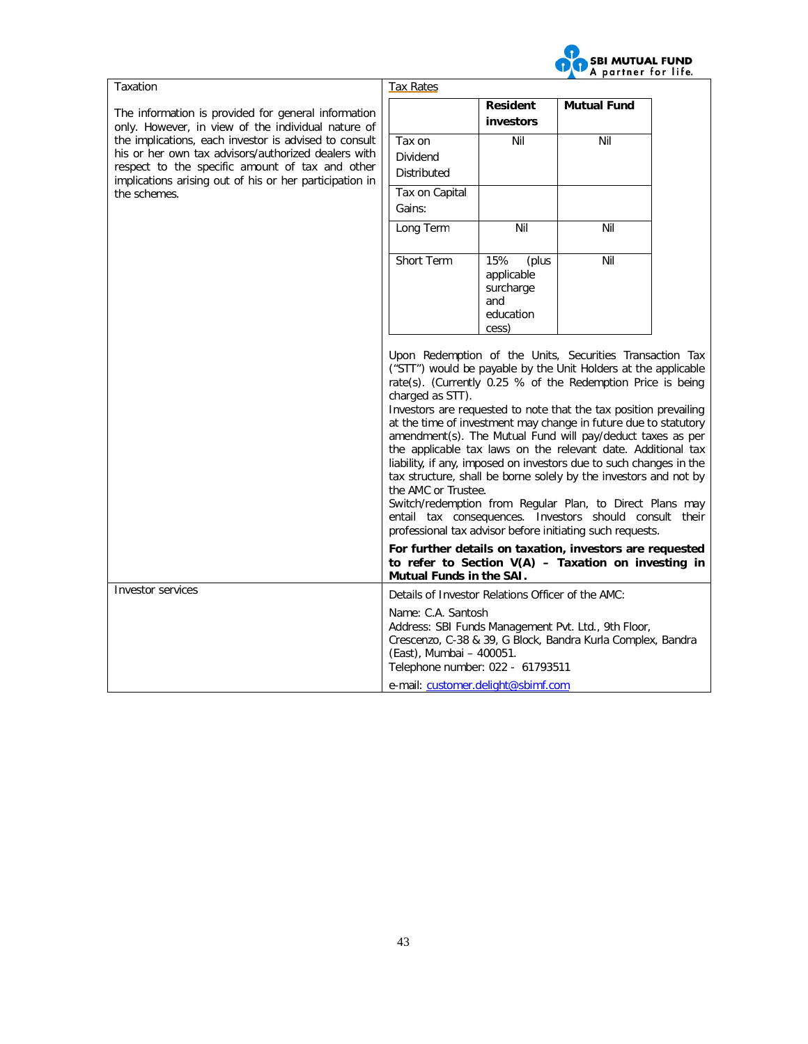

| Taxation                                                                                                                                                                                                                                   | <b>Tax Rates</b>                                                                   |                                                                      |                                                                                                                                                                                                                                                                                                                                                                                                                                                                                                                                                                                                                                                                                                                                                                                              |  |
|--------------------------------------------------------------------------------------------------------------------------------------------------------------------------------------------------------------------------------------------|------------------------------------------------------------------------------------|----------------------------------------------------------------------|----------------------------------------------------------------------------------------------------------------------------------------------------------------------------------------------------------------------------------------------------------------------------------------------------------------------------------------------------------------------------------------------------------------------------------------------------------------------------------------------------------------------------------------------------------------------------------------------------------------------------------------------------------------------------------------------------------------------------------------------------------------------------------------------|--|
| The information is provided for general information<br>only. However, in view of the individual nature of                                                                                                                                  |                                                                                    | <b>Resident</b><br>investors                                         | <b>Mutual Fund</b>                                                                                                                                                                                                                                                                                                                                                                                                                                                                                                                                                                                                                                                                                                                                                                           |  |
| the implications, each investor is advised to consult<br>his or her own tax advisors/authorized dealers with<br>respect to the specific amount of tax and other<br>implications arising out of his or her participation in<br>the schemes. | Tax on<br><b>Dividend</b><br><b>Distributed</b><br>Tax on Capital                  | Nil                                                                  | Nil                                                                                                                                                                                                                                                                                                                                                                                                                                                                                                                                                                                                                                                                                                                                                                                          |  |
|                                                                                                                                                                                                                                            | Gains:                                                                             |                                                                      |                                                                                                                                                                                                                                                                                                                                                                                                                                                                                                                                                                                                                                                                                                                                                                                              |  |
|                                                                                                                                                                                                                                            | Long Term                                                                          | Nil                                                                  | Nil                                                                                                                                                                                                                                                                                                                                                                                                                                                                                                                                                                                                                                                                                                                                                                                          |  |
|                                                                                                                                                                                                                                            | Short Term                                                                         | 15%<br>(plus<br>applicable<br>surcharge<br>and<br>education<br>cess) | Nil                                                                                                                                                                                                                                                                                                                                                                                                                                                                                                                                                                                                                                                                                                                                                                                          |  |
|                                                                                                                                                                                                                                            | charged as STT).<br>the AMC or Trustee.                                            |                                                                      | Upon Redemption of the Units, Securities Transaction Tax<br>("STT") would be payable by the Unit Holders at the applicable<br>rate(s). (Currently 0.25 % of the Redemption Price is being<br>Investors are requested to note that the tax position prevailing<br>at the time of investment may change in future due to statutory<br>amendment(s). The Mutual Fund will pay/deduct taxes as per<br>the applicable tax laws on the relevant date. Additional tax<br>liability, if any, imposed on investors due to such changes in the<br>tax structure, shall be borne solely by the investors and not by<br>Switch/redemption from Regular Plan, to Direct Plans may<br>entail tax consequences. Investors should consult their<br>professional tax advisor before initiating such requests. |  |
|                                                                                                                                                                                                                                            | Mutual Funds in the SAI.                                                           |                                                                      | For further details on taxation, investors are requested<br>to refer to Section $V(A)$ – Taxation on investing in                                                                                                                                                                                                                                                                                                                                                                                                                                                                                                                                                                                                                                                                            |  |
| Investor services                                                                                                                                                                                                                          | Details of Investor Relations Officer of the AMC:                                  |                                                                      |                                                                                                                                                                                                                                                                                                                                                                                                                                                                                                                                                                                                                                                                                                                                                                                              |  |
|                                                                                                                                                                                                                                            | Name: C.A. Santosh<br>(East), Mumbai - 400051.<br>Telephone number: 022 - 61793511 |                                                                      | Address: SBI Funds Management Pvt. Ltd., 9th Floor,<br>Crescenzo, C-38 & 39, G Block, Bandra Kurla Complex, Bandra                                                                                                                                                                                                                                                                                                                                                                                                                                                                                                                                                                                                                                                                           |  |
|                                                                                                                                                                                                                                            | e-mail: customer.delight@sbimf.com                                                 |                                                                      |                                                                                                                                                                                                                                                                                                                                                                                                                                                                                                                                                                                                                                                                                                                                                                                              |  |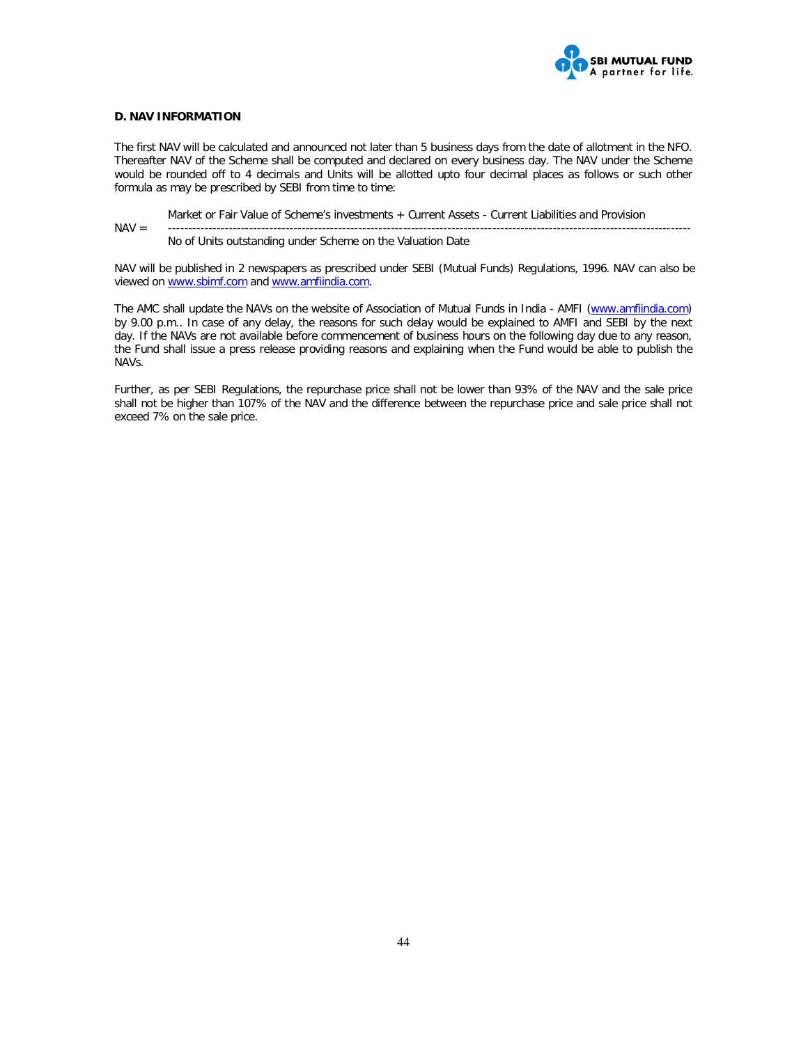

# **D. NAV INFORMATION**

The first NAV will be calculated and announced not later than 5 business days from the date of allotment in the NFO. Thereafter NAV of the Scheme shall be computed and declared on every business day. The NAV under the Scheme would be rounded off to 4 decimals and Units will be allotted upto four decimal places as follows or such other formula as may be prescribed by SEBI from time to time:

Market or Fair Value of Scheme's investments + Current Assets - Current Liabilities and Provision

NAV = ---------------------------------------------------------------------------------------------------------------------------------

No of Units outstanding under Scheme on the Valuation Date

NAV will be published in 2 newspapers as prescribed under SEBI (Mutual Funds) Regulations, 1996. NAV can also be viewed on www.sbimf.com and www.amfiindia.com.

The AMC shall update the NAVs on the website of Association of Mutual Funds in India - AMFI (www.amfiindia.com) by 9.00 p.m.. In case of any delay, the reasons for such delay would be explained to AMFI and SEBI by the next day. If the NAVs are not available before commencement of business hours on the following day due to any reason, the Fund shall issue a press release providing reasons and explaining when the Fund would be able to publish the NAVs.

Further, as per SEBI Regulations, the repurchase price shall not be lower than 93% of the NAV and the sale price shall not be higher than 107% of the NAV and the difference between the repurchase price and sale price shall not exceed 7% on the sale price.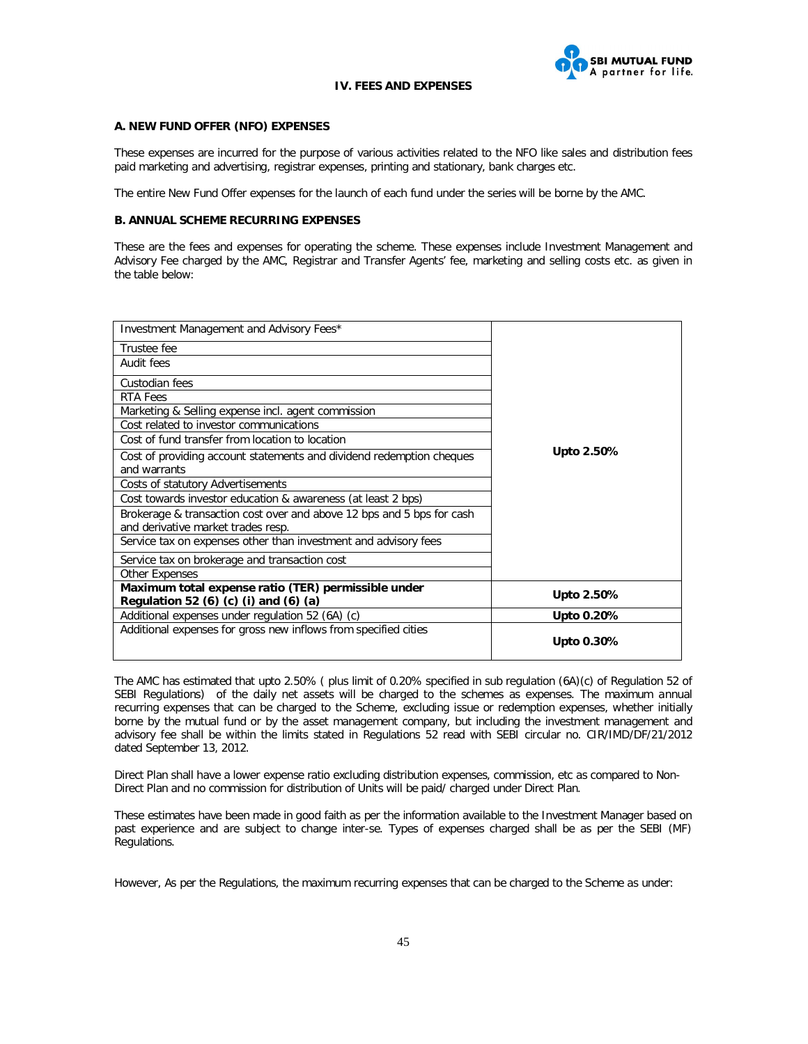

#### **IV. FEES AND EXPENSES**

## **A. NEW FUND OFFER (NFO) EXPENSES**

These expenses are incurred for the purpose of various activities related to the NFO like sales and distribution fees paid marketing and advertising, registrar expenses, printing and stationary, bank charges etc.

The entire New Fund Offer expenses for the launch of each fund under the series will be borne by the AMC.

#### **B. ANNUAL SCHEME RECURRING EXPENSES**

These are the fees and expenses for operating the scheme. These expenses include Investment Management and Advisory Fee charged by the AMC, Registrar and Transfer Agents' fee, marketing and selling costs etc. as given in the table below:

| Investment Management and Advisory Fees*                              |            |
|-----------------------------------------------------------------------|------------|
| Trustee fee                                                           |            |
| Audit fees                                                            |            |
| Custodian fees                                                        |            |
| RTA Fees                                                              |            |
| Marketing & Selling expense incl. agent commission                    |            |
| Cost related to investor communications                               |            |
| Cost of fund transfer from location to location                       |            |
| Cost of providing account statements and dividend redemption cheques  | Upto 2.50% |
| and warrants                                                          |            |
| Costs of statutory Advertisements                                     |            |
| Cost towards investor education & awareness (at least 2 bps)          |            |
| Brokerage & transaction cost over and above 12 bps and 5 bps for cash |            |
| and derivative market trades resp.                                    |            |
| Service tax on expenses other than investment and advisory fees       |            |
| Service tax on brokerage and transaction cost                         |            |
| Other Expenses                                                        |            |
| Maximum total expense ratio (TER) permissible under                   | Upto 2.50% |
| Regulation 52 (6) (c) (i) and (6) (a)                                 |            |
| Additional expenses under regulation 52 (6A) (c)                      | Upto 0.20% |
| Additional expenses for gross new inflows from specified cities       |            |
|                                                                       | Upto 0.30% |

The AMC has estimated that upto 2.50% ( plus limit of 0.20% specified in sub regulation (6A)(c) of Regulation 52 of SEBI Regulations) of the daily net assets will be charged to the schemes as expenses. The maximum annual recurring expenses that can be charged to the Scheme, excluding issue or redemption expenses, whether initially borne by the mutual fund or by the asset management company, but including the investment management and advisory fee shall be within the limits stated in Regulations 52 read with SEBI circular no. CIR/IMD/DF/21/2012 dated September 13, 2012.

Direct Plan shall have a lower expense ratio excluding distribution expenses, commission, etc as compared to Non-Direct Plan and no commission for distribution of Units will be paid/ charged under Direct Plan.

These estimates have been made in good faith as per the information available to the Investment Manager based on past experience and are subject to change inter-se. Types of expenses charged shall be as per the SEBI (MF) Regulations.

However, As per the Regulations, the maximum recurring expenses that can be charged to the Scheme as under: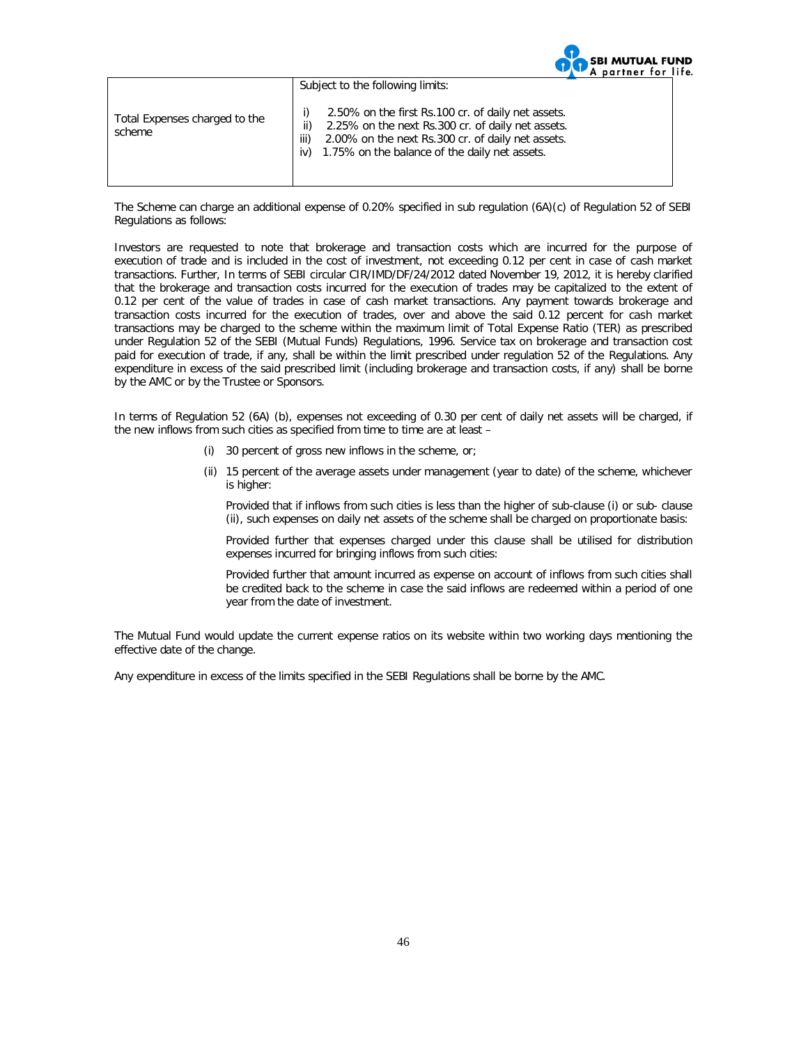|                                         |                                                                                                                                                                                                                                     | A partner for life. |  |
|-----------------------------------------|-------------------------------------------------------------------------------------------------------------------------------------------------------------------------------------------------------------------------------------|---------------------|--|
|                                         | Subject to the following limits:                                                                                                                                                                                                    |                     |  |
| Total Expenses charged to the<br>scheme | 2.50% on the first Rs.100 cr. of daily net assets.<br>2.25% on the next Rs.300 cr. of daily net assets.<br>ii)<br>2.00% on the next Rs.300 cr. of daily net assets.<br>iii)<br>1.75% on the balance of the daily net assets.<br>iv) |                     |  |

**SBI MUTUAL FUND** 

The Scheme can charge an additional expense of 0.20% specified in sub regulation (6A)(c) of Regulation 52 of SEBI Regulations as follows:

Investors are requested to note that brokerage and transaction costs which are incurred for the purpose of execution of trade and is included in the cost of investment, not exceeding 0.12 per cent in case of cash market transactions. Further, In terms of SEBI circular CIR/IMD/DF/24/2012 dated November 19, 2012, it is hereby clarified that the brokerage and transaction costs incurred for the execution of trades may be capitalized to the extent of 0.12 per cent of the value of trades in case of cash market transactions. Any payment towards brokerage and transaction costs incurred for the execution of trades, over and above the said 0.12 percent for cash market transactions may be charged to the scheme within the maximum limit of Total Expense Ratio (TER) as prescribed under Regulation 52 of the SEBI (Mutual Funds) Regulations, 1996. Service tax on brokerage and transaction cost paid for execution of trade, if any, shall be within the limit prescribed under regulation 52 of the Regulations. Any expenditure in excess of the said prescribed limit (including brokerage and transaction costs, if any) shall be borne by the AMC or by the Trustee or Sponsors.

In terms of Regulation 52 (6A) (b), expenses not exceeding of 0.30 per cent of daily net assets will be charged, if the new inflows from such cities as specified from time to time are at least –

- (i) 30 percent of gross new inflows in the scheme, or;
- (ii) 15 percent of the average assets under management (year to date) of the scheme, whichever is higher:

Provided that if inflows from such cities is less than the higher of sub-clause (i) or sub- clause (ii), such expenses on daily net assets of the scheme shall be charged on proportionate basis:

Provided further that expenses charged under this clause shall be utilised for distribution expenses incurred for bringing inflows from such cities:

Provided further that amount incurred as expense on account of inflows from such cities shall be credited back to the scheme in case the said inflows are redeemed within a period of one year from the date of investment.

The Mutual Fund would update the current expense ratios on its website within two working days mentioning the effective date of the change.

Any expenditure in excess of the limits specified in the SEBI Regulations shall be borne by the AMC.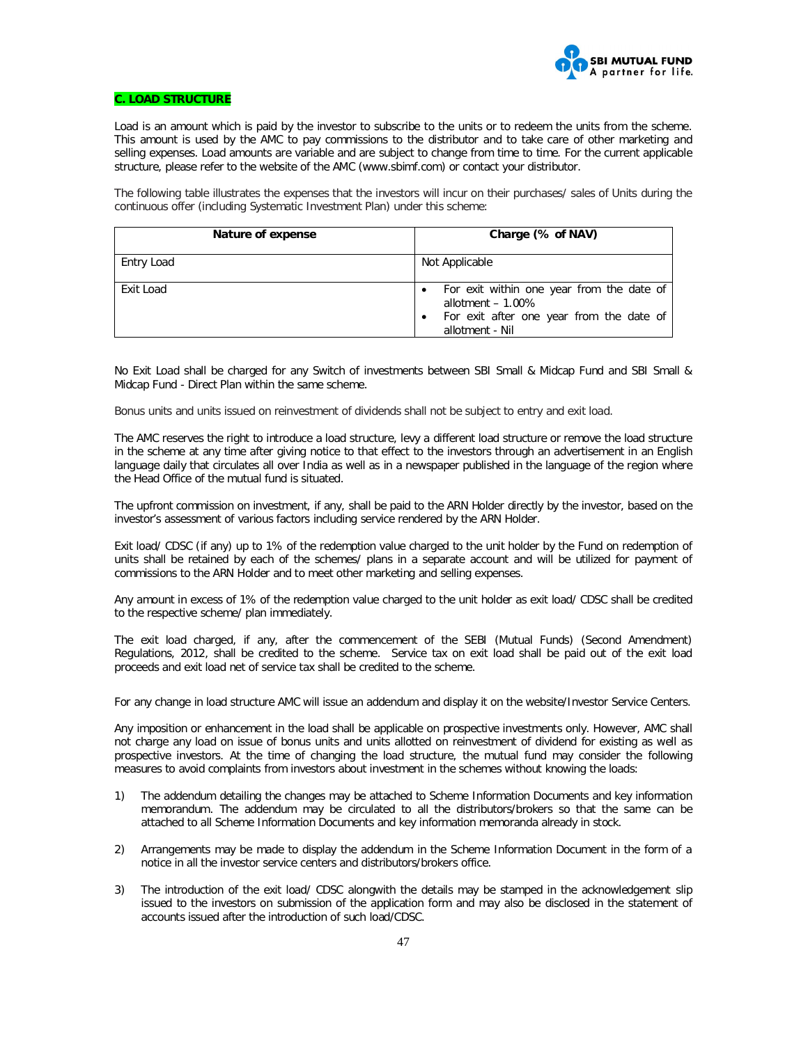

# **C. LOAD STRUCTURE**

Load is an amount which is paid by the investor to subscribe to the units or to redeem the units from the scheme. This amount is used by the AMC to pay commissions to the distributor and to take care of other marketing and selling expenses. Load amounts are variable and are subject to change from time to time. For the current applicable structure, please refer to the website of the AMC (www.sbimf.com) or contact your distributor.

The following table illustrates the expenses that the investors will incur on their purchases/ sales of Units during the continuous offer (including Systematic Investment Plan) under this scheme:

| Nature of expense | Charge (% of NAV)                                                                                                               |
|-------------------|---------------------------------------------------------------------------------------------------------------------------------|
| Entry Load        | Not Applicable                                                                                                                  |
| Exit Load         | For exit within one year from the date of<br>allotment $-1.00\%$<br>For exit after one year from the date of<br>allotment - Nil |

No Exit Load shall be charged for any Switch of investments between SBI Small & Midcap Fund and SBI Small & Midcap Fund - Direct Plan within the same scheme.

Bonus units and units issued on reinvestment of dividends shall not be subject to entry and exit load.

The AMC reserves the right to introduce a load structure, levy a different load structure or remove the load structure in the scheme at any time after giving notice to that effect to the investors through an advertisement in an English language daily that circulates all over India as well as in a newspaper published in the language of the region where the Head Office of the mutual fund is situated.

The upfront commission on investment, if any, shall be paid to the ARN Holder directly by the investor, based on the investor's assessment of various factors including service rendered by the ARN Holder.

Exit load/ CDSC (if any) up to 1% of the redemption value charged to the unit holder by the Fund on redemption of units shall be retained by each of the schemes/ plans in a separate account and will be utilized for payment of commissions to the ARN Holder and to meet other marketing and selling expenses.

Any amount in excess of 1% of the redemption value charged to the unit holder as exit load/ CDSC shall be credited to the respective scheme/ plan immediately.

The exit load charged, if any, after the commencement of the SEBI (Mutual Funds) (Second Amendment) Regulations, 2012, shall be credited to the scheme. Service tax on exit load shall be paid out of the exit load proceeds and exit load net of service tax shall be credited to the scheme.

For any change in load structure AMC will issue an addendum and display it on the website/Investor Service Centers.

Any imposition or enhancement in the load shall be applicable on prospective investments only. However, AMC shall not charge any load on issue of bonus units and units allotted on reinvestment of dividend for existing as well as prospective investors. At the time of changing the load structure, the mutual fund may consider the following measures to avoid complaints from investors about investment in the schemes without knowing the loads:

- 1) The addendum detailing the changes may be attached to Scheme Information Documents and key information memorandum. The addendum may be circulated to all the distributors/brokers so that the same can be attached to all Scheme Information Documents and key information memoranda already in stock.
- 2) Arrangements may be made to display the addendum in the Scheme Information Document in the form of a notice in all the investor service centers and distributors/brokers office.
- 3) The introduction of the exit load/ CDSC alongwith the details may be stamped in the acknowledgement slip issued to the investors on submission of the application form and may also be disclosed in the statement of accounts issued after the introduction of such load/CDSC.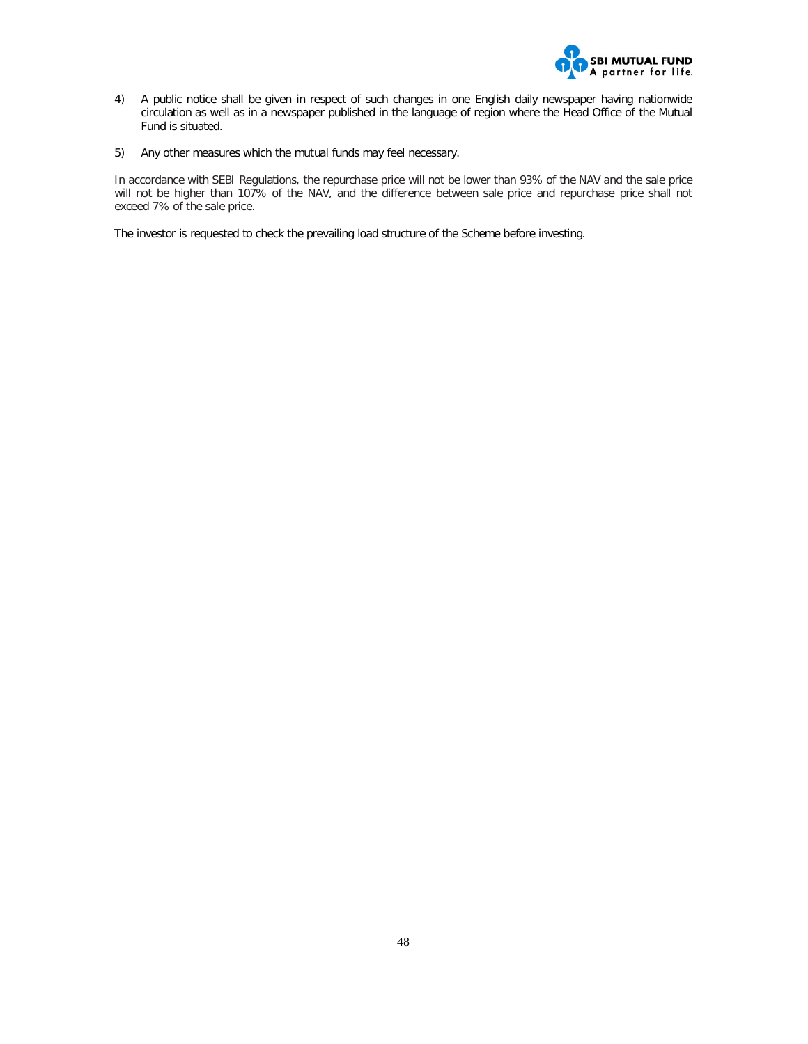

- 4) A public notice shall be given in respect of such changes in one English daily newspaper having nationwide circulation as well as in a newspaper published in the language of region where the Head Office of the Mutual Fund is situated.
- 5) Any other measures which the mutual funds may feel necessary.

In accordance with SEBI Regulations, the repurchase price will not be lower than 93% of the NAV and the sale price will not be higher than 107% of the NAV, and the difference between sale price and repurchase price shall not exceed 7% of the sale price.

The investor is requested to check the prevailing load structure of the Scheme before investing.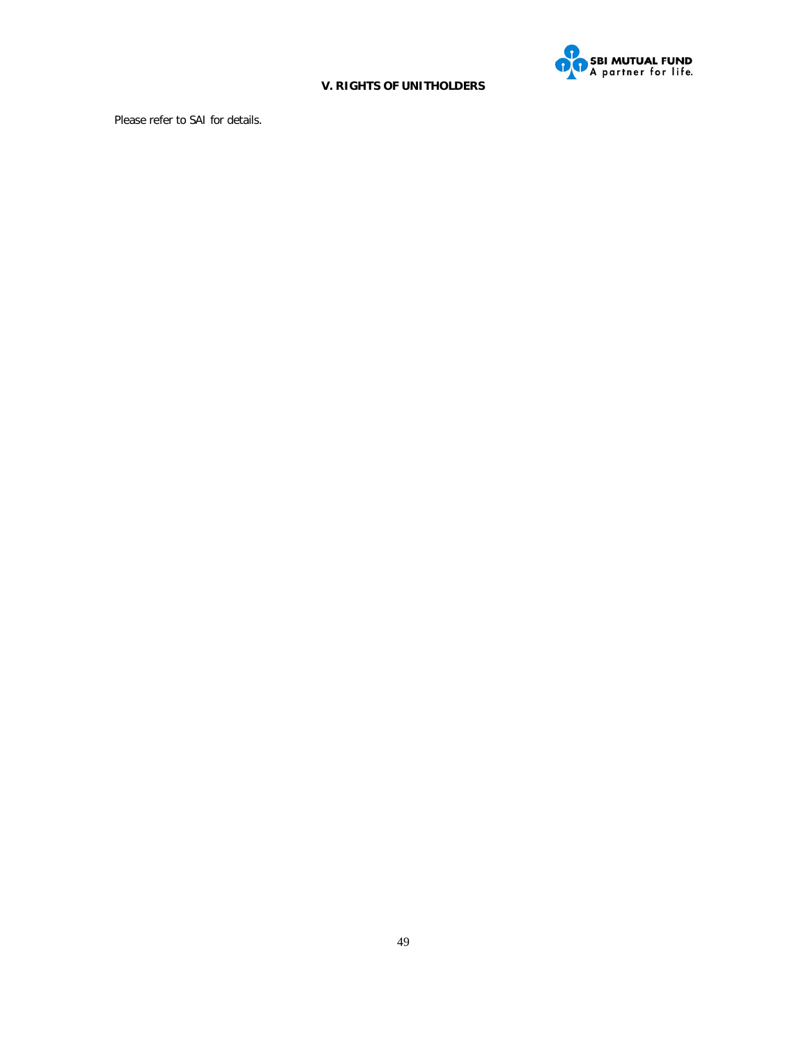

# **V. RIGHTS OF UNITHOLDERS**

Please refer to SAI for details.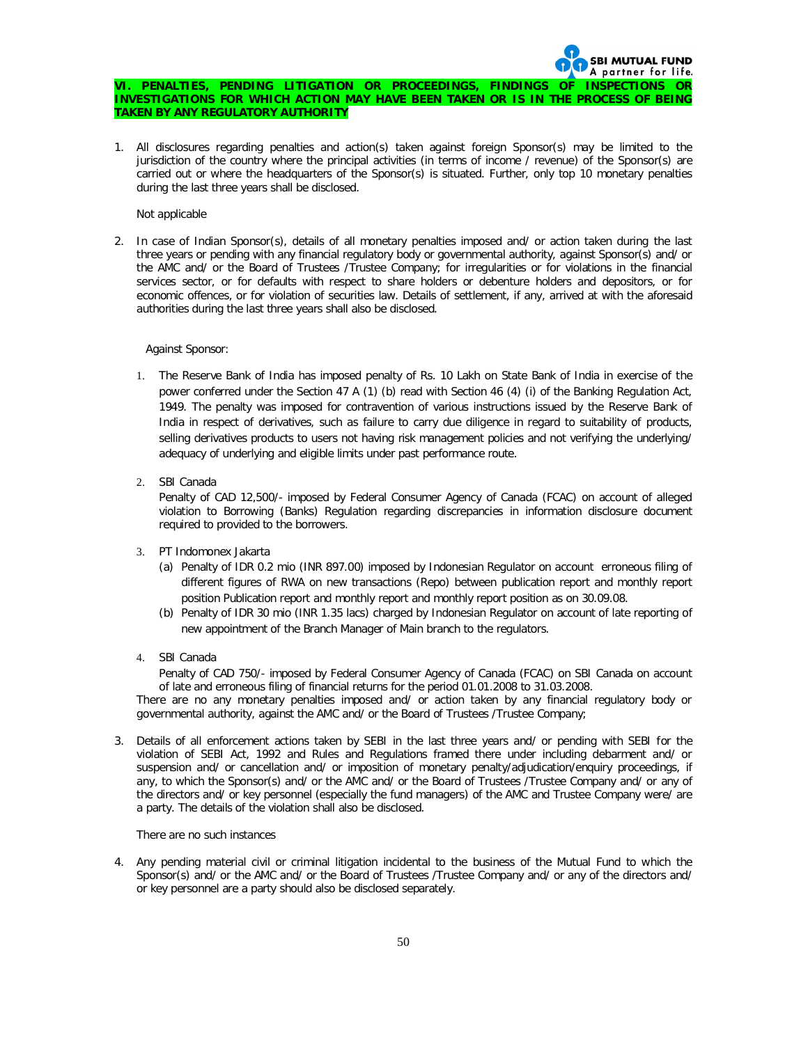#### A partner for life. **VI. PENALTIES, PENDING LITIGATION OR PROCEEDINGS, FINDINGS OF INSPECTIONS OR INVESTIGATIONS FOR WHICH ACTION MAY HAVE BEEN TAKEN OR IS IN THE PROCESS OF BEING TAKEN BY ANY REGULATORY AUTHORITY**

**SBI MUTUAL FUND** 

*1. All disclosures regarding penalties and action(s) taken against foreign Sponsor(s) may be limited to the jurisdiction of the country where the principal activities (in terms of income / revenue) of the Sponsor(s) are carried out or where the headquarters of the Sponsor(s) is situated. Further, only top 10 monetary penalties during the last three years shall be disclosed.* 

#### Not applicable

*2. In case of Indian Sponsor(s), details of all monetary penalties imposed and/ or action taken during the last three years or pending with any financial regulatory body or governmental authority, against Sponsor(s) and/ or the AMC and/ or the Board of Trustees /Trustee Company; for irregularities or for violations in the financial services sector, or for defaults with respect to share holders or debenture holders and depositors, or for economic offences, or for violation of securities law. Details of settlement, if any, arrived at with the aforesaid authorities during the last three years shall also be disclosed.*

#### Against Sponsor:

- 1. The Reserve Bank of India has imposed penalty of Rs. 10 Lakh on State Bank of India in exercise of the power conferred under the Section 47 A (1) (b) read with Section 46 (4) (i) of the Banking Regulation Act, 1949. The penalty was imposed for contravention of various instructions issued by the Reserve Bank of India in respect of derivatives, such as failure to carry due diligence in regard to suitability of products, selling derivatives products to users not having risk management policies and not verifying the underlying/ adequacy of underlying and eligible limits under past performance route.
- 2. SBI Canada

Penalty of CAD 12,500/- imposed by Federal Consumer Agency of Canada (FCAC) on account of alleged violation to Borrowing (Banks) Regulation regarding discrepancies in information disclosure document required to provided to the borrowers.

- 3. PT Indomonex Jakarta
	- (a) Penalty of IDR 0.2 mio (INR 897.00) imposed by Indonesian Regulator on account erroneous filing of different figures of RWA on new transactions (Repo) between publication report and monthly report position Publication report and monthly report and monthly report position as on 30.09.08.
	- (b) Penalty of IDR 30 mio (INR 1.35 lacs) charged by Indonesian Regulator on account of late reporting of new appointment of the Branch Manager of Main branch to the regulators.
- 4. SBI Canada

Penalty of CAD 750/- imposed by Federal Consumer Agency of Canada (FCAC) on SBI Canada on account of late and erroneous filing of financial returns for the period 01.01.2008 to 31.03.2008.

There are no any monetary penalties imposed and/ or action taken by any financial regulatory body or governmental authority, against the AMC and/ or the Board of Trustees /Trustee Company;

*3. Details of all enforcement actions taken by SEBI in the last three years and/ or pending with SEBI for the violation of SEBI Act, 1992 and Rules and Regulations framed there under including debarment and/ or suspension and/ or cancellation and/ or imposition of monetary penalty/adjudication/enquiry proceedings, if any, to which the Sponsor(s) and/ or the AMC and/ or the Board of Trustees /Trustee Company and/ or any of the directors and/ or key personnel (especially the fund managers) of the AMC and Trustee Company were/ are a party. The details of the violation shall also be disclosed.* 

#### There are no such instances

*4. Any pending material civil or criminal litigation incidental to the business of the Mutual Fund to which the Sponsor(s) and/ or the AMC and/ or the Board of Trustees /Trustee Company and/ or any of the directors and/ or key personnel are a party should also be disclosed separately.*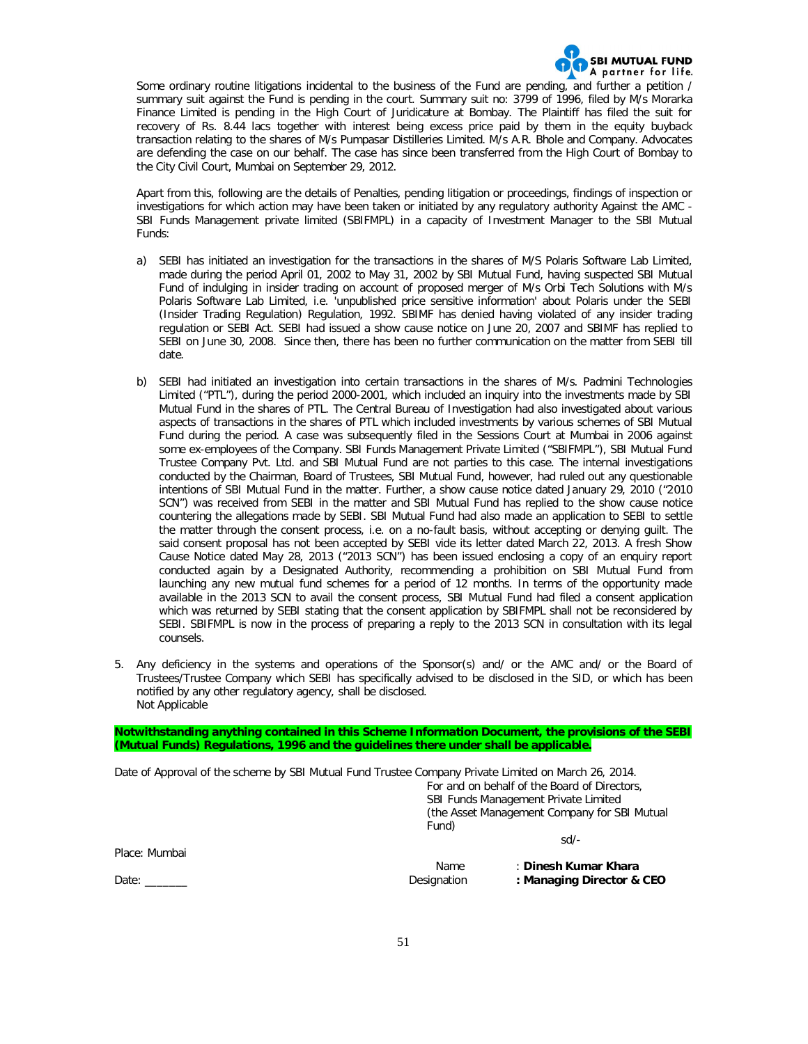

Some ordinary routine litigations incidental to the business of the Fund are pending, and further a petition / summary suit against the Fund is pending in the court. Summary suit no: 3799 of 1996, filed by M/s Morarka Finance Limited is pending in the High Court of Juridicature at Bombay. The Plaintiff has filed the suit for recovery of Rs. 8.44 lacs together with interest being excess price paid by them in the equity buyback transaction relating to the shares of M/s Pumpasar Distilleries Limited. M/s A.R. Bhole and Company. Advocates are defending the case on our behalf. The case has since been transferred from the High Court of Bombay to the City Civil Court, Mumbai on September 29, 2012.

Apart from this, following are the details of Penalties, pending litigation or proceedings, findings of inspection or investigations for which action may have been taken or initiated by any regulatory authority Against the AMC - SBI Funds Management private limited (SBIFMPL) in a capacity of Investment Manager to the SBI Mutual Funds:

- a) SEBI has initiated an investigation for the transactions in the shares of M/S Polaris Software Lab Limited, made during the period April 01, 2002 to May 31, 2002 by SBI Mutual Fund, having suspected SBI Mutual Fund of indulging in insider trading on account of proposed merger of M/s Orbi Tech Solutions with M/s Polaris Software Lab Limited, i.e. 'unpublished price sensitive information' about Polaris under the SEBI (Insider Trading Regulation) Regulation, 1992. SBIMF has denied having violated of any insider trading regulation or SEBI Act. SEBI had issued a show cause notice on June 20, 2007 and SBIMF has replied to SEBI on June 30, 2008. Since then, there has been no further communication on the matter from SEBI till date.
- b) SEBI had initiated an investigation into certain transactions in the shares of M/s. Padmini Technologies Limited ("PTL"), during the period 2000-2001, which included an inquiry into the investments made by SBI Mutual Fund in the shares of PTL. The Central Bureau of Investigation had also investigated about various aspects of transactions in the shares of PTL which included investments by various schemes of SBI Mutual Fund during the period. A case was subsequently filed in the Sessions Court at Mumbai in 2006 against some ex-employees of the Company. SBI Funds Management Private Limited ("SBIFMPL"), SBI Mutual Fund Trustee Company Pvt. Ltd. and SBI Mutual Fund are not parties to this case. The internal investigations conducted by the Chairman, Board of Trustees, SBI Mutual Fund, however, had ruled out any questionable intentions of SBI Mutual Fund in the matter. Further, a show cause notice dated January 29, 2010 ("2010 SCN") was received from SEBI in the matter and SBI Mutual Fund has replied to the show cause notice countering the allegations made by SEBI. SBI Mutual Fund had also made an application to SEBI to settle the matter through the consent process, i.e. on a no-fault basis, without accepting or denying guilt. The said consent proposal has not been accepted by SEBI vide its letter dated March 22, 2013. A fresh Show Cause Notice dated May 28, 2013 ("2013 SCN") has been issued enclosing a copy of an enquiry report conducted again by a Designated Authority, recommending a prohibition on SBI Mutual Fund from launching any new mutual fund schemes for a period of 12 months. In terms of the opportunity made available in the 2013 SCN to avail the consent process, SBI Mutual Fund had filed a consent application which was returned by SEBI stating that the consent application by SBIFMPL shall not be reconsidered by SEBI. SBIFMPL is now in the process of preparing a reply to the 2013 SCN in consultation with its legal counsels.
- 5. Any deficiency in the systems and operations of the Sponsor(s) and/ or the AMC and/ or the Board of Trustees/Trustee Company which SEBI has specifically advised to be disclosed in the SID, or which has been notified by any other regulatory agency, shall be disclosed. *Not Applicable*

**Notwithstanding anything contained in this Scheme Information Document, the provisions of the SEBI (Mutual Funds) Regulations, 1996 and the guidelines there under shall be applicable.**

Date of Approval of the scheme by SBI Mutual Fund Trustee Company Private Limited on March 26, 2014.

For and on behalf of the Board of Directors, SBI Funds Management Private Limited (the Asset Management Company for SBI Mutual Fund) sd/-

Place: Mumbai

Name : **Dinesh Kumar Khara** Date: \_\_\_\_\_\_\_ Designation **: Managing Director & CEO**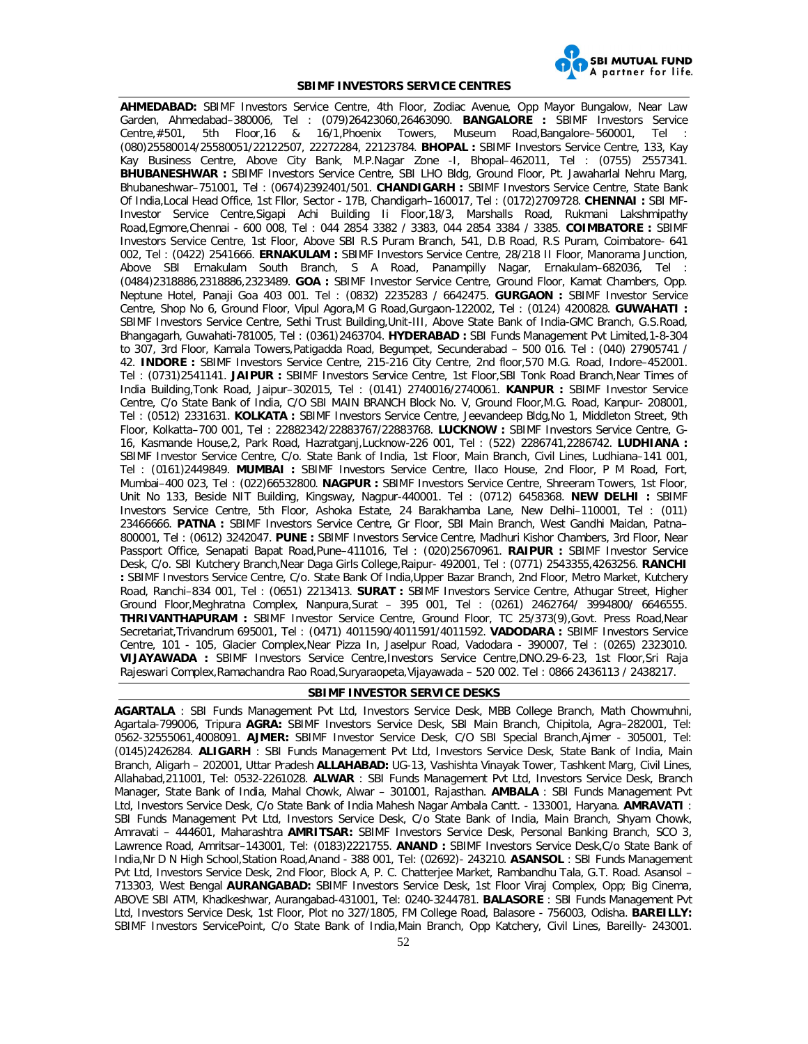

#### **SBIMF INVESTORS SERVICE CENTRES**

**AHMEDABAD:** SBIMF Investors Service Centre, 4th Floor, Zodiac Avenue, Opp Mayor Bungalow, Near Law Garden, Ahmedabad–380006, Tel : (079)26423060,26463090. **BANGALORE :** SBIMF Investors Service Centre,#501, 5th Floor,16 & 16/1,Phoenix Towers, Museum Road,Bangalore–560001, Tel : (080)25580014/25580051/22122507, 22272284, 22123784. **BHOPAL :** SBIMF Investors Service Centre, 133, Kay Kay Business Centre, Above City Bank, M.P.Nagar Zone -I, Bhopal–462011, Tel : (0755) 2557341. **BHUBANESHWAR :** SBIMF Investors Service Centre, SBI LHO Bldg, Ground Floor, Pt. Jawaharlal Nehru Marg, Bhubaneshwar–751001, Tel : (0674)2392401/501. **CHANDIGARH :** SBIMF Investors Service Centre, State Bank Of India,Local Head Office, 1st Fllor, Sector - 17B, Chandigarh–160017, Tel : (0172)2709728. **CHENNAI :** SBI MF-Investor Service Centre,Sigapi Achi Building Ii Floor,18/3, Marshalls Road, Rukmani Lakshmipathy Road,Egmore,Chennai - 600 008, Tel : 044 2854 3382 / 3383, 044 2854 3384 / 3385. **COIMBATORE :** SBIMF Investors Service Centre, 1st Floor, Above SBI R.S Puram Branch, 541, D.B Road, R.S Puram, Coimbatore- 641 002, Tel : (0422) 2541666. **ERNAKULAM :** SBIMF Investors Service Centre, 28/218 II Floor, Manorama Junction, Above SBI Ernakulam South Branch, S A Road, Panampilly Nagar, Ernakulam–682036, Tel : (0484)2318886,2318886,2323489. **GOA :** SBIMF Investor Service Centre, Ground Floor, Kamat Chambers, Opp. Neptune Hotel, Panaji Goa 403 001. Tel : (0832) 2235283 / 6642475. **GURGAON :** SBIMF Investor Service Centre, Shop No 6, Ground Floor, Vipul Agora,M G Road,Gurgaon-122002, Tel : (0124) 4200828. **GUWAHATI :** SBIMF Investors Service Centre, Sethi Trust Building,Unit-III, Above State Bank of India-GMC Branch, G.S.Road, Bhangagarh, Guwahati-781005, Tel : (0361)2463704. **HYDERABAD :** SBI Funds Management Pvt Limited,1-8-304 to 307, 3rd Floor, Kamala Towers,Patigadda Road, Begumpet, Secunderabad – 500 016. Tel : (040) 27905741 / 42. **INDORE :** SBIMF Investors Service Centre, 215-216 City Centre, 2nd floor,570 M.G. Road, Indore–452001. Tel : (0731)2541141. **JAIPUR :** SBIMF Investors Service Centre, 1st Floor,SBI Tonk Road Branch,Near Times of India Building,Tonk Road, Jaipur–302015, Tel : (0141) 2740016/2740061. **KANPUR :** SBIMF Investor Service Centre, C/o State Bank of India, C/O SBI MAIN BRANCH Block No. V, Ground Floor,M.G. Road, Kanpur- 208001, Tel : (0512) 2331631. **KOLKATA :** SBIMF Investors Service Centre, Jeevandeep Bldg,No 1, Middleton Street, 9th Floor, Kolkatta–700 001, Tel : 22882342/22883767/22883768. **LUCKNOW :** SBIMF Investors Service Centre, G-16, Kasmande House,2, Park Road, Hazratganj,Lucknow-226 001, Tel : (522) 2286741,2286742. **LUDHIANA :** SBIMF Investor Service Centre, C/o. State Bank of India, 1st Floor, Main Branch, Civil Lines, Ludhiana–141 001, Tel : (0161)2449849. **MUMBAI :** SBIMF Investors Service Centre, Ilaco House, 2nd Floor, P M Road, Fort, Mumbai–400 023, Tel : (022)66532800. **NAGPUR :** SBIMF Investors Service Centre, Shreeram Towers, 1st Floor, Unit No 133, Beside NIT Building, Kingsway, Nagpur-440001. Tel : (0712) 6458368. **NEW DELHI :** SBIMF Investors Service Centre, 5th Floor, Ashoka Estate, 24 Barakhamba Lane, New Delhi–110001, Tel : (011) 23466666. **PATNA :** SBIMF Investors Service Centre, Gr Floor, SBI Main Branch, West Gandhi Maidan, Patna– 800001, Tel : (0612) 3242047. **PUNE :** SBIMF Investors Service Centre, Madhuri Kishor Chambers, 3rd Floor, Near Passport Office, Senapati Bapat Road,Pune–411016, Tel : (020)25670961. **RAIPUR :** SBIMF Investor Service Desk, C/o. SBI Kutchery Branch,Near Daga Girls College,Raipur- 492001, Tel : (0771) 2543355,4263256. **RANCHI :** SBIMF Investors Service Centre, C/o. State Bank Of India,Upper Bazar Branch, 2nd Floor, Metro Market, Kutchery Road, Ranchi–834 001, Tel : (0651) 2213413. **SURAT :** SBIMF Investors Service Centre, Athugar Street, Higher Ground Floor,Meghratna Complex, Nanpura,Surat – 395 001, Tel : (0261) 2462764/ 3994800/ 6646555. **THRIVANTHAPURAM :** SBIMF Investor Service Centre, Ground Floor, TC 25/373(9),Govt. Press Road,Near Secretariat,Trivandrum 695001, Tel : (0471) 4011590/4011591/4011592. **VADODARA :** SBIMF Investors Service Centre, 101 - 105, Glacier Complex,Near Pizza In, Jaselpur Road, Vadodara - 390007, Tel : (0265) 2323010. **VIJAYAWADA :** SBIMF Investors Service Centre,Investors Service Centre,DNO.29-6-23, 1st Floor,Sri Raja Rajeswari Complex,Ramachandra Rao Road,Suryaraopeta,Vijayawada – 520 002. Tel : 0866 2436113 / 2438217.

#### **SBIMF INVESTOR SERVICE DESKS**

**AGARTALA** : SBI Funds Management Pvt Ltd, Investors Service Desk, MBB College Branch, Math Chowmuhni, Agartala-799006, Tripura **AGRA:** SBIMF Investors Service Desk, SBI Main Branch, Chipitola, Agra–282001, Tel: 0562-32555061,4008091. **AJMER:** SBIMF Investor Service Desk, C/O SBI Special Branch,Ajmer - 305001, Tel: (0145)2426284. **ALIGARH** : SBI Funds Management Pvt Ltd, Investors Service Desk, State Bank of India, Main Branch, Aligarh – 202001, Uttar Pradesh **ALLAHABAD:** UG-13, Vashishta Vinayak Tower, Tashkent Marg, Civil Lines, Allahabad,211001, Tel: 0532-2261028. **ALWAR** : SBI Funds Management Pvt Ltd, Investors Service Desk, Branch Manager, State Bank of India, Mahal Chowk, Alwar – 301001, Rajasthan. **AMBALA** : SBI Funds Management Pvt Ltd, Investors Service Desk, C/o State Bank of India Mahesh Nagar Ambala Cantt. - 133001, Haryana. **AMRAVATI** : SBI Funds Management Pvt Ltd, Investors Service Desk, C/o State Bank of India, Main Branch, Shyam Chowk, Amravati – 444601, Maharashtra **AMRITSAR:** SBIMF Investors Service Desk, Personal Banking Branch, SCO 3, Lawrence Road, Amritsar–143001, Tel: (0183)2221755. **ANAND :** SBIMF Investors Service Desk,C/o State Bank of India,Nr D N High School,Station Road,Anand - 388 001, Tel: (02692)- 243210. **ASANSOL** : SBI Funds Management Pvt Ltd, Investors Service Desk, 2nd Floor, Block A, P. C. Chatterjee Market, Rambandhu Tala, G.T. Road. Asansol – 713303, West Bengal **AURANGABAD:** SBIMF Investors Service Desk, 1st Floor Viraj Complex, Opp; Big Cinema, ABOVE SBI ATM, Khadkeshwar, Aurangabad-431001, Tel: 0240-3244781. **BALASORE** : SBI Funds Management Pvt Ltd, Investors Service Desk, 1st Floor, Plot no 327/1805, FM College Road, Balasore - 756003, Odisha. **BAREILLY:**  SBIMF Investors ServicePoint, C/o State Bank of India,Main Branch, Opp Katchery, Civil Lines, Bareilly- 243001.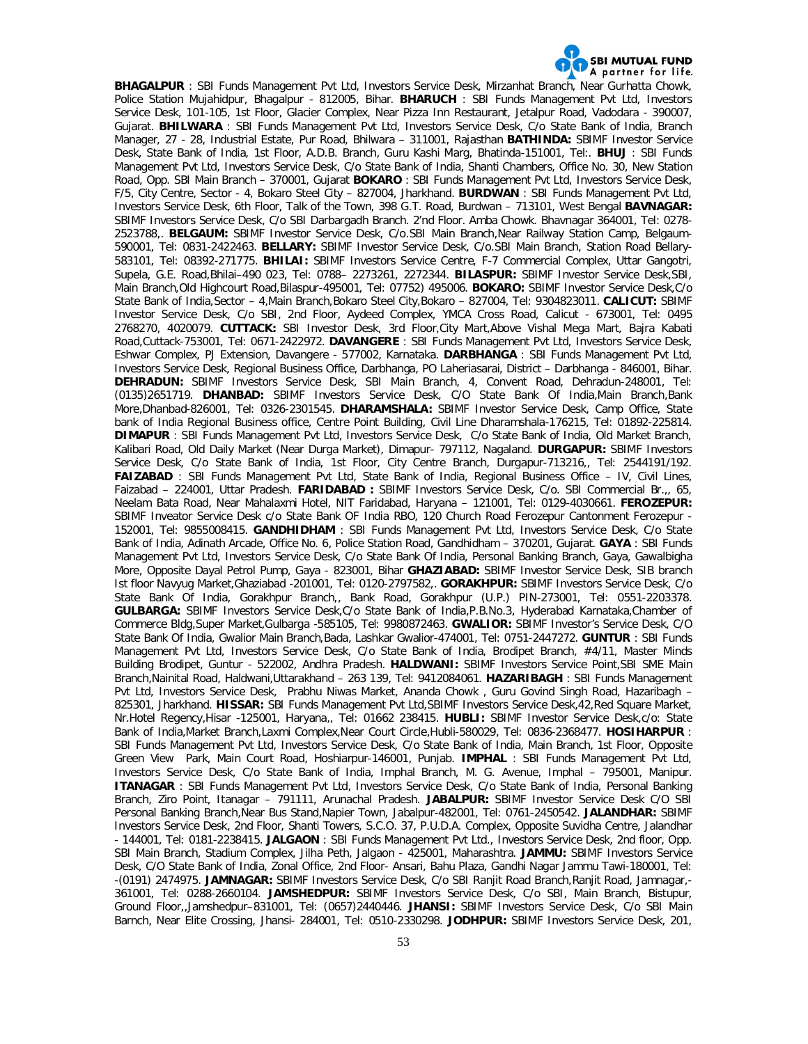

**BHAGALPUR** : SBI Funds Management Pvt Ltd, Investors Service Desk, Mirzanhat Branch, Near Gurhatta Chowk, Police Station Mujahidpur, Bhagalpur - 812005, Bihar. **BHARUCH** : SBI Funds Management Pvt Ltd, Investors Service Desk, 101-105, 1st Floor, Glacier Complex, Near Pizza Inn Restaurant, Jetalpur Road, Vadodara - 390007, Gujarat. **BHILWARA** : SBI Funds Management Pvt Ltd, Investors Service Desk, C/o State Bank of India, Branch Manager, 27 - 28, Industrial Estate, Pur Road, Bhilwara – 311001, Rajasthan **BATHINDA:** SBIMF Investor Service Desk, State Bank of India, 1st Floor, A.D.B. Branch, Guru Kashi Marg, Bhatinda-151001, Tel:. **BHUJ** : SBI Funds Management Pvt Ltd, Investors Service Desk, C/o State Bank of India, Shanti Chambers, Office No. 30, New Station Road, Opp. SBI Main Branch – 370001, Gujarat **BOKARO** : SBI Funds Management Pvt Ltd, Investors Service Desk, F/5, City Centre, Sector - 4, Bokaro Steel City – 827004, Jharkhand. **BURDWAN** : SBI Funds Management Pvt Ltd, Investors Service Desk, 6th Floor, Talk of the Town, 398 G.T. Road, Burdwan – 713101, West Bengal **BAVNAGAR:**  SBIMF Investors Service Desk, C/o SBI Darbargadh Branch. 2'nd Floor. Amba Chowk. Bhavnagar 364001, Tel: 0278- 2523788,. **BELGAUM:** SBIMF Investor Service Desk, C/o.SBI Main Branch,Near Railway Station Camp, Belgaum-590001, Tel: 0831-2422463. **BELLARY:** SBIMF Investor Service Desk, C/o.SBI Main Branch, Station Road Bellary-583101, Tel: 08392-271775. **BHILAI:** SBIMF Investors Service Centre, F-7 Commercial Complex, Uttar Gangotri, Supela, G.E. Road,Bhilai–490 023, Tel: 0788– 2273261, 2272344. **BILASPUR:** SBIMF Investor Service Desk,SBI, Main Branch,Old Highcourt Road,Bilaspur-495001, Tel: 07752) 495006. **BOKARO:** SBIMF Investor Service Desk,C/o State Bank of India,Sector – 4,Main Branch,Bokaro Steel City,Bokaro – 827004, Tel: 9304823011. **CALICUT:** SBIMF Investor Service Desk, C/o SBI, 2nd Floor, Aydeed Complex, YMCA Cross Road, Calicut - 673001, Tel: 0495 2768270, 4020079. **CUTTACK:** SBI Investor Desk, 3rd Floor,City Mart,Above Vishal Mega Mart, Bajra Kabati Road,Cuttack-753001, Tel: 0671-2422972. **DAVANGERE** : SBI Funds Management Pvt Ltd, Investors Service Desk, Eshwar Complex, PJ Extension, Davangere - 577002, Karnataka. **DARBHANGA** : SBI Funds Management Pvt Ltd, Investors Service Desk, Regional Business Office, Darbhanga, PO Laheriasarai, District – Darbhanga - 846001, Bihar. **DEHRADUN:** SBIMF Investors Service Desk, SBI Main Branch, 4, Convent Road, Dehradun-248001, Tel: (0135)2651719. **DHANBAD:** SBIMF Investors Service Desk, C/O State Bank Of India,Main Branch,Bank More,Dhanbad-826001, Tel: 0326-2301545. **DHARAMSHALA:** SBIMF Investor Service Desk, Camp Office, State bank of India Regional Business office, Centre Point Building, Civil Line Dharamshala-176215, Tel: 01892-225814. **DIMAPUR** : SBI Funds Management Pvt Ltd, Investors Service Desk, C/o State Bank of India, Old Market Branch, Kalibari Road, Old Daily Market (Near Durga Market), Dimapur- 797112, Nagaland. **DURGAPUR:** SBIMF Investors Service Desk, C/o State Bank of India, 1st Floor, City Centre Branch, Durgapur-713216,, Tel: 2544191/192. **FAIZABAD** : SBI Funds Management Pvt Ltd, State Bank of India, Regional Business Office – IV, Civil Lines, Faizabad – 224001, Uttar Pradesh. **FARIDABAD :** SBIMF Investors Service Desk, C/o. SBI Commercial Br.,, 65, Neelam Bata Road, Near Mahalaxmi Hotel, NIT Faridabad, Haryana – 121001, Tel: 0129-4030661. **FEROZEPUR:**  SBIMF Inveator Service Desk c/o State Bank OF India RBO, 120 Church Road Ferozepur Cantonment Ferozepur - 152001, Tel: 9855008415. **GANDHIDHAM** : SBI Funds Management Pvt Ltd, Investors Service Desk, C/o State Bank of India, Adinath Arcade, Office No. 6, Police Station Road, Gandhidham – 370201, Gujarat. **GAYA** : SBI Funds Management Pvt Ltd, Investors Service Desk, C/o State Bank Of India, Personal Banking Branch, Gaya, Gawalbigha More, Opposite Dayal Petrol Pump, Gaya - 823001, Bihar **GHAZIABAD:** SBIMF Investor Service Desk, SIB branch Ist floor Navyug Market,Ghaziabad -201001, Tel: 0120-2797582,. **GORAKHPUR:** SBIMF Investors Service Desk, C/o State Bank Of India, Gorakhpur Branch,, Bank Road, Gorakhpur (U.P.) PIN-273001, Tel: 0551-2203378. **GULBARGA:** SBIMF Investors Service Desk,C/o State Bank of India,P.B.No.3, Hyderabad Karnataka,Chamber of Commerce Bldg,Super Market,Gulbarga -585105, Tel: 9980872463. **GWALIOR:** SBIMF Investor's Service Desk, C/O State Bank Of India, Gwalior Main Branch,Bada, Lashkar Gwalior-474001, Tel: 0751-2447272. **GUNTUR** : SBI Funds Management Pvt Ltd, Investors Service Desk, C/o State Bank of India, Brodipet Branch, #4/11, Master Minds Building Brodipet, Guntur - 522002, Andhra Pradesh. **HALDWANI:** SBIMF Investors Service Point,SBI SME Main Branch,Nainital Road, Haldwani,Uttarakhand – 263 139, Tel: 9412084061. **HAZARIBAGH** : SBI Funds Management Pvt Ltd, Investors Service Desk, Prabhu Niwas Market, Ananda Chowk , Guru Govind Singh Road, Hazaribagh – 825301, Jharkhand. **HISSAR:** SBI Funds Management Pvt Ltd,SBIMF Investors Service Desk,42,Red Square Market, Nr.Hotel Regency,Hisar -125001, Haryana,, Tel: 01662 238415. **HUBLI:** SBIMF Investor Service Desk,c/o: State Bank of India,Market Branch,Laxmi Complex,Near Court Circle,Hubli-580029, Tel: 0836-2368477. **HOSIHARPUR** : SBI Funds Management Pvt Ltd, Investors Service Desk, C/o State Bank of India, Main Branch, 1st Floor, Opposite Green View Park, Main Court Road, Hoshiarpur-146001, Punjab. **IMPHAL** : SBI Funds Management Pvt Ltd, Investors Service Desk, C/o State Bank of India, Imphal Branch, M. G. Avenue, Imphal – 795001, Manipur. **ITANAGAR** : SBI Funds Management Pvt Ltd, Investors Service Desk, C/o State Bank of India, Personal Banking Branch, Ziro Point, Itanagar – 791111, Arunachal Pradesh. **JABALPUR:** SBIMF Investor Service Desk C/O SBI Personal Banking Branch,Near Bus Stand,Napier Town, Jabalpur-482001, Tel: 0761-2450542. **JALANDHAR:** SBIMF Investors Service Desk, 2nd Floor, Shanti Towers, S.C.O. 37, P.U.D.A. Complex, Opposite Suvidha Centre, Jalandhar - 144001, Tel: 0181-2238415. **JALGAON** : SBI Funds Management Pvt Ltd., Investors Service Desk, 2nd floor, Opp. SBI Main Branch, Stadium Complex, Jilha Peth, Jalgaon - 425001, Maharashtra. **JAMMU:** SBIMF Investors Service Desk, C/O State Bank of India, Zonal Office, 2nd Floor- Ansari, Bahu Plaza, Gandhi Nagar Jammu Tawi-180001, Tel: -(0191) 2474975. **JAMNAGAR:** SBIMF Investors Service Desk, C/o SBI Ranjit Road Branch,Ranjit Road, Jamnagar,- 361001, Tel: 0288-2660104. **JAMSHEDPUR:** SBIMF Investors Service Desk, C/o SBI, Main Branch, Bistupur, Ground Floor,,Jamshedpur–831001, Tel: (0657)2440446. **JHANSI:** SBIMF Investors Service Desk, C/o SBI Main Barnch, Near Elite Crossing, Jhansi- 284001, Tel: 0510-2330298. **JODHPUR:** SBIMF Investors Service Desk, 201,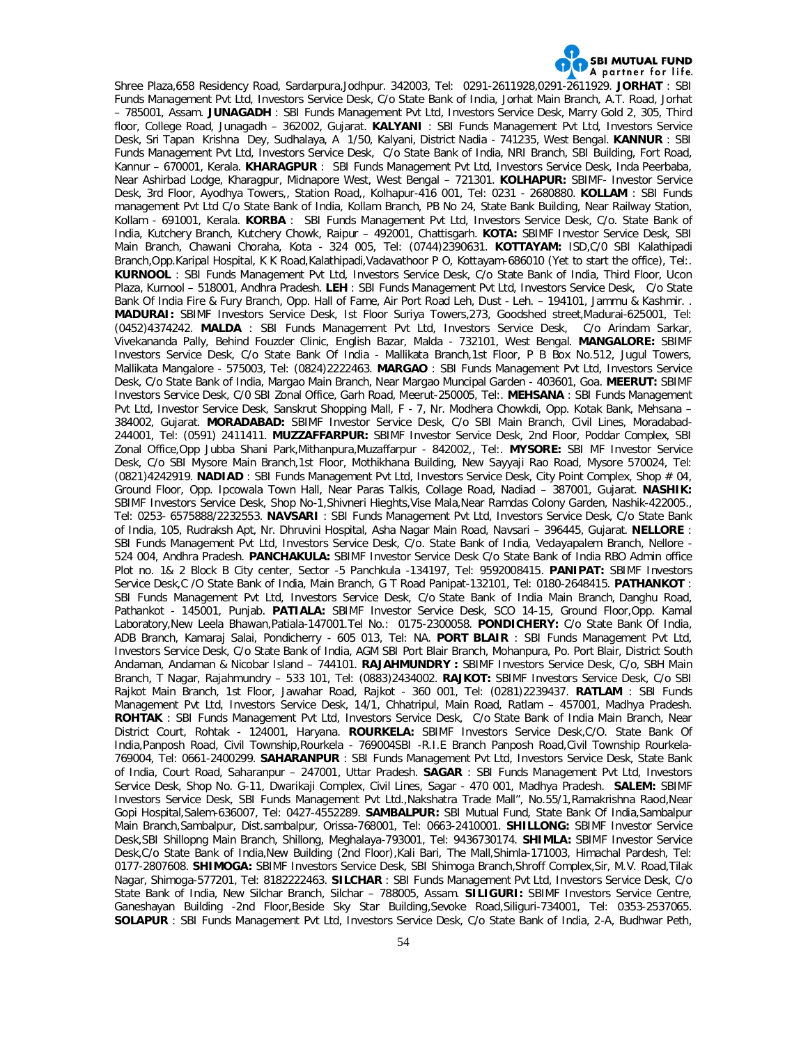

Shree Plaza,658 Residency Road, Sardarpura,Jodhpur. 342003, Tel: 0291-2611928,0291-2611929. **JORHAT** : SBI Funds Management Pvt Ltd, Investors Service Desk, C/o State Bank of India, Jorhat Main Branch, A.T. Road, Jorhat – 785001, Assam. **JUNAGADH** : SBI Funds Management Pvt Ltd, Investors Service Desk, Marry Gold 2, 305, Third floor, College Road, Junagadh – 362002, Gujarat. **KALYANI** : SBI Funds Management Pvt Ltd, Investors Service Desk, Sri Tapan Krishna Dey, Sudhalaya, A 1/50, Kalyani, District Nadia - 741235, West Bengal. **KANNUR** : SBI Funds Management Pvt Ltd, Investors Service Desk, C/o State Bank of India, NRI Branch, SBI Building, Fort Road, Kannur – 670001, Kerala. **KHARAGPUR** : SBI Funds Management Pvt Ltd, Investors Service Desk, Inda Peerbaba, Near Ashirbad Lodge, Kharagpur, Midnapore West, West Bengal – 721301. **KOLHAPUR:** SBIMF- Investor Service Desk, 3rd Floor, Ayodhya Towers,, Station Road,, Kolhapur-416 001, Tel: 0231 - 2680880. **KOLLAM** : SBI Funds management Pvt Ltd C/o State Bank of India, Kollam Branch, PB No 24, State Bank Building, Near Railway Station, Kollam - 691001, Kerala. **KORBA** : SBI Funds Management Pvt Ltd, Investors Service Desk, C/o. State Bank of India, Kutchery Branch, Kutchery Chowk, Raipur – 492001, Chattisgarh. **KOTA:** SBIMF Investor Service Desk, SBI Main Branch, Chawani Choraha, Kota - 324 005, Tel: (0744)2390631. **KOTTAYAM:** ISD,C/0 SBI Kalathipadi Branch,Opp.Karipal Hospital, K K Road,Kalathipadi,Vadavathoor P O, Kottayam-686010 (Yet to start the office), Tel:. **KURNOOL** : SBI Funds Management Pvt Ltd, Investors Service Desk, C/o State Bank of India, Third Floor, Ucon Plaza, Kurnool – 518001, Andhra Pradesh. **LEH** : SBI Funds Management Pvt Ltd, Investors Service Desk, C/o State Bank Of India Fire & Fury Branch, Opp. Hall of Fame, Air Port Road Leh, Dust - Leh. – 194101, Jammu & Kashmir. . **MADURAI:** SBIMF Investors Service Desk, Ist Floor Suriya Towers,273, Goodshed street,Madurai-625001, Tel: (0452)4374242. **MALDA** : SBI Funds Management Pvt Ltd, Investors Service Desk, C/o Arindam Sarkar, Vivekananda Pally, Behind Fouzder Clinic, English Bazar, Malda - 732101, West Bengal. **MANGALORE:** SBIMF Investors Service Desk, C/o State Bank Of India - Mallikata Branch,1st Floor, P B Box No.512, Jugul Towers, Mallikata Mangalore - 575003, Tel: (0824)2222463. **MARGAO** : SBI Funds Management Pvt Ltd, Investors Service Desk, C/o State Bank of India, Margao Main Branch, Near Margao Muncipal Garden - 403601, Goa. **MEERUT:** SBIMF Investors Service Desk, C/0 SBI Zonal Office, Garh Road, Meerut-250005, Tel:. **MEHSANA** : SBI Funds Management Pvt Ltd, Investor Service Desk, Sanskrut Shopping Mall, F - 7, Nr. Modhera Chowkdi, Opp. Kotak Bank, Mehsana – 384002, Gujarat. **MORADABAD:** SBIMF Investor Service Desk, C/o SBI Main Branch, Civil Lines, Moradabad-244001, Tel: (0591) 2411411. **MUZZAFFARPUR:** SBIMF Investor Service Desk, 2nd Floor, Poddar Complex, SBI Zonal Office,Opp Jubba Shani Park,Mithanpura,Muzaffarpur - 842002,, Tel:. **MYSORE:** SBI MF Investor Service Desk, C/o SBI Mysore Main Branch,1st Floor, Mothikhana Building, New Sayyaji Rao Road, Mysore 570024, Tel: (0821)4242919. **NADIAD** : SBI Funds Management Pvt Ltd, Investors Service Desk, City Point Complex, Shop # 04, Ground Floor, Opp. Ipcowala Town Hall, Near Paras Talkis, Collage Road, Nadiad – 387001, Gujarat. **NASHIK:**  SBIMF Investors Service Desk, Shop No-1,Shivneri Hieghts,Vise Mala,Near Ramdas Colony Garden, Nashik-422005., Tel: 0253- 6575888/2232553. **NAVSARI** : SBI Funds Management Pvt Ltd, Investors Service Desk, C/o State Bank of India, 105, Rudraksh Apt, Nr. Dhruvini Hospital, Asha Nagar Main Road, Navsari – 396445, Gujarat. **NELLORE** : SBI Funds Management Pvt Ltd, Investors Service Desk, C/o. State Bank of India, Vedayapalem Branch, Nellore - 524 004, Andhra Pradesh. **PANCHAKULA:** SBIMF Investor Service Desk C/o State Bank of India RBO Admin office Plot no. 1& 2 Block B City center, Sector -5 Panchkula -134197, Tel: 9592008415. **PANIPAT:** SBIMF Investors Service Desk,C /O State Bank of India, Main Branch, G T Road Panipat-132101, Tel: 0180-2648415. **PATHANKOT** : SBI Funds Management Pvt Ltd, Investors Service Desk, C/o State Bank of India Main Branch, Danghu Road, Pathankot - 145001, Punjab. **PATIALA:** SBIMF Investor Service Desk, SCO 14-15, Ground Floor,Opp. Kamal Laboratory,New Leela Bhawan,Patiala-147001.Tel No.: 0175-2300058. **PONDICHERY:** C/o State Bank Of India, ADB Branch, Kamaraj Salai, Pondicherry - 605 013, Tel: NA. **PORT BLAIR** : SBI Funds Management Pvt Ltd, Investors Service Desk, C/o State Bank of India, AGM SBI Port Blair Branch, Mohanpura, Po. Port Blair, District South Andaman, Andaman & Nicobar Island – 744101. **RAJAHMUNDRY :** SBIMF Investors Service Desk, C/o, SBH Main Branch, T Nagar, Rajahmundry – 533 101, Tel: (0883)2434002. **RAJKOT:** SBIMF Investors Service Desk, C/o SBI Rajkot Main Branch, 1st Floor, Jawahar Road, Rajkot - 360 001, Tel: (0281)2239437. **RATLAM** : SBI Funds Management Pvt Ltd, Investors Service Desk, 14/1, Chhatripul, Main Road, Ratlam – 457001, Madhya Pradesh. **ROHTAK** : SBI Funds Management Pvt Ltd, Investors Service Desk, C/o State Bank of India Main Branch, Near District Court, Rohtak - 124001, Haryana. **ROURKELA:** SBIMF Investors Service Desk,C/O. State Bank Of India,Panposh Road, Civil Township,Rourkela - 769004SBI -R.I.E Branch Panposh Road,Civil Township Rourkela-769004, Tel: 0661-2400299. **SAHARANPUR** : SBI Funds Management Pvt Ltd, Investors Service Desk, State Bank of India, Court Road, Saharanpur – 247001, Uttar Pradesh. **SAGAR** : SBI Funds Management Pvt Ltd, Investors Service Desk, Shop No. G-11, Dwarikaji Complex, Civil Lines, Sagar - 470 001, Madhya Pradesh. **SALEM:** SBIMF Investors Service Desk, SBI Funds Management Pvt Ltd.,Nakshatra Trade Mall", No.55/1,Ramakrishna Raod,Near Gopi Hospital,Salem-636007, Tel: 0427-4552289. **SAMBALPUR:** SBI Mutual Fund, State Bank Of India,Sambalpur Main Branch,Sambalpur, Dist.sambalpur, Orissa-768001, Tel: 0663-2410001. **SHILLONG:** SBIMF Investor Service Desk,SBI Shillopng Main Branch, Shillong, Meghalaya-793001, Tel: 9436730174. **SHIMLA:** SBIMF Investor Service Desk,C/o State Bank of India,New Building (2nd Floor),Kali Bari, The Mall,Shimla-171003, Himachal Pardesh, Tel: 0177-2807608. **SHIMOGA:** SBIMF Investors Service Desk, SBI Shimoga Branch,Shroff Complex,Sir, M.V. Road,Tilak Nagar, Shimoga-577201, Tel: 8182222463. **SILCHAR** : SBI Funds Management Pvt Ltd, Investors Service Desk, C/o State Bank of India, New Silchar Branch, Silchar – 788005, Assam. **SILIGURI:** SBIMF Investors Service Centre, Ganeshayan Building -2nd Floor,Beside Sky Star Building,Sevoke Road,Siliguri-734001, Tel: 0353-2537065. **SOLAPUR** : SBI Funds Management Pvt Ltd, Investors Service Desk, C/o State Bank of India, 2-A, Budhwar Peth,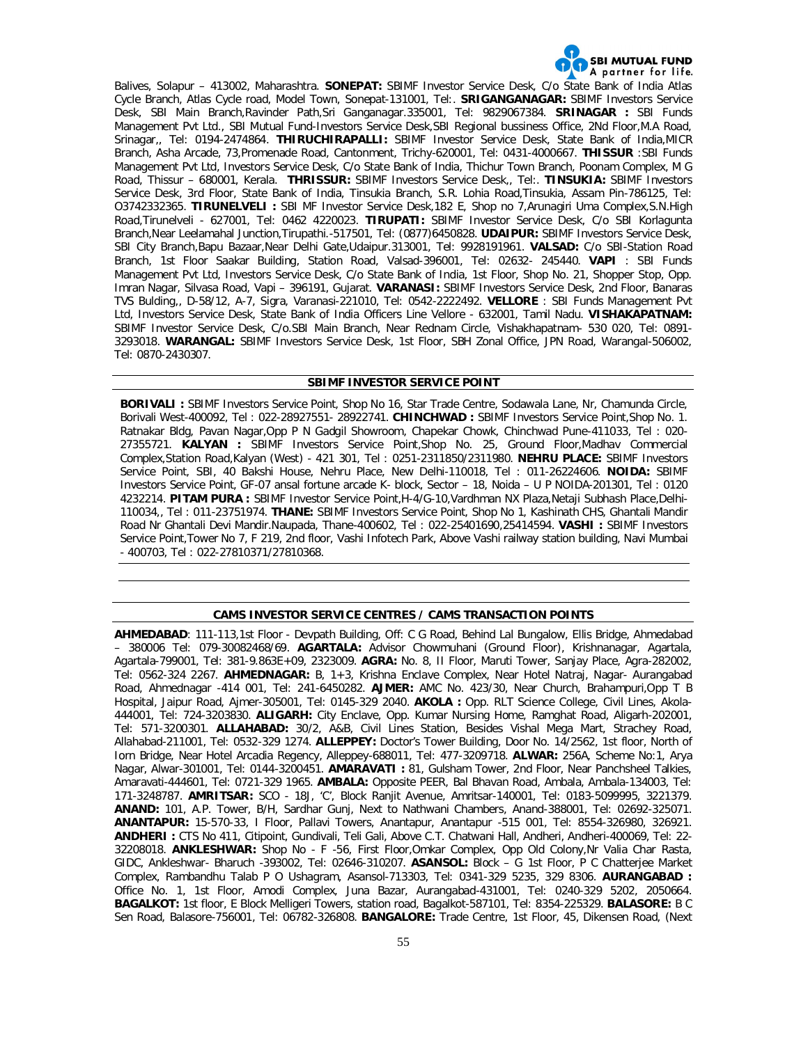

Balives, Solapur – 413002, Maharashtra. **SONEPAT:** SBIMF Investor Service Desk, C/o State Bank of India Atlas Cycle Branch, Atlas Cycle road, Model Town, Sonepat-131001, Tel:. **SRIGANGANAGAR:** SBIMF Investors Service Desk, SBI Main Branch,Ravinder Path,Sri Ganganagar.335001, Tel: 9829067384. **SRINAGAR :** SBI Funds Management Pvt Ltd., SBI Mutual Fund-Investors Service Desk,SBI Regional bussiness Office, 2Nd Floor,M.A Road, Srinagar,, Tel: 0194-2474864. **THIRUCHIRAPALLI:** SBIMF Investor Service Desk, State Bank of India,MICR Branch, Asha Arcade, 73,Promenade Road, Cantonment, Trichy-620001, Tel: 0431-4000667. **THISSUR** :SBI Funds Management Pvt Ltd, Investors Service Desk, C/o State Bank of India, Thichur Town Branch, Poonam Complex, M G Road, Thissur – 680001, Kerala. **THRISSUR:** SBIMF Investors Service Desk,, Tel:. **TINSUKIA:** SBIMF Investors Service Desk, 3rd Floor, State Bank of India, Tinsukia Branch, S.R. Lohia Road,Tinsukia, Assam Pin-786125, Tel: O3742332365. **TIRUNELVELI :** SBI MF Investor Service Desk,182 E, Shop no 7,Arunagiri Uma Complex,S.N.High Road,Tirunelveli - 627001, Tel: 0462 4220023. **TIRUPATI:** SBIMF Investor Service Desk, C/o SBI Korlagunta Branch,Near Leelamahal Junction,Tirupathi.-517501, Tel: (0877)6450828. **UDAIPUR:** SBIMF Investors Service Desk, SBI City Branch,Bapu Bazaar,Near Delhi Gate,Udaipur.313001, Tel: 9928191961. **VALSAD:** C/o SBI-Station Road Branch, 1st Floor Saakar Building, Station Road, Valsad-396001, Tel: 02632- 245440. **VAPI** : SBI Funds Management Pvt Ltd, Investors Service Desk, C/o State Bank of India, 1st Floor, Shop No. 21, Shopper Stop, Opp. Imran Nagar, Silvasa Road, Vapi – 396191, Gujarat. **VARANASI:** SBIMF Investors Service Desk, 2nd Floor, Banaras TVS Bulding,, D-58/12, A-7, Sigra, Varanasi-221010, Tel: 0542-2222492. **VELLORE** : SBI Funds Management Pvt Ltd, Investors Service Desk, State Bank of India Officers Line Vellore - 632001, Tamil Nadu. **VISHAKAPATNAM:**  SBIMF Investor Service Desk, C/o.SBI Main Branch, Near Rednam Circle, Vishakhapatnam- 530 020, Tel: 0891- 3293018. **WARANGAL:** SBIMF Investors Service Desk, 1st Floor, SBH Zonal Office, JPN Road, Warangal-506002, Tel: 0870-2430307.

#### **SBIMF INVESTOR SERVICE POINT**

**BORIVALI :** SBIMF Investors Service Point, Shop No 16, Star Trade Centre, Sodawala Lane, Nr, Chamunda Circle, Borivali West-400092, Tel : 022-28927551- 28922741. **CHINCHWAD :** SBIMF Investors Service Point,Shop No. 1. Ratnakar Bldg, Pavan Nagar,Opp P N Gadgil Showroom, Chapekar Chowk, Chinchwad Pune-411033, Tel : 020- 27355721. **KALYAN :** SBIMF Investors Service Point,Shop No. 25, Ground Floor,Madhav Commercial Complex,Station Road,Kalyan (West) - 421 301, Tel : 0251-2311850/2311980. **NEHRU PLACE:** SBIMF Investors Service Point, SBI, 40 Bakshi House, Nehru Place, New Delhi-110018, Tel : 011-26224606. **NOIDA:** SBIMF Investors Service Point, GF-07 ansal fortune arcade K- block, Sector – 18, Noida – U P NOIDA-201301, Tel : 0120 4232214. **PITAM PURA :** SBIMF Investor Service Point,H-4/G-10,Vardhman NX Plaza,Netaji Subhash Place,Delhi-110034,, Tel : 011-23751974. **THANE:** SBIMF Investors Service Point, Shop No 1, Kashinath CHS, Ghantali Mandir Road Nr Ghantali Devi Mandir.Naupada, Thane-400602, Tel : 022-25401690,25414594. **VASHI :** SBIMF Investors Service Point,Tower No 7, F 219, 2nd floor, Vashi Infotech Park, Above Vashi railway station building, Navi Mumbai - 400703, Tel : 022-27810371/27810368.

# **CAMS INVESTOR SERVICE CENTRES / CAMS TRANSACTION POINTS**

**AHMEDABAD**: 111-113,1st Floor - Devpath Building, Off: C G Road, Behind Lal Bungalow, Ellis Bridge, Ahmedabad – 380006 Tel: 079-30082468/69. **AGARTALA:** Advisor Chowmuhani (Ground Floor), Krishnanagar, Agartala, Agartala-799001, Tel: 381-9.863E+09, 2323009. **AGRA:** No. 8, II Floor, Maruti Tower, Sanjay Place, Agra-282002, Tel: 0562-324 2267. **AHMEDNAGAR:** B, 1+3, Krishna Enclave Complex, Near Hotel Natraj, Nagar- Aurangabad Road, Ahmednagar -414 001, Tel: 241-6450282. **AJMER:** AMC No. 423/30, Near Church, Brahampuri,Opp T B Hospital, Jaipur Road, Ajmer-305001, Tel: 0145-329 2040. **AKOLA :** Opp. RLT Science College, Civil Lines, Akola-444001, Tel: 724-3203830. **ALIGARH:** City Enclave, Opp. Kumar Nursing Home, Ramghat Road, Aligarh-202001, Tel: 571-3200301. **ALLAHABAD:** 30/2, A&B, Civil Lines Station, Besides Vishal Mega Mart, Strachey Road, Allahabad-211001, Tel: 0532-329 1274. **ALLEPPEY:** Doctor's Tower Building, Door No. 14/2562, 1st floor, North of Iorn Bridge, Near Hotel Arcadia Regency, Alleppey-688011, Tel: 477-3209718. **ALWAR:** 256A, Scheme No:1, Arya Nagar, Alwar-301001, Tel: 0144-3200451. **AMARAVATI :** 81, Gulsham Tower, 2nd Floor, Near Panchsheel Talkies, Amaravati-444601, Tel: 0721-329 1965. **AMBALA:** Opposite PEER, Bal Bhavan Road, Ambala, Ambala-134003, Tel: 171-3248787. **AMRITSAR:** SCO - 18J, 'C', Block Ranjit Avenue, Amritsar-140001, Tel: 0183-5099995, 3221379. **ANAND:** 101, A.P. Tower, B/H, Sardhar Gunj, Next to Nathwani Chambers, Anand-388001, Tel: 02692-325071. **ANANTAPUR:** 15-570-33, I Floor, Pallavi Towers, Anantapur, Anantapur -515 001, Tel: 8554-326980, 326921. **ANDHERI :** CTS No 411, Citipoint, Gundivali, Teli Gali, Above C.T. Chatwani Hall, Andheri, Andheri-400069, Tel: 22- 32208018. **ANKLESHWAR:** Shop No - F -56, First Floor,Omkar Complex, Opp Old Colony,Nr Valia Char Rasta, GIDC, Ankleshwar- Bharuch -393002, Tel: 02646-310207. **ASANSOL:** Block – G 1st Floor, P C Chatterjee Market Complex, Rambandhu Talab P O Ushagram, Asansol-713303, Tel: 0341-329 5235, 329 8306. **AURANGABAD :**  Office No. 1, 1st Floor, Amodi Complex, Juna Bazar, Aurangabad-431001, Tel: 0240-329 5202, 2050664. **BAGALKOT:** 1st floor, E Block Melligeri Towers, station road, Bagalkot-587101, Tel: 8354-225329. **BALASORE:** B C Sen Road, Balasore-756001, Tel: 06782-326808. **BANGALORE:** Trade Centre, 1st Floor, 45, Dikensen Road, (Next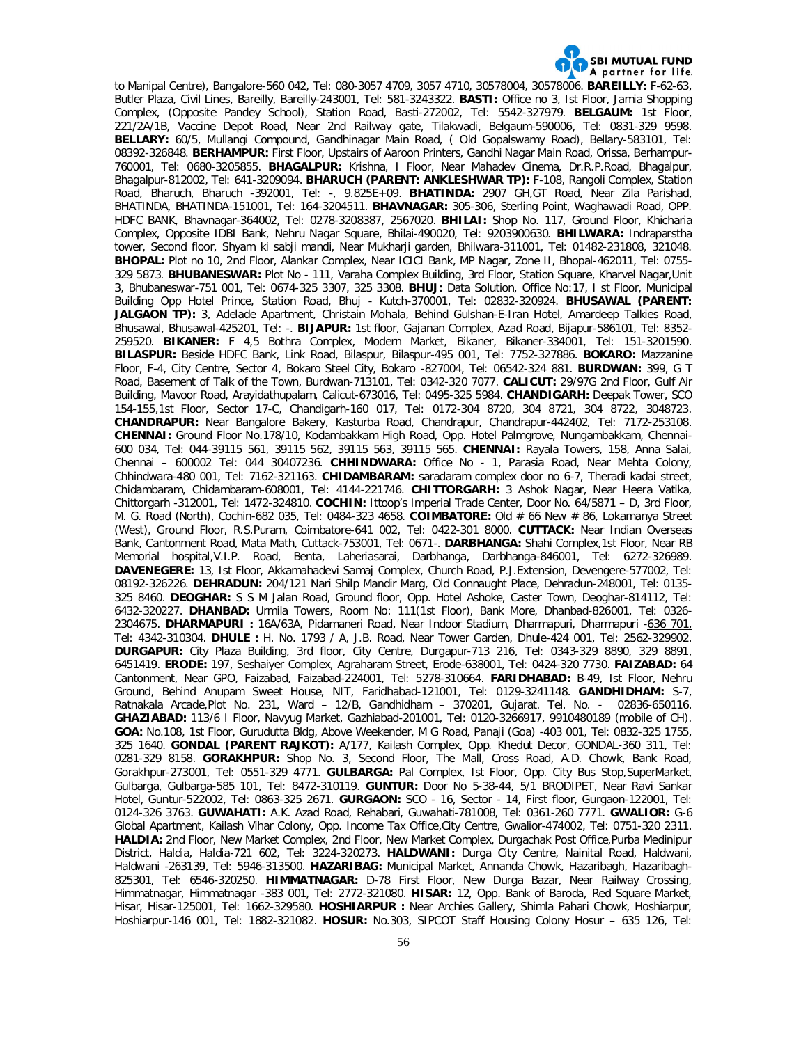

to Manipal Centre), Bangalore-560 042, Tel: 080-3057 4709, 3057 4710, 30578004, 30578006. **BAREILLY:** F-62-63, Butler Plaza, Civil Lines, Bareilly, Bareilly-243001, Tel: 581-3243322. **BASTI:** Office no 3, Ist Floor, Jamia Shopping Complex, (Opposite Pandey School), Station Road, Basti-272002, Tel: 5542-327979. **BELGAUM:** 1st Floor, 221/2A/1B, Vaccine Depot Road, Near 2nd Railway gate, Tilakwadi, Belgaum-590006, Tel: 0831-329 9598. **BELLARY:** 60/5, Mullangi Compound, Gandhinagar Main Road, ( Old Gopalswamy Road), Bellary-583101, Tel: 08392-326848. **BERHAMPUR:** First Floor, Upstairs of Aaroon Printers, Gandhi Nagar Main Road, Orissa, Berhampur-760001, Tel: 0680-3205855. **BHAGALPUR:** Krishna, I Floor, Near Mahadev Cinema, Dr.R.P.Road, Bhagalpur, Bhagalpur-812002, Tel: 641-3209094. **BHARUCH (PARENT: ANKLESHWAR TP):** F-108, Rangoli Complex, Station Road, Bharuch, Bharuch -392001, Tel: -, 9.825E+09. **BHATINDA:** 2907 GH,GT Road, Near Zila Parishad, BHATINDA, BHATINDA-151001, Tel: 164-3204511. **BHAVNAGAR:** 305-306, Sterling Point, Waghawadi Road, OPP. HDFC BANK, Bhavnagar-364002, Tel: 0278-3208387, 2567020. **BHILAI:** Shop No. 117, Ground Floor, Khicharia Complex, Opposite IDBI Bank, Nehru Nagar Square, Bhilai-490020, Tel: 9203900630. **BHILWARA:** Indraparstha tower, Second floor, Shyam ki sabji mandi, Near Mukharji garden, Bhilwara-311001, Tel: 01482-231808, 321048. **BHOPAL:** Plot no 10, 2nd Floor, Alankar Complex, Near ICICI Bank, MP Nagar, Zone II, Bhopal-462011, Tel: 0755- 329 5873. **BHUBANESWAR:** Plot No - 111, Varaha Complex Building, 3rd Floor, Station Square, Kharvel Nagar,Unit 3, Bhubaneswar-751 001, Tel: 0674-325 3307, 325 3308. **BHUJ:** Data Solution, Office No:17, I st Floor, Municipal Building Opp Hotel Prince, Station Road, Bhuj - Kutch-370001, Tel: 02832-320924. **BHUSAWAL (PARENT:**  JALGAON TP): 3, Adelade Apartment, Christain Mohala, Behind Gulshan-E-Iran Hotel, Amardeep Talkies Road, Bhusawal, Bhusawal-425201, Tel: -. **BIJAPUR:** 1st floor, Gajanan Complex, Azad Road, Bijapur-586101, Tel: 8352- 259520. **BIKANER:** F 4,5 Bothra Complex, Modern Market, Bikaner, Bikaner-334001, Tel: 151-3201590. **BILASPUR:** Beside HDFC Bank, Link Road, Bilaspur, Bilaspur-495 001, Tel: 7752-327886. **BOKARO:** Mazzanine Floor, F-4, City Centre, Sector 4, Bokaro Steel City, Bokaro -827004, Tel: 06542-324 881. **BURDWAN:** 399, G T Road, Basement of Talk of the Town, Burdwan-713101, Tel: 0342-320 7077. **CALICUT:** 29/97G 2nd Floor, Gulf Air Building, Mavoor Road, Arayidathupalam, Calicut-673016, Tel: 0495-325 5984. **CHANDIGARH:** Deepak Tower, SCO 154-155,1st Floor, Sector 17-C, Chandigarh-160 017, Tel: 0172-304 8720, 304 8721, 304 8722, 3048723. **CHANDRAPUR:** Near Bangalore Bakery, Kasturba Road, Chandrapur, Chandrapur-442402, Tel: 7172-253108. **CHENNAI:** Ground Floor No.178/10, Kodambakkam High Road, Opp. Hotel Palmgrove, Nungambakkam, Chennai-600 034, Tel: 044-39115 561, 39115 562, 39115 563, 39115 565. **CHENNAI:** Rayala Towers, 158, Anna Salai, Chennai – 600002 Tel: 044 30407236. **CHHINDWARA:** Office No - 1, Parasia Road, Near Mehta Colony, Chhindwara-480 001, Tel: 7162-321163. **CHIDAMBARAM:** saradaram complex door no 6-7, Theradi kadai street, Chidambaram, Chidambaram-608001, Tel: 4144-221746. **CHITTORGARH:** 3 Ashok Nagar, Near Heera Vatika, Chittorgarh -312001, Tel: 1472-324810. **COCHIN:** Ittoop's Imperial Trade Center, Door No. 64/5871 – D, 3rd Floor, M. G. Road (North), Cochin-682 035, Tel: 0484-323 4658. **COIMBATORE:** Old # 66 New # 86, Lokamanya Street (West), Ground Floor, R.S.Puram, Coimbatore-641 002, Tel: 0422-301 8000. **CUTTACK:** Near Indian Overseas Bank, Cantonment Road, Mata Math, Cuttack-753001, Tel: 0671-. **DARBHANGA:** Shahi Complex,1st Floor, Near RB Memorial hospital,V.I.P. Road, Benta, Laheriasarai, Darbhanga, Darbhanga-846001, Tel: 6272-326989. **DAVENEGERE:** 13, Ist Floor, Akkamahadevi Samaj Complex, Church Road, P.J.Extension, Devengere-577002, Tel: 08192-326226. **DEHRADUN:** 204/121 Nari Shilp Mandir Marg, Old Connaught Place, Dehradun-248001, Tel: 0135- 325 8460. **DEOGHAR:** S S M Jalan Road, Ground floor, Opp. Hotel Ashoke, Caster Town, Deoghar-814112, Tel: 6432-320227. **DHANBAD:** Urmila Towers, Room No: 111(1st Floor), Bank More, Dhanbad-826001, Tel: 0326- 2304675. **DHARMAPURI :** 16A/63A, Pidamaneri Road, Near Indoor Stadium, Dharmapuri, Dharmapuri -636 701, Tel: 4342-310304. **DHULE :** H. No. 1793 / A, J.B. Road, Near Tower Garden, Dhule-424 001, Tel: 2562-329902. **DURGAPUR:** City Plaza Building, 3rd floor, City Centre, Durgapur-713 216, Tel: 0343-329 8890, 329 8891, 6451419. **ERODE:** 197, Seshaiyer Complex, Agraharam Street, Erode-638001, Tel: 0424-320 7730. **FAIZABAD:** 64 Cantonment, Near GPO, Faizabad, Faizabad-224001, Tel: 5278-310664. **FARIDHABAD:** B-49, Ist Floor, Nehru Ground, Behind Anupam Sweet House, NIT, Faridhabad-121001, Tel: 0129-3241148. **GANDHIDHAM:** S-7, Ratnakala Arcade,Plot No. 231, Ward – 12/B, Gandhidham – 370201, Gujarat. Tel. No. - 02836-650116. **GHAZIABAD:** 113/6 I Floor, Navyug Market, Gazhiabad-201001, Tel: 0120-3266917, 9910480189 (mobile of CH). **GOA:** No.108, 1st Floor, Gurudutta Bldg, Above Weekender, M G Road, Panaji (Goa) -403 001, Tel: 0832-325 1755, 325 1640. **GONDAL (PARENT RAJKOT):** A/177, Kailash Complex, Opp. Khedut Decor, GONDAL-360 311, Tel: 0281-329 8158. **GORAKHPUR:** Shop No. 3, Second Floor, The Mall, Cross Road, A.D. Chowk, Bank Road, Gorakhpur-273001, Tel: 0551-329 4771. **GULBARGA:** Pal Complex, Ist Floor, Opp. City Bus Stop,SuperMarket, Gulbarga, Gulbarga-585 101, Tel: 8472-310119. **GUNTUR:** Door No 5-38-44, 5/1 BRODIPET, Near Ravi Sankar Hotel, Guntur-522002, Tel: 0863-325 2671. **GURGAON:** SCO - 16, Sector - 14, First floor, Gurgaon-122001, Tel: 0124-326 3763. **GUWAHATI:** A.K. Azad Road, Rehabari, Guwahati-781008, Tel: 0361-260 7771. **GWALIOR:** G-6 Global Apartment, Kailash Vihar Colony, Opp. Income Tax Office,City Centre, Gwalior-474002, Tel: 0751-320 2311. **HALDIA:** 2nd Floor, New Market Complex, 2nd Floor, New Market Complex, Durgachak Post Office,Purba Medinipur District, Haldia, Haldia-721 602, Tel: 3224-320273. **HALDWANI:** Durga City Centre, Nainital Road, Haldwani, Haldwani -263139, Tel: 5946-313500. **HAZARIBAG:** Municipal Market, Annanda Chowk, Hazaribagh, Hazaribagh-825301, Tel: 6546-320250. **HIMMATNAGAR:** D-78 First Floor, New Durga Bazar, Near Railway Crossing, Himmatnagar, Himmatnagar -383 001, Tel: 2772-321080. **HISAR:** 12, Opp. Bank of Baroda, Red Square Market, Hisar, Hisar-125001, Tel: 1662-329580. **HOSHIARPUR :** Near Archies Gallery, Shimla Pahari Chowk, Hoshiarpur, Hoshiarpur-146 001, Tel: 1882-321082. **HOSUR:** No.303, SIPCOT Staff Housing Colony Hosur – 635 126, Tel: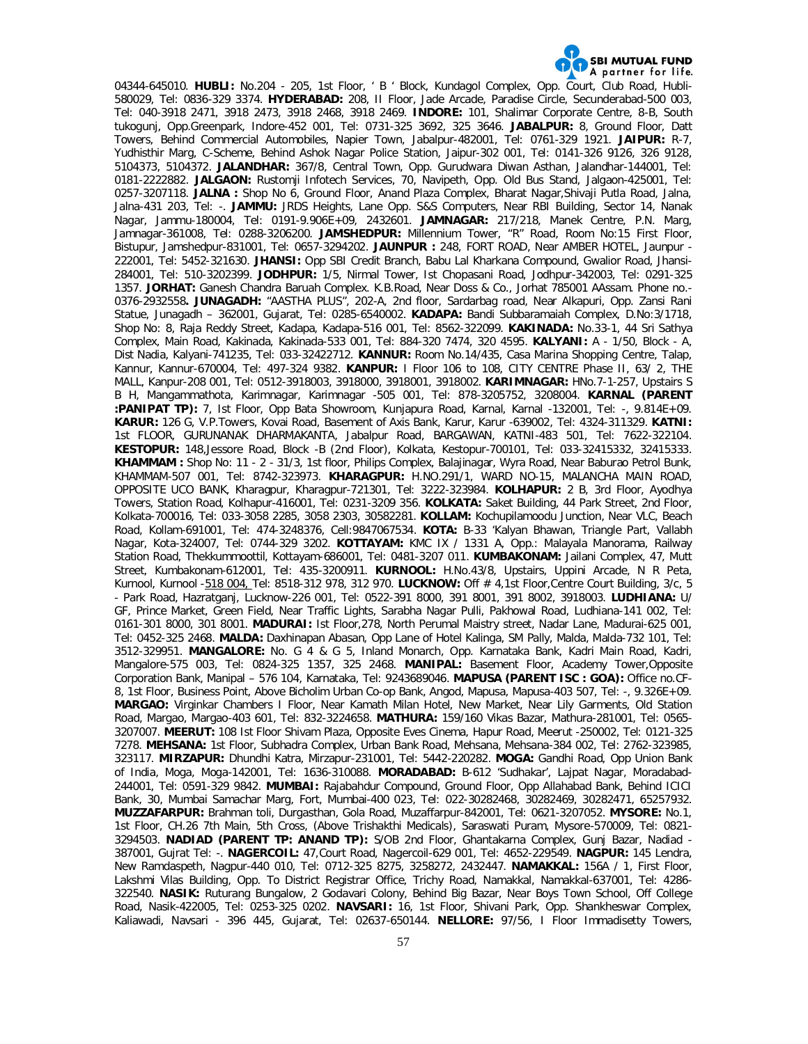

04344-645010. **HUBLI:** No.204 - 205, 1st Floor, ' B ' Block, Kundagol Complex, Opp. Court, Club Road, Hubli-580029, Tel: 0836-329 3374. **HYDERABAD:** 208, II Floor, Jade Arcade, Paradise Circle, Secunderabad-500 003, Tel: 040-3918 2471, 3918 2473, 3918 2468, 3918 2469. **INDORE:** 101, Shalimar Corporate Centre, 8-B, South tukogunj, Opp.Greenpark, Indore-452 001, Tel: 0731-325 3692, 325 3646. **JABALPUR:** 8, Ground Floor, Datt Towers, Behind Commercial Automobiles, Napier Town, Jabalpur-482001, Tel: 0761-329 1921. **JAIPUR:** R-7, Yudhisthir Marg, C-Scheme, Behind Ashok Nagar Police Station, Jaipur-302 001, Tel: 0141-326 9126, 326 9128, 5104373, 5104372. **JALANDHAR:** 367/8, Central Town, Opp. Gurudwara Diwan Asthan, Jalandhar-144001, Tel: 0181-2222882. **JALGAON:** Rustomji Infotech Services, 70, Navipeth, Opp. Old Bus Stand, Jalgaon-425001, Tel: 0257-3207118. **JALNA :** Shop No 6, Ground Floor, Anand Plaza Complex, Bharat Nagar,Shivaji Putla Road, Jalna, Jalna-431 203, Tel: -. **JAMMU:** JRDS Heights, Lane Opp. S&S Computers, Near RBI Building, Sector 14, Nanak Nagar, Jammu-180004, Tel: 0191-9.906E+09, 2432601. **JAMNAGAR:** 217/218, Manek Centre, P.N. Marg, Jamnagar-361008, Tel: 0288-3206200. **JAMSHEDPUR:** Millennium Tower, "R" Road, Room No:15 First Floor, Bistupur, Jamshedpur-831001, Tel: 0657-3294202. **JAUNPUR :** 248, FORT ROAD, Near AMBER HOTEL, Jaunpur - 222001, Tel: 5452-321630. **JHANSI:** Opp SBI Credit Branch, Babu Lal Kharkana Compound, Gwalior Road, Jhansi-284001, Tel: 510-3202399. **JODHPUR:** 1/5, Nirmal Tower, Ist Chopasani Road, Jodhpur-342003, Tel: 0291-325 1357. **JORHAT:** Ganesh Chandra Baruah Complex. K.B.Road, Near Doss & Co., Jorhat 785001 AAssam. Phone no.- 0376-2932558**. JUNAGADH:** "AASTHA PLUS", 202-A, 2nd floor, Sardarbag road, Near Alkapuri, Opp. Zansi Rani Statue, Junagadh – 362001, Gujarat, Tel: 0285-6540002. **KADAPA:** Bandi Subbaramaiah Complex, D.No:3/1718, Shop No: 8, Raja Reddy Street, Kadapa, Kadapa-516 001, Tel: 8562-322099. **KAKINADA:** No.33-1, 44 Sri Sathya Complex, Main Road, Kakinada, Kakinada-533 001, Tel: 884-320 7474, 320 4595. **KALYANI:** A - 1/50, Block - A, Dist Nadia, Kalyani-741235, Tel: 033-32422712. **KANNUR:** Room No.14/435, Casa Marina Shopping Centre, Talap, Kannur, Kannur-670004, Tel: 497-324 9382. **KANPUR:** I Floor 106 to 108, CITY CENTRE Phase II, 63/ 2, THE MALL, Kanpur-208 001, Tel: 0512-3918003, 3918000, 3918001, 3918002. **KARIMNAGAR:** HNo.7-1-257, Upstairs S B H, Mangammathota, Karimnagar, Karimnagar -505 001, Tel: 878-3205752, 3208004. **KARNAL (PARENT :PANIPAT TP):** 7, Ist Floor, Opp Bata Showroom, Kunjapura Road, Karnal, Karnal -132001, Tel: -, 9.814E+09. **KARUR:** 126 G, V.P.Towers, Kovai Road, Basement of Axis Bank, Karur, Karur -639002, Tel: 4324-311329. **KATNI:**  1st FLOOR, GURUNANAK DHARMAKANTA, Jabalpur Road, BARGAWAN, KATNI-483 501, Tel: 7622-322104. **KESTOPUR:** 148,Jessore Road, Block -B (2nd Floor), Kolkata, Kestopur-700101, Tel: 033-32415332, 32415333. **KHAMMAM :** Shop No: 11 - 2 - 31/3, 1st floor, Philips Complex, Balajinagar, Wyra Road, Near Baburao Petrol Bunk, KHAMMAM-507 001, Tel: 8742-323973. **KHARAGPUR:** H.NO.291/1, WARD NO-15, MALANCHA MAIN ROAD, OPPOSITE UCO BANK, Kharagpur, Kharagpur-721301, Tel: 3222-323984. **KOLHAPUR:** 2 B, 3rd Floor, Ayodhya Towers, Station Road, Kolhapur-416001, Tel: 0231-3209 356. **KOLKATA:** Saket Building, 44 Park Street, 2nd Floor, Kolkata-700016, Tel: 033-3058 2285, 3058 2303, 30582281. **KOLLAM:** Kochupilamoodu Junction, Near VLC, Beach Road, Kollam-691001, Tel: 474-3248376, Cell:9847067534. **KOTA:** B-33 'Kalyan Bhawan, Triangle Part, Vallabh Nagar, Kota-324007, Tel: 0744-329 3202. **KOTTAYAM:** KMC IX / 1331 A, Opp.: Malayala Manorama, Railway Station Road, Thekkummoottil, Kottayam-686001, Tel: 0481-3207 011. **KUMBAKONAM:** Jailani Complex, 47, Mutt Street, Kumbakonam-612001, Tel: 435-3200911. **KURNOOL:** H.No.43/8, Upstairs, Uppini Arcade, N R Peta, Kurnool, Kurnool -518 004, Tel: 8518-312 978, 312 970. **LUCKNOW:** Off # 4,1st Floor,Centre Court Building, 3/c, 5 - Park Road, Hazratganj, Lucknow-226 001, Tel: 0522-391 8000, 391 8001, 391 8002, 3918003. **LUDHIANA:** U/ GF, Prince Market, Green Field, Near Traffic Lights, Sarabha Nagar Pulli, Pakhowal Road, Ludhiana-141 002, Tel: 0161-301 8000, 301 8001. **MADURAI:** Ist Floor,278, North Perumal Maistry street, Nadar Lane, Madurai-625 001, Tel: 0452-325 2468. **MALDA:** Daxhinapan Abasan, Opp Lane of Hotel Kalinga, SM Pally, Malda, Malda-732 101, Tel: 3512-329951. **MANGALORE:** No. G 4 & G 5, Inland Monarch, Opp. Karnataka Bank, Kadri Main Road, Kadri, Mangalore-575 003, Tel: 0824-325 1357, 325 2468. **MANIPAL:** Basement Floor, Academy Tower,Opposite Corporation Bank, Manipal – 576 104, Karnataka, Tel: 9243689046. **MAPUSA (PARENT ISC : GOA):** Office no.CF-8, 1st Floor, Business Point, Above Bicholim Urban Co-op Bank, Angod, Mapusa, Mapusa-403 507, Tel: -, 9.326E+09. **MARGAO:** Virginkar Chambers I Floor, Near Kamath Milan Hotel, New Market, Near Lily Garments, Old Station Road, Margao, Margao-403 601, Tel: 832-3224658. **MATHURA:** 159/160 Vikas Bazar, Mathura-281001, Tel: 0565- 3207007. **MEERUT:** 108 Ist Floor Shivam Plaza, Opposite Eves Cinema, Hapur Road, Meerut -250002, Tel: 0121-325 7278. **MEHSANA:** 1st Floor, Subhadra Complex, Urban Bank Road, Mehsana, Mehsana-384 002, Tel: 2762-323985, 323117. **MIRZAPUR:** Dhundhi Katra, Mirzapur-231001, Tel: 5442-220282. **MOGA:** Gandhi Road, Opp Union Bank of India, Moga, Moga-142001, Tel: 1636-310088. **MORADABAD:** B-612 'Sudhakar', Lajpat Nagar, Moradabad-244001, Tel: 0591-329 9842. **MUMBAI:** Rajabahdur Compound, Ground Floor, Opp Allahabad Bank, Behind ICICI Bank, 30, Mumbai Samachar Marg, Fort, Mumbai-400 023, Tel: 022-30282468, 30282469, 30282471, 65257932. **MUZZAFARPUR:** Brahman toli, Durgasthan, Gola Road, Muzaffarpur-842001, Tel: 0621-3207052. **MYSORE:** No.1, 1st Floor, CH.26 7th Main, 5th Cross, (Above Trishakthi Medicals), Saraswati Puram, Mysore-570009, Tel: 0821- 3294503. **NADIAD (PARENT TP: ANAND TP):** S/OB 2nd Floor, Ghantakarna Complex, Gunj Bazar, Nadiad - 387001, Gujrat Tel: -. **NAGERCOIL:** 47,Court Road, Nagercoil-629 001, Tel: 4652-229549. **NAGPUR:** 145 Lendra, New Ramdaspeth, Nagpur-440 010, Tel: 0712-325 8275, 3258272, 2432447. **NAMAKKAL:** 156A / 1, First Floor, Lakshmi Vilas Building, Opp. To District Registrar Office, Trichy Road, Namakkal, Namakkal-637001, Tel: 4286- 322540. **NASIK:** Ruturang Bungalow, 2 Godavari Colony, Behind Big Bazar, Near Boys Town School, Off College Road, Nasik-422005, Tel: 0253-325 0202. **NAVSARI:** 16, 1st Floor, Shivani Park, Opp. Shankheswar Complex, Kaliawadi, Navsari - 396 445, Gujarat, Tel: 02637-650144. **NELLORE:** 97/56, I Floor Immadisetty Towers,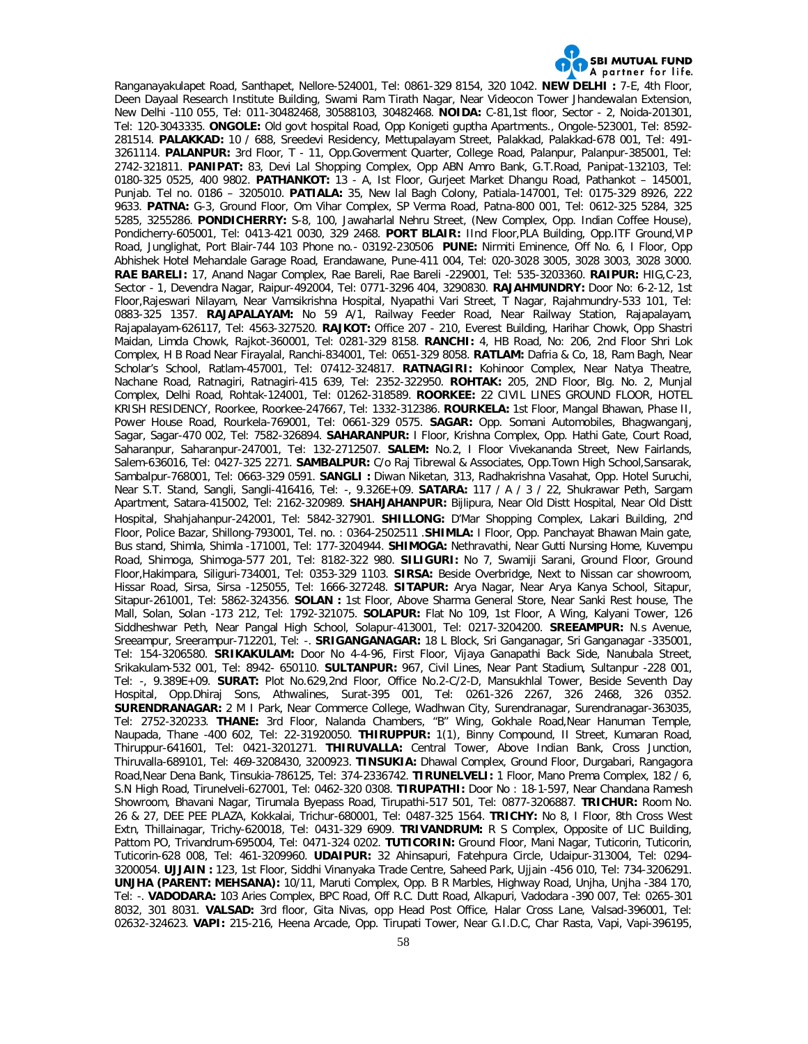

Ranganayakulapet Road, Santhapet, Nellore-524001, Tel: 0861-329 8154, 320 1042. **NEW DELHI :** 7-E, 4th Floor, Deen Dayaal Research Institute Building, Swami Ram Tirath Nagar, Near Videocon Tower Jhandewalan Extension, New Delhi -110 055, Tel: 011-30482468, 30588103, 30482468. **NOIDA:** C-81,1st floor, Sector - 2, Noida-201301, Tel: 120-3043335. **ONGOLE:** Old govt hospital Road, Opp Konigeti guptha Apartments., Ongole-523001, Tel: 8592- 281514. **PALAKKAD:** 10 / 688, Sreedevi Residency, Mettupalayam Street, Palakkad, Palakkad-678 001, Tel: 491- 3261114. **PALANPUR:** 3rd Floor, T - 11, Opp.Goverment Quarter, College Road, Palanpur, Palanpur-385001, Tel: 2742-321811. **PANIPAT:** 83, Devi Lal Shopping Complex, Opp ABN Amro Bank, G.T.Road, Panipat-132103, Tel: 0180-325 0525, 400 9802. **PATHANKOT:** 13 - A, Ist Floor, Gurjeet Market Dhangu Road, Pathankot – 145001, Punjab. Tel no. 0186 – 3205010. **PATIALA:** 35, New lal Bagh Colony, Patiala-147001, Tel: 0175-329 8926, 222 9633. **PATNA:** G-3, Ground Floor, Om Vihar Complex, SP Verma Road, Patna-800 001, Tel: 0612-325 5284, 325 5285, 3255286. **PONDICHERRY:** S-8, 100, Jawaharlal Nehru Street, (New Complex, Opp. Indian Coffee House), Pondicherry-605001, Tel: 0413-421 0030, 329 2468. **PORT BLAIR:** IInd Floor,PLA Building, Opp.ITF Ground,VIP Road, Junglighat, Port Blair-744 103 Phone no.- 03192-230506 **PUNE:** Nirmiti Eminence, Off No. 6, I Floor, Opp Abhishek Hotel Mehandale Garage Road, Erandawane, Pune-411 004, Tel: 020-3028 3005, 3028 3003, 3028 3000. **RAE BARELI:** 17, Anand Nagar Complex, Rae Bareli, Rae Bareli -229001, Tel: 535-3203360. **RAIPUR:** HIG,C-23, Sector - 1, Devendra Nagar, Raipur-492004, Tel: 0771-3296 404, 3290830. **RAJAHMUNDRY:** Door No: 6-2-12, 1st Floor,Rajeswari Nilayam, Near Vamsikrishna Hospital, Nyapathi Vari Street, T Nagar, Rajahmundry-533 101, Tel: 0883-325 1357. **RAJAPALAYAM:** No 59 A/1, Railway Feeder Road, Near Railway Station, Rajapalayam, Rajapalayam-626117, Tel: 4563-327520. **RAJKOT:** Office 207 - 210, Everest Building, Harihar Chowk, Opp Shastri Maidan, Limda Chowk, Rajkot-360001, Tel: 0281-329 8158. **RANCHI:** 4, HB Road, No: 206, 2nd Floor Shri Lok Complex, H B Road Near Firayalal, Ranchi-834001, Tel: 0651-329 8058. **RATLAM:** Dafria & Co, 18, Ram Bagh, Near Scholar's School, Ratlam-457001, Tel: 07412-324817. **RATNAGIRI:** Kohinoor Complex, Near Natya Theatre, Nachane Road, Ratnagiri, Ratnagiri-415 639, Tel: 2352-322950. **ROHTAK:** 205, 2ND Floor, Blg. No. 2, Munjal Complex, Delhi Road, Rohtak-124001, Tel: 01262-318589. **ROORKEE:** 22 CIVIL LINES GROUND FLOOR, HOTEL KRISH RESIDENCY, Roorkee, Roorkee-247667, Tel: 1332-312386. **ROURKELA:** 1st Floor, Mangal Bhawan, Phase II, Power House Road, Rourkela-769001, Tel: 0661-329 0575. **SAGAR:** Opp. Somani Automobiles, Bhagwanganj, Sagar, Sagar-470 002, Tel: 7582-326894. **SAHARANPUR:** I Floor, Krishna Complex, Opp. Hathi Gate, Court Road, Saharanpur, Saharanpur-247001, Tel: 132-2712507. **SALEM:** No.2, I Floor Vivekananda Street, New Fairlands, Salem-636016, Tel: 0427-325 2271. **SAMBALPUR:** C/o Raj Tibrewal & Associates, Opp.Town High School,Sansarak, Sambalpur-768001, Tel: 0663-329 0591. **SANGLI :** Diwan Niketan, 313, Radhakrishna Vasahat, Opp. Hotel Suruchi, Near S.T. Stand, Sangli, Sangli-416416, Tel: -, 9.326E+09. **SATARA:** 117 / A / 3 / 22, Shukrawar Peth, Sargam Apartment, Satara-415002, Tel: 2162-320989. **SHAHJAHANPUR:** Bijlipura, Near Old Distt Hospital, Near Old Distt Hospital, Shahjahanpur-242001, Tel: 5842-327901. **SHILLONG:** D'Mar Shopping Complex, Lakari Building, 2nd Floor, Police Bazar, Shillong-793001, Tel. no. : 0364-2502511 .**SHIMLA:** I Floor, Opp. Panchayat Bhawan Main gate, Bus stand, Shimla, Shimla -171001, Tel: 177-3204944. **SHIMOGA:** Nethravathi, Near Gutti Nursing Home, Kuvempu Road, Shimoga, Shimoga-577 201, Tel: 8182-322 980. **SILIGURI:** No 7, Swamiji Sarani, Ground Floor, Ground Floor,Hakimpara, Siliguri-734001, Tel: 0353-329 1103. **SIRSA:** Beside Overbridge, Next to Nissan car showroom, Hissar Road, Sirsa, Sirsa -125055, Tel: 1666-327248. **SITAPUR:** Arya Nagar, Near Arya Kanya School, Sitapur, Sitapur-261001, Tel: 5862-324356. **SOLAN :** 1st Floor, Above Sharma General Store, Near Sanki Rest house, The Mall, Solan, Solan -173 212, Tel: 1792-321075. **SOLAPUR:** Flat No 109, 1st Floor, A Wing, Kalyani Tower, 126 Siddheshwar Peth, Near Pangal High School, Solapur-413001, Tel: 0217-3204200. **SREEAMPUR:** N.s Avenue, Sreeampur, Sreerampur-712201, Tel: -. **SRIGANGANAGAR:** 18 L Block, Sri Ganganagar, Sri Ganganagar -335001, Tel: 154-3206580. **SRIKAKULAM:** Door No 4-4-96, First Floor, Vijaya Ganapathi Back Side, Nanubala Street, Srikakulam-532 001, Tel: 8942- 650110. **SULTANPUR:** 967, Civil Lines, Near Pant Stadium, Sultanpur -228 001, Tel: -, 9.389E+09. **SURAT:** Plot No.629,2nd Floor, Office No.2-C/2-D, Mansukhlal Tower, Beside Seventh Day Hospital, Opp.Dhiraj Sons, Athwalines, Surat-395 001, Tel: 0261-326 2267, 326 2468, 326 0352. **SURENDRANAGAR:** 2 M I Park, Near Commerce College, Wadhwan City, Surendranagar, Surendranagar-363035, Tel: 2752-320233. **THANE:** 3rd Floor, Nalanda Chambers, "B" Wing, Gokhale Road,Near Hanuman Temple, Naupada, Thane -400 602, Tel: 22-31920050. **THIRUPPUR:** 1(1), Binny Compound, II Street, Kumaran Road, Thiruppur-641601, Tel: 0421-3201271. **THIRUVALLA:** Central Tower, Above Indian Bank, Cross Junction, Thiruvalla-689101, Tel: 469-3208430, 3200923. **TINSUKIA:** Dhawal Complex, Ground Floor, Durgabari, Rangagora Road,Near Dena Bank, Tinsukia-786125, Tel: 374-2336742. **TIRUNELVELI:** 1 Floor, Mano Prema Complex, 182 / 6, S.N High Road, Tirunelveli-627001, Tel: 0462-320 0308. **TIRUPATHI:** Door No : 18-1-597, Near Chandana Ramesh Showroom, Bhavani Nagar, Tirumala Byepass Road, Tirupathi-517 501, Tel: 0877-3206887. **TRICHUR:** Room No. 26 & 27, DEE PEE PLAZA, Kokkalai, Trichur-680001, Tel: 0487-325 1564. **TRICHY:** No 8, I Floor, 8th Cross West Extn, Thillainagar, Trichy-620018, Tel: 0431-329 6909. **TRIVANDRUM:** R S Complex, Opposite of LIC Building, Pattom PO, Trivandrum-695004, Tel: 0471-324 0202. **TUTICORIN:** Ground Floor, Mani Nagar, Tuticorin, Tuticorin, Tuticorin-628 008, Tel: 461-3209960. **UDAIPUR:** 32 Ahinsapuri, Fatehpura Circle, Udaipur-313004, Tel: 0294- 3200054. **UJJAIN :** 123, 1st Floor, Siddhi Vinanyaka Trade Centre, Saheed Park, Ujjain -456 010, Tel: 734-3206291. **UNJHA (PARENT: MEHSANA):** 10/11, Maruti Complex, Opp. B R Marbles, Highway Road, Unjha, Unjha -384 170, Tel: -. **VADODARA:** 103 Aries Complex, BPC Road, Off R.C. Dutt Road, Alkapuri, Vadodara -390 007, Tel: 0265-301 8032, 301 8031. **VALSAD:** 3rd floor, Gita Nivas, opp Head Post Office, Halar Cross Lane, Valsad-396001, Tel: 02632-324623. **VAPI:** 215-216, Heena Arcade, Opp. Tirupati Tower, Near G.I.D.C, Char Rasta, Vapi, Vapi-396195,